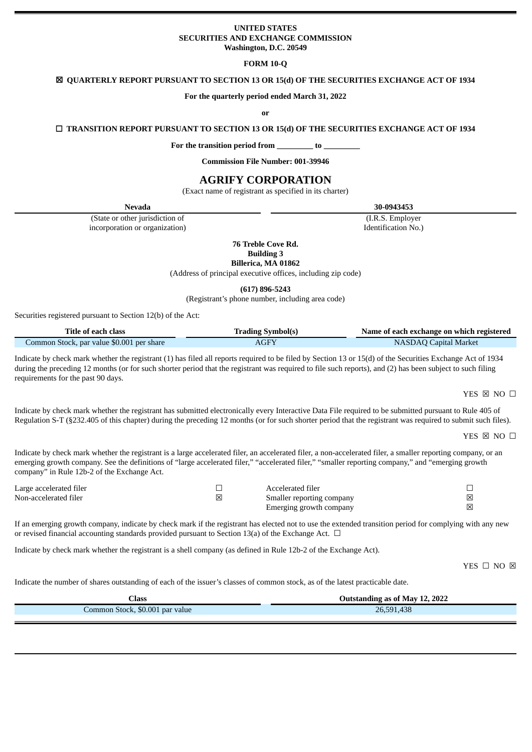## **UNITED STATES SECURITIES AND EXCHANGE COMMISSION Washington, D.C. 20549**

## **FORM 10-Q**

## ☒ **QUARTERLY REPORT PURSUANT TO SECTION 13 OR 15(d) OF THE SECURITIES EXCHANGE ACT OF 1934**

### **For the quarterly period ended March 31, 2022**

**or**

☐ **TRANSITION REPORT PURSUANT TO SECTION 13 OR 15(d) OF THE SECURITIES EXCHANGE ACT OF 1934**

**For the transition period from \_\_\_\_\_\_\_\_\_ to \_\_\_\_\_\_\_\_\_**

**Commission File Number: 001-39946**

## **AGRIFY CORPORATION**

(Exact name of registrant as specified in its charter)

**Nevada 30-0943453**

(State or other jurisdiction of incorporation or organization)

(I.R.S. Employer Identification No.)

**76 Treble Cove Rd.**

**Building 3 Billerica, MA 01862**

(Address of principal executive offices, including zip code)

**(617) 896-5243**

(Registrant's phone number, including area code)

Securities registered pursuant to Section 12(b) of the Act:

| Title of each class                       | <b>Trading Symbol(s)</b> | Name of each exchange on which registered |
|-------------------------------------------|--------------------------|-------------------------------------------|
| Common Stock, par value \$0.001 per share | AGFY                     | <b>NASDAQ Capital Market</b>              |

Indicate by check mark whether the registrant (1) has filed all reports required to be filed by Section 13 or 15(d) of the Securities Exchange Act of 1934 during the preceding 12 months (or for such shorter period that the registrant was required to file such reports), and (2) has been subject to such filing requirements for the past 90 days.

YES ⊠ NO □

Indicate by check mark whether the registrant has submitted electronically every Interactive Data File required to be submitted pursuant to Rule 405 of Regulation S-T (§232.405 of this chapter) during the preceding 12 months (or for such shorter period that the registrant was required to submit such files).

YES ⊠ NO □

Indicate by check mark whether the registrant is a large accelerated filer, an accelerated filer, a non-accelerated filer, a smaller reporting company, or an emerging growth company. See the definitions of "large accelerated filer," "accelerated filer," "smaller reporting company," and "emerging growth company" in Rule 12b-2 of the Exchange Act.

| Large accelerated filer |   | Accelerated filer         |   |
|-------------------------|---|---------------------------|---|
| Non-accelerated filer   | × | Smaller reporting company | × |
|                         |   | Emerging growth company   | × |

If an emerging growth company, indicate by check mark if the registrant has elected not to use the extended transition period for complying with any new or revised financial accounting standards provided pursuant to Section 13(a) of the Exchange Act.  $\Box$ 

Indicate by check mark whether the registrant is a shell company (as defined in Rule 12b-2 of the Exchange Act).

YES □ NO ⊠

Indicate the number of shares outstanding of each of the issuer's classes of common stock, as of the latest practicable date.

| $\sf Class$                     | Outstanding as of May 12, 2022 |
|---------------------------------|--------------------------------|
| Common Stock, \$0.001 par value | 26,591,438                     |
|                                 |                                |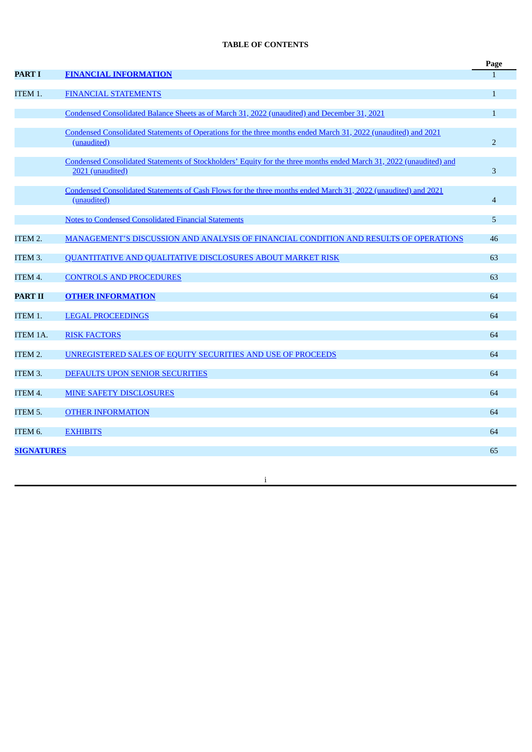# **TABLE OF CONTENTS**

|                     |                                                                                                                                         | Page           |
|---------------------|-----------------------------------------------------------------------------------------------------------------------------------------|----------------|
| <b>PART I</b>       | <b>FINANCIAL INFORMATION</b>                                                                                                            |                |
| ITEM 1.             | <b>FINANCIAL STATEMENTS</b>                                                                                                             | $\mathbf{1}$   |
|                     | Condensed Consolidated Balance Sheets as of March 31, 2022 (unaudited) and December 31, 2021                                            | $\mathbf{1}$   |
|                     | Condensed Consolidated Statements of Operations for the three months ended March 31, 2022 (unaudited) and 2021<br>(unaudited)           | 2              |
|                     | Condensed Consolidated Statements of Stockholders' Equity for the three months ended March 31, 2022 (unaudited) and<br>2021 (unaudited) | $\overline{3}$ |
|                     | Condensed Consolidated Statements of Cash Flows for the three months ended March 31, 2022 (unaudited) and 2021<br>(unaudited)           | $\overline{4}$ |
|                     | <b>Notes to Condensed Consolidated Financial Statements</b>                                                                             | 5              |
| ITEM 2.             | MANAGEMENT'S DISCUSSION AND ANALYSIS OF FINANCIAL CONDITION AND RESULTS OF OPERATIONS                                                   | 46             |
| ITEM 3.             | <b>QUANTITATIVE AND QUALITATIVE DISCLOSURES ABOUT MARKET RISK</b>                                                                       | 63             |
| <b>ITEM 4.</b>      | <b>CONTROLS AND PROCEDURES</b>                                                                                                          | 63             |
| <b>PART II</b>      | <b>OTHER INFORMATION</b>                                                                                                                | 64             |
| ITEM 1.             | <b>LEGAL PROCEEDINGS</b>                                                                                                                | 64             |
| <b>ITEM 1A.</b>     | <b>RISK FACTORS</b>                                                                                                                     | 64             |
| ITEM 2.             | UNREGISTERED SALES OF EQUITY SECURITIES AND USE OF PROCEEDS                                                                             | 64             |
| ITEM <sub>3</sub> . | DEFAULTS UPON SENIOR SECURITIES                                                                                                         | 64             |
| ITEM 4.             | <b>MINE SAFETY DISCLOSURES</b>                                                                                                          | 64             |
| ITEM <sub>5</sub> . | <b>OTHER INFORMATION</b>                                                                                                                | 64             |
| ITEM 6.             | <b>EXHIBITS</b>                                                                                                                         | 64             |
| <b>SIGNATURES</b>   |                                                                                                                                         | 65             |
|                     |                                                                                                                                         |                |

i <u>i componenti di controlle dell'Indiana di controlle dell'Indiana di controlle dell'Indiana di controlle dell'</u>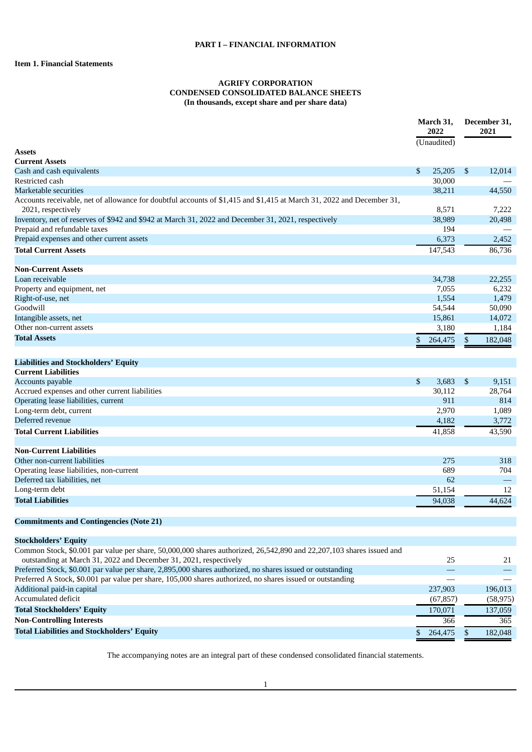# <span id="page-2-2"></span><span id="page-2-1"></span><span id="page-2-0"></span>**Item 1. Financial Statements**

# **AGRIFY CORPORATION CONDENSED CONSOLIDATED BALANCE SHEETS (In thousands, except share and per share data)**

|                                                                                                                       |    | March 31,<br>2022        | December 31,<br>2021 |
|-----------------------------------------------------------------------------------------------------------------------|----|--------------------------|----------------------|
|                                                                                                                       |    | (Unaudited)              |                      |
| Assets                                                                                                                |    |                          |                      |
| <b>Current Assets</b>                                                                                                 |    |                          |                      |
| Cash and cash equivalents                                                                                             | \$ | 25,205                   | \$<br>12,014         |
| Restricted cash                                                                                                       |    | 30,000                   |                      |
| Marketable securities                                                                                                 |    | 38,211                   | 44,550               |
| Accounts receivable, net of allowance for doubtful accounts of \$1,415 and \$1,415 at March 31, 2022 and December 31, |    |                          |                      |
| 2021, respectively                                                                                                    |    | 8,571                    | 7,222                |
| Inventory, net of reserves of \$942 and \$942 at March 31, 2022 and December 31, 2021, respectively                   |    | 38,989                   | 20,498               |
| Prepaid and refundable taxes                                                                                          |    | 194                      |                      |
| Prepaid expenses and other current assets                                                                             |    | 6,373                    | 2,452                |
| <b>Total Current Assets</b>                                                                                           |    | 147,543                  | 86,736               |
| <b>Non-Current Assets</b>                                                                                             |    |                          |                      |
| Loan receivable                                                                                                       |    | 34,738                   | 22,255               |
| Property and equipment, net                                                                                           |    | 7,055                    | 6,232                |
| Right-of-use, net                                                                                                     |    | 1,554                    | 1,479                |
| Goodwill                                                                                                              |    | 54,544                   | 50,090               |
| Intangible assets, net                                                                                                |    | 15,861                   | 14,072               |
| Other non-current assets                                                                                              |    | 3,180                    | 1,184                |
| <b>Total Assets</b>                                                                                                   | \$ | 264,475                  | \$<br>182,048        |
| <b>Liabilities and Stockholders' Equity</b>                                                                           |    |                          |                      |
| <b>Current Liabilities</b>                                                                                            |    |                          |                      |
| Accounts payable                                                                                                      | \$ | 3,683                    | \$<br>9,151          |
| Accrued expenses and other current liabilities                                                                        |    | 30,112                   | 28,764               |
| Operating lease liabilities, current                                                                                  |    | 911                      | 814                  |
| Long-term debt, current                                                                                               |    | 2,970                    | 1,089                |
| Deferred revenue                                                                                                      |    | 4,182                    | 3,772                |
| <b>Total Current Liabilities</b>                                                                                      |    | 41,858                   | 43,590               |
| <b>Non-Current Liabilities</b>                                                                                        |    |                          |                      |
| Other non-current liabilities                                                                                         |    | 275                      | 318                  |
| Operating lease liabilities, non-current                                                                              |    | 689                      | 704                  |
| Deferred tax liabilities, net                                                                                         |    | 62                       |                      |
| Long-term debt                                                                                                        |    | 51,154                   | 12                   |
| <b>Total Liabilities</b>                                                                                              |    | 94,038                   | 44,624               |
| <b>Commitments and Contingencies (Note 21)</b>                                                                        |    |                          |                      |
| <b>Stockholders' Equity</b>                                                                                           |    |                          |                      |
| Common Stock, \$0.001 par value per share, 50,000,000 shares authorized, 26,542,890 and 22,207,103 shares issued and  |    |                          |                      |
| outstanding at March 31, 2022 and December 31, 2021, respectively                                                     |    | 25                       | 21                   |
| Preferred Stock, \$0.001 par value per share, 2,895,000 shares authorized, no shares issued or outstanding            |    |                          |                      |
| Preferred A Stock, \$0.001 par value per share, 105,000 shares authorized, no shares issued or outstanding            |    | $\overline{\phantom{0}}$ |                      |
| Additional paid-in capital                                                                                            |    | 237,903                  | 196,013              |
| Accumulated deficit                                                                                                   |    | (67, 857)                | (58, 975)            |
| <b>Total Stockholders' Equity</b>                                                                                     |    | 170,071                  | 137,059              |
| <b>Non-Controlling Interests</b>                                                                                      |    | 366                      | 365                  |

**Total Liabilities and Stockholders' Equity All 2018 (2018) All 2019 Contract in the Stockholders' <b>Equity 3** 264,475 **\$** 264,475 **\$** 182,048

The accompanying notes are an integral part of these condensed consolidated financial statements.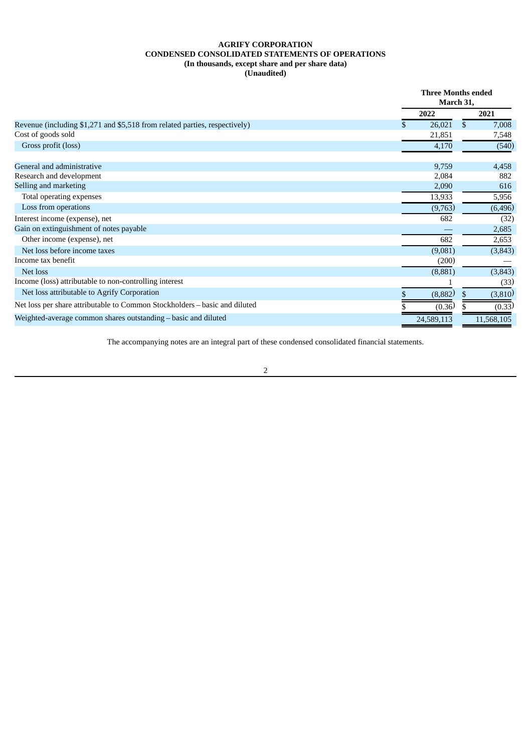## **AGRIFY CORPORATION CONDENSED CONSOLIDATED STATEMENTS OF OPERATIONS (In thousands, except share and per share data) (Unaudited)**

<span id="page-3-0"></span>

|                                                                            |               | March 31, | <b>Three Months ended</b> |
|----------------------------------------------------------------------------|---------------|-----------|---------------------------|
|                                                                            | 2022          |           | 2021                      |
| Revenue (including \$1,271 and \$5,518 from related parties, respectively) | 26,021<br>\$. | \$        | 7,008                     |
| Cost of goods sold                                                         | 21,851        |           | 7,548                     |
| Gross profit (loss)                                                        | 4,170         |           | (540)                     |
| General and administrative                                                 | 9,759         |           | 4,458                     |
| Research and development                                                   | 2,084         |           | 882                       |
| Selling and marketing                                                      | 2,090         |           | 616                       |
| Total operating expenses                                                   | 13,933        |           | 5,956                     |
| Loss from operations                                                       | (9,763)       |           | (6, 496)                  |
| Interest income (expense), net                                             | 682           |           | (32)                      |
| Gain on extinguishment of notes payable                                    |               |           | 2,685                     |
| Other income (expense), net                                                | 682           |           | 2,653                     |
| Net loss before income taxes                                               | (9,081)       |           | (3, 843)                  |
| Income tax benefit                                                         | (200)         |           |                           |
| Net loss                                                                   | (8,881)       |           | (3, 843)                  |
| Income (loss) attributable to non-controlling interest                     |               |           | (33)                      |
| Net loss attributable to Agrify Corporation                                | (8,882)       | \$        | (3,810)                   |
| Net loss per share attributable to Common Stockholders - basic and diluted | (0.36)        |           | (0.33)                    |
| Weighted-average common shares outstanding - basic and diluted             | 24,589,113    |           | 11,568,105                |

The accompanying notes are an integral part of these condensed consolidated financial statements.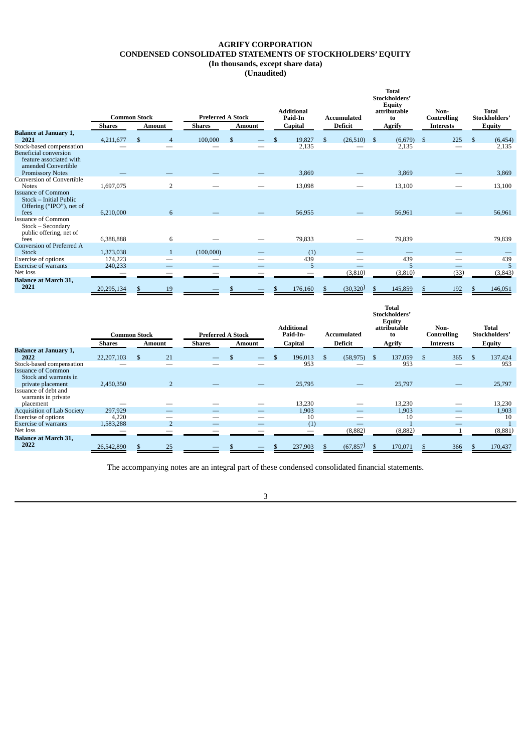# **AGRIFY CORPORATION CONDENSED CONSOLIDATED STATEMENTS OF STOCKHOLDERS' EQUITY (In thousands, except share data)**

| (Unaudited) |
|-------------|
|-------------|

<span id="page-4-0"></span>

|                                                                                                     | <b>Common Stock</b><br><b>Shares</b> | Amount               | <b>Preferred A Stock</b><br><b>Shares</b> | <b>Amount</b> | <b>Additional</b><br>Paid-In<br>Capital | Accumulated<br><b>Deficit</b> |      | <b>Total</b><br>Stockholders'<br><b>Equity</b><br>attributable<br>to<br><b>Agrify</b> | Non-<br>Controlling<br><b>Interests</b> |      | <b>Total</b><br>Stockholders'<br><b>Equity</b> |
|-----------------------------------------------------------------------------------------------------|--------------------------------------|----------------------|-------------------------------------------|---------------|-----------------------------------------|-------------------------------|------|---------------------------------------------------------------------------------------|-----------------------------------------|------|------------------------------------------------|
| <b>Balance at January 1,</b>                                                                        |                                      |                      |                                           |               |                                         |                               |      |                                                                                       |                                         |      |                                                |
| 2021                                                                                                | 4,211,677                            | \$<br>$\overline{4}$ | 100,000                                   | \$            | \$<br>19,827                            | \$<br>(26, 510)               | - \$ | (6,679)                                                                               | \$                                      | 225  | \$<br>(6, 454)                                 |
| Stock-based compensation<br>Beneficial conversion<br>feature associated with<br>amended Convertible |                                      |                      |                                           |               | 2,135                                   |                               |      | 2,135                                                                                 |                                         | —    | 2,135                                          |
| <b>Promissory Notes</b>                                                                             |                                      |                      |                                           |               | 3,869                                   |                               |      | 3,869                                                                                 |                                         |      | 3,869                                          |
| <b>Conversion of Convertible</b><br><b>Notes</b>                                                    | 1,697,075                            | 2                    |                                           |               | 13,098                                  |                               |      | 13,100                                                                                |                                         |      | 13,100                                         |
| <b>Issuance of Common</b><br>Stock - Initial Public<br>Offering ("IPO"), net of<br>fees             | 6,210,000                            | 6                    |                                           |               | 56,955                                  |                               |      | 56,961                                                                                |                                         |      | 56,961                                         |
| <b>Issuance of Common</b><br>Stock - Secondary<br>public offering, net of<br>fees                   | 6,388,888                            | 6                    |                                           |               | 79,833                                  |                               |      | 79,839                                                                                |                                         |      | 79,839                                         |
| Conversion of Preferred A                                                                           |                                      |                      |                                           |               |                                         |                               |      |                                                                                       |                                         |      |                                                |
| Stock                                                                                               | 1,373,038                            | $\mathbf{1}$         | (100,000)                                 |               | (1)                                     |                               |      |                                                                                       |                                         |      |                                                |
| Exercise of options                                                                                 | 174,223                              |                      | –                                         |               | 439                                     |                               |      | 439                                                                                   |                                         |      | 439                                            |
| <b>Exercise of warrants</b>                                                                         | 240,233                              |                      |                                           |               | 5                                       |                               |      | 5                                                                                     |                                         | —    | 5                                              |
| Net loss                                                                                            |                                      |                      |                                           |               |                                         | (3,810)                       |      | (3,810)                                                                               |                                         | (33) | (3, 843)                                       |
| <b>Balance at March 31,</b><br>2021                                                                 | 20,295,134                           | \$<br>19             |                                           | \$            | \$<br>176,160                           | \$<br>(30, 320)               |      | 145,859                                                                               | \$                                      | 192  | \$<br>146,051                                  |

|                                                                         | <b>Common Stock</b> |                | <b>Preferred A Stock</b> |        | <b>Additional</b><br>Paid-In- |               | Accumulated    |      | <b>Total</b><br>Stockholders'<br><b>Equity</b><br>attributable<br>to | Non-<br><b>Controlling</b> |               | Total<br>Stockholders' |
|-------------------------------------------------------------------------|---------------------|----------------|--------------------------|--------|-------------------------------|---------------|----------------|------|----------------------------------------------------------------------|----------------------------|---------------|------------------------|
|                                                                         | <b>Shares</b>       | Amount         | Shares                   | Amount | Capital                       |               | <b>Deficit</b> |      | <b>Agrify</b>                                                        | <b>Interests</b>           |               | <b>Equity</b>          |
| <b>Balance at January 1,</b><br>2022                                    | 22,207,103          | \$<br>21       |                          |        | 196,013                       | <sup>\$</sup> | (58, 975)      | - \$ | 137,059                                                              | \$<br>365                  | -\$           | 137,424                |
| Stock-based compensation                                                |                     | __             |                          |        | 953                           |               |                |      | 953                                                                  |                            |               | 953                    |
| <b>Issuance of Common</b><br>Stock and warrants in<br>private placement | 2,450,350           | 2              |                          |        | 25,795                        |               |                |      | 25,797                                                               |                            |               | 25,797                 |
| Issuance of debt and<br>warrants in private<br>placement                |                     |                |                          |        | 13,230                        |               |                |      | 13,230                                                               |                            |               | 13,230                 |
| <b>Acquisition of Lab Society</b>                                       | 297,929             |                |                          |        | 1,903                         |               |                |      | 1,903                                                                |                            |               | 1,903                  |
| Exercise of options                                                     | 4,220               |                |                          |        | 10                            |               |                |      | 10                                                                   |                            |               | 10                     |
| <b>Exercise of warrants</b>                                             | 1,583,288           | $\overline{2}$ |                          |        | (1)                           |               |                |      |                                                                      |                            |               |                        |
| Net loss                                                                |                     |                |                          |        |                               |               | (8,882)        |      | (8,882)                                                              |                            |               | (8,881)                |
| <b>Balance at March 31,</b><br>2022                                     | 26,542,890          | 25             |                          |        | 237,903                       |               | (67, 857)      |      | 170,071                                                              | 366                        | $\mathcal{P}$ | 170,437                |

The accompanying notes are an integral part of these condensed consolidated financial statements.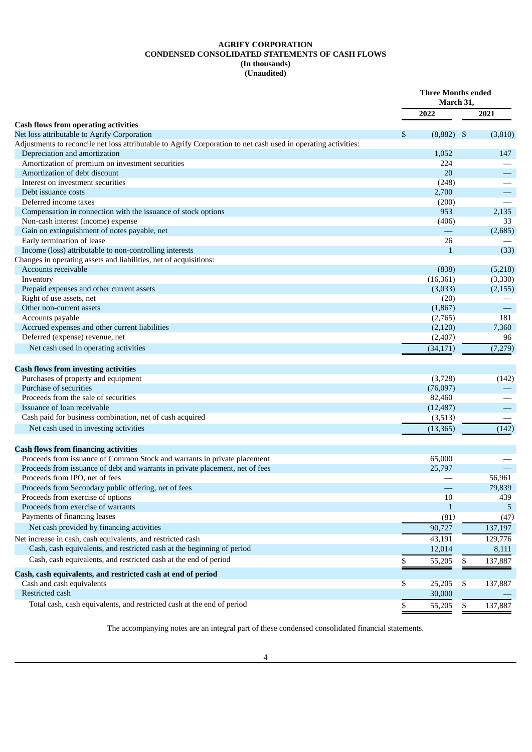## **AGRIFY CORPORATION CONDENSED CONSOLIDATED STATEMENTS OF CASH FLOWS (In thousands) (Unaudited)**

<span id="page-5-0"></span>

|                                                                                                                | <b>Three Months ended</b><br>March 31, |               |
|----------------------------------------------------------------------------------------------------------------|----------------------------------------|---------------|
|                                                                                                                | 2022                                   | 2021          |
| <b>Cash flows from operating activities</b>                                                                    |                                        |               |
| Net loss attributable to Agrify Corporation                                                                    | \$<br>(8,882)                          | \$<br>(3,810) |
| Adjustments to reconcile net loss attributable to Agrify Corporation to net cash used in operating activities: |                                        |               |
| Depreciation and amortization                                                                                  | 1,052                                  | 147           |
| Amortization of premium on investment securities                                                               | 224                                    |               |
| Amortization of debt discount                                                                                  | 20                                     |               |
| Interest on investment securities                                                                              | (248)                                  |               |
| Debt issuance costs                                                                                            | 2,700                                  |               |
| Deferred income taxes                                                                                          | (200)                                  |               |
| Compensation in connection with the issuance of stock options                                                  | 953                                    | 2,135         |
| Non-cash interest (income) expense                                                                             | (406)                                  | 33            |
| Gain on extinguishment of notes payable, net                                                                   |                                        | (2,685)       |
| Early termination of lease                                                                                     | 26                                     |               |
| Income (loss) attributable to non-controlling interests                                                        | $\mathbf{1}$                           | (33)          |
| Changes in operating assets and liabilities, net of acquisitions:                                              |                                        |               |
| Accounts receivable                                                                                            | (838)                                  | (5,218)       |
| Inventory                                                                                                      | (16, 361)                              | (3, 330)      |
| Prepaid expenses and other current assets                                                                      | (3,033)                                | (2, 155)      |
| Right of use assets, net                                                                                       | (20)                                   |               |
| Other non-current assets                                                                                       | (1,867)                                |               |
| Accounts payable                                                                                               | (2,765)                                | 181           |
| Accrued expenses and other current liabilities                                                                 | (2, 120)                               | 7,360         |
| Deferred (expense) revenue, net                                                                                | (2,407)                                | 96            |
| Net cash used in operating activities                                                                          | (34, 171)                              | (7,279)       |
| <b>Cash flows from investing activities</b>                                                                    |                                        |               |
| Purchases of property and equipment                                                                            | (3,728)                                | (142)         |
| Purchase of securities                                                                                         | (76,097)                               |               |
| Proceeds from the sale of securities                                                                           | 82,460                                 |               |
| Issuance of loan receivable                                                                                    | (12, 487)                              |               |
| Cash paid for business combination, net of cash acquired                                                       | (3,513)                                |               |
| Net cash used in investing activities                                                                          | (13, 365)                              | (142)         |
| <b>Cash flows from financing activities</b>                                                                    |                                        |               |
| Proceeds from issuance of Common Stock and warrants in private placement                                       | 65,000                                 |               |
| Proceeds from issuance of debt and warrants in private placement, net of fees                                  | 25,797                                 |               |
| Proceeds from IPO, net of fees                                                                                 |                                        | 56,961        |
| Proceeds from Secondary public offering, net of fees                                                           |                                        | 79,839        |
| Proceeds from exercise of options                                                                              | 10                                     | 439           |
| Proceeds from exercise of warrants                                                                             | $\mathbf{1}$                           | 5             |
| Payments of financing leases                                                                                   | (81)                                   | (47)          |
| Net cash provided by financing activities                                                                      | 90,727                                 | 137,197       |
| Net increase in cash, cash equivalents, and restricted cash                                                    | 43,191                                 | 129,776       |
| Cash, cash equivalents, and restricted cash at the beginning of period                                         | 12,014                                 | 8,111         |
| Cash, cash equivalents, and restricted cash at the end of period                                               |                                        |               |
|                                                                                                                | \$<br>55,205                           | \$<br>137,887 |
| Cash, cash equivalents, and restricted cash at end of period                                                   |                                        |               |
| Cash and cash equivalents                                                                                      | \$<br>25,205                           | \$<br>137,887 |
| Restricted cash                                                                                                | 30,000                                 |               |
| Total cash, cash equivalents, and restricted cash at the end of period                                         | \$<br>55,205                           | \$<br>137,887 |

The accompanying notes are an integral part of these condensed consolidated financial statements.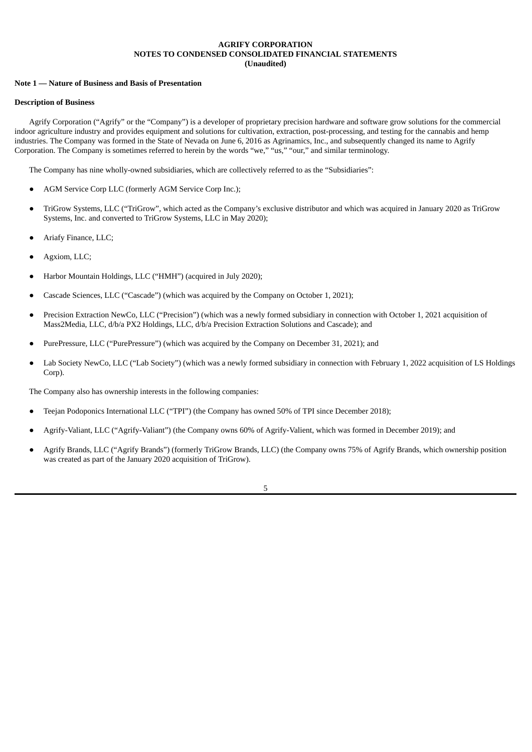## **AGRIFY CORPORATION NOTES TO CONDENSED CONSOLIDATED FINANCIAL STATEMENTS (Unaudited)**

## <span id="page-6-0"></span>**Note 1 — Nature of Business and Basis of Presentation**

### **Description of Business**

Agrify Corporation ("Agrify" or the "Company") is a developer of proprietary precision hardware and software grow solutions for the commercial indoor agriculture industry and provides equipment and solutions for cultivation, extraction, post-processing, and testing for the cannabis and hemp industries. The Company was formed in the State of Nevada on June 6, 2016 as Agrinamics, Inc., and subsequently changed its name to Agrify Corporation. The Company is sometimes referred to herein by the words "we," "us," "our," and similar terminology.

The Company has nine wholly-owned subsidiaries, which are collectively referred to as the "Subsidiaries":

- AGM Service Corp LLC (formerly AGM Service Corp Inc.);
- TriGrow Systems, LLC ("TriGrow", which acted as the Company's exclusive distributor and which was acquired in January 2020 as TriGrow Systems, Inc. and converted to TriGrow Systems, LLC in May 2020);
- Ariafy Finance, LLC;
- Agxiom, LLC;
- Harbor Mountain Holdings, LLC ("HMH") (acquired in July 2020);
- Cascade Sciences, LLC ("Cascade") (which was acquired by the Company on October 1, 2021);
- Precision Extraction NewCo, LLC ("Precision") (which was a newly formed subsidiary in connection with October 1, 2021 acquisition of Mass2Media, LLC, d/b/a PX2 Holdings, LLC, d/b/a Precision Extraction Solutions and Cascade); and
- PurePressure, LLC ("PurePressure") (which was acquired by the Company on December 31, 2021); and
- Lab Society NewCo, LLC ("Lab Society") (which was a newly formed subsidiary in connection with February 1, 2022 acquisition of LS Holdings Corp).

The Company also has ownership interests in the following companies:

- Teejan Podoponics International LLC ("TPI") (the Company has owned 50% of TPI since December 2018);
- Agrify-Valiant, LLC ("Agrify-Valiant") (the Company owns 60% of Agrify-Valient, which was formed in December 2019); and
- Agrify Brands, LLC ("Agrify Brands") (formerly TriGrow Brands, LLC) (the Company owns 75% of Agrify Brands, which ownership position was created as part of the January 2020 acquisition of TriGrow).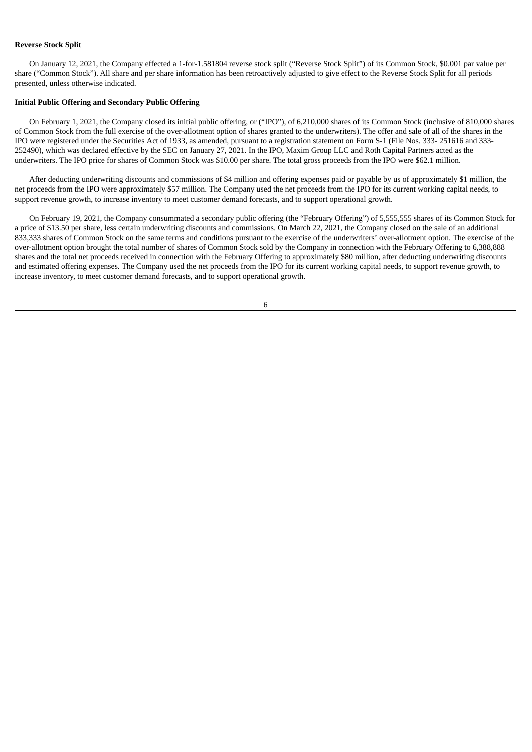## **Reverse Stock Split**

On January 12, 2021, the Company effected a 1-for-1.581804 reverse stock split ("Reverse Stock Split") of its Common Stock, \$0.001 par value per share ("Common Stock"). All share and per share information has been retroactively adjusted to give effect to the Reverse Stock Split for all periods presented, unless otherwise indicated.

## **Initial Public Offering and Secondary Public Offering**

On February 1, 2021, the Company closed its initial public offering, or ("IPO"), of 6,210,000 shares of its Common Stock (inclusive of 810,000 shares of Common Stock from the full exercise of the over-allotment option of shares granted to the underwriters). The offer and sale of all of the shares in the IPO were registered under the Securities Act of 1933, as amended, pursuant to a registration statement on Form S-1 (File Nos. 333- 251616 and 333- 252490), which was declared effective by the SEC on January 27, 2021. In the IPO, Maxim Group LLC and Roth Capital Partners acted as the underwriters. The IPO price for shares of Common Stock was \$10.00 per share. The total gross proceeds from the IPO were \$62.1 million.

After deducting underwriting discounts and commissions of \$4 million and offering expenses paid or payable by us of approximately \$1 million, the net proceeds from the IPO were approximately \$57 million. The Company used the net proceeds from the IPO for its current working capital needs, to support revenue growth, to increase inventory to meet customer demand forecasts, and to support operational growth.

On February 19, 2021, the Company consummated a secondary public offering (the "February Offering") of 5,555,555 shares of its Common Stock for a price of \$13.50 per share, less certain underwriting discounts and commissions. On March 22, 2021, the Company closed on the sale of an additional 833,333 shares of Common Stock on the same terms and conditions pursuant to the exercise of the underwriters' over-allotment option. The exercise of the over-allotment option brought the total number of shares of Common Stock sold by the Company in connection with the February Offering to 6,388,888 shares and the total net proceeds received in connection with the February Offering to approximately \$80 million, after deducting underwriting discounts and estimated offering expenses. The Company used the net proceeds from the IPO for its current working capital needs, to support revenue growth, to increase inventory, to meet customer demand forecasts, and to support operational growth.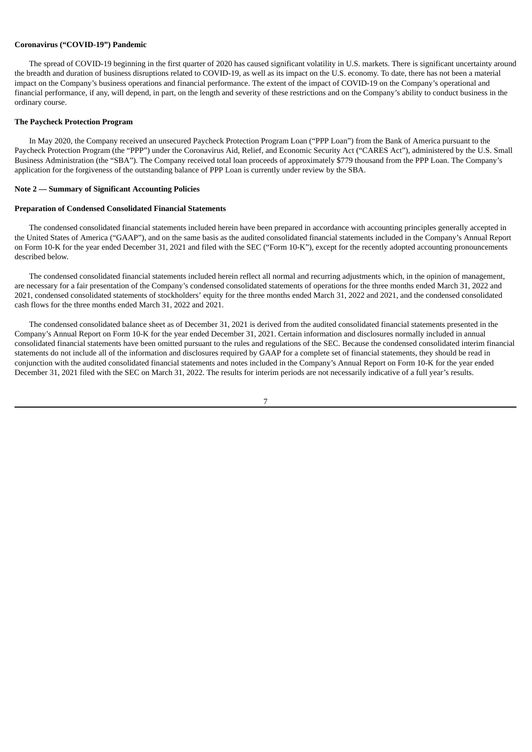## **Coronavirus ("COVID-19") Pandemic**

The spread of COVID-19 beginning in the first quarter of 2020 has caused significant volatility in U.S. markets. There is significant uncertainty around the breadth and duration of business disruptions related to COVID-19, as well as its impact on the U.S. economy. To date, there has not been a material impact on the Company's business operations and financial performance. The extent of the impact of COVID-19 on the Company's operational and financial performance, if any, will depend, in part, on the length and severity of these restrictions and on the Company's ability to conduct business in the ordinary course.

### **The Paycheck Protection Program**

In May 2020, the Company received an unsecured Paycheck Protection Program Loan ("PPP Loan") from the Bank of America pursuant to the Paycheck Protection Program (the "PPP") under the Coronavirus Aid, Relief, and Economic Security Act ("CARES Act"), administered by the U.S. Small Business Administration (the "SBA"). The Company received total loan proceeds of approximately \$779 thousand from the PPP Loan. The Company's application for the forgiveness of the outstanding balance of PPP Loan is currently under review by the SBA.

## **Note 2 — Summary of Significant Accounting Policies**

### **Preparation of Condensed Consolidated Financial Statements**

The condensed consolidated financial statements included herein have been prepared in accordance with accounting principles generally accepted in the United States of America ("GAAP"), and on the same basis as the audited consolidated financial statements included in the Company's Annual Report on Form 10-K for the year ended December 31, 2021 and filed with the SEC ("Form 10-K"), except for the recently adopted accounting pronouncements described below.

The condensed consolidated financial statements included herein reflect all normal and recurring adjustments which, in the opinion of management, are necessary for a fair presentation of the Company's condensed consolidated statements of operations for the three months ended March 31, 2022 and 2021, condensed consolidated statements of stockholders' equity for the three months ended March 31, 2022 and 2021, and the condensed consolidated cash flows for the three months ended March 31, 2022 and 2021.

The condensed consolidated balance sheet as of December 31, 2021 is derived from the audited consolidated financial statements presented in the Company's Annual Report on Form 10-K for the year ended December 31, 2021. Certain information and disclosures normally included in annual consolidated financial statements have been omitted pursuant to the rules and regulations of the SEC. Because the condensed consolidated interim financial statements do not include all of the information and disclosures required by GAAP for a complete set of financial statements, they should be read in conjunction with the audited consolidated financial statements and notes included in the Company's Annual Report on Form 10-K for the year ended December 31, 2021 filed with the SEC on March 31, 2022. The results for interim periods are not necessarily indicative of a full year's results.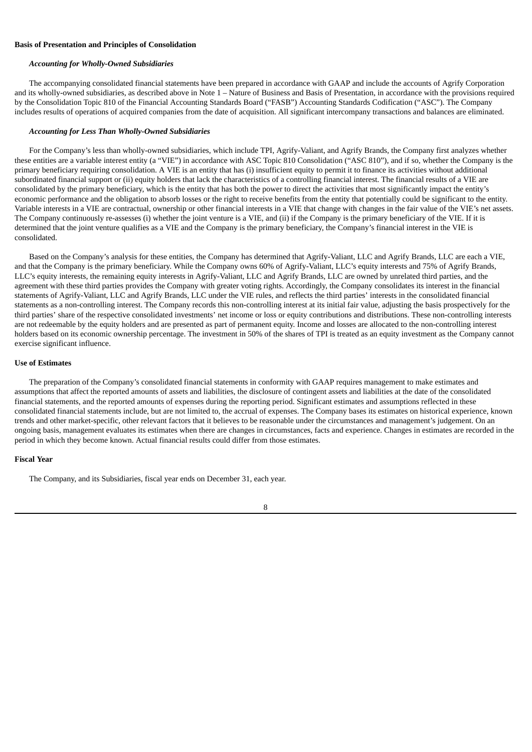## **Basis of Presentation and Principles of Consolidation**

## *Accounting for Wholly-Owned Subsidiaries*

The accompanying consolidated financial statements have been prepared in accordance with GAAP and include the accounts of Agrify Corporation and its wholly-owned subsidiaries, as described above in Note 1 – Nature of Business and Basis of Presentation, in accordance with the provisions required by the Consolidation Topic 810 of the Financial Accounting Standards Board ("FASB") Accounting Standards Codification ("ASC"). The Company includes results of operations of acquired companies from the date of acquisition. All significant intercompany transactions and balances are eliminated.

## *Accounting for Less Than Wholly-Owned Subsidiaries*

For the Company's less than wholly-owned subsidiaries, which include TPI, Agrify-Valiant, and Agrify Brands, the Company first analyzes whether these entities are a variable interest entity (a "VIE") in accordance with ASC Topic 810 Consolidation ("ASC 810"), and if so, whether the Company is the primary beneficiary requiring consolidation. A VIE is an entity that has (i) insufficient equity to permit it to finance its activities without additional subordinated financial support or (ii) equity holders that lack the characteristics of a controlling financial interest. The financial results of a VIE are consolidated by the primary beneficiary, which is the entity that has both the power to direct the activities that most significantly impact the entity's economic performance and the obligation to absorb losses or the right to receive benefits from the entity that potentially could be significant to the entity. Variable interests in a VIE are contractual, ownership or other financial interests in a VIE that change with changes in the fair value of the VIE's net assets. The Company continuously re-assesses (i) whether the joint venture is a VIE, and (ii) if the Company is the primary beneficiary of the VIE. If it is determined that the joint venture qualifies as a VIE and the Company is the primary beneficiary, the Company's financial interest in the VIE is consolidated.

Based on the Company's analysis for these entities, the Company has determined that Agrify-Valiant, LLC and Agrify Brands, LLC are each a VIE, and that the Company is the primary beneficiary. While the Company owns 60% of Agrify-Valiant, LLC's equity interests and 75% of Agrify Brands, LLC's equity interests, the remaining equity interests in Agrify-Valiant, LLC and Agrify Brands, LLC are owned by unrelated third parties, and the agreement with these third parties provides the Company with greater voting rights. Accordingly, the Company consolidates its interest in the financial statements of Agrify-Valiant, LLC and Agrify Brands, LLC under the VIE rules, and reflects the third parties' interests in the consolidated financial statements as a non-controlling interest. The Company records this non-controlling interest at its initial fair value, adjusting the basis prospectively for the third parties' share of the respective consolidated investments' net income or loss or equity contributions and distributions. These non-controlling interests are not redeemable by the equity holders and are presented as part of permanent equity. Income and losses are allocated to the non-controlling interest holders based on its economic ownership percentage. The investment in 50% of the shares of TPI is treated as an equity investment as the Company cannot exercise significant influence.

### **Use of Estimates**

The preparation of the Company's consolidated financial statements in conformity with GAAP requires management to make estimates and assumptions that affect the reported amounts of assets and liabilities, the disclosure of contingent assets and liabilities at the date of the consolidated financial statements, and the reported amounts of expenses during the reporting period. Significant estimates and assumptions reflected in these consolidated financial statements include, but are not limited to, the accrual of expenses. The Company bases its estimates on historical experience, known trends and other market-specific, other relevant factors that it believes to be reasonable under the circumstances and management's judgement. On an ongoing basis, management evaluates its estimates when there are changes in circumstances, facts and experience. Changes in estimates are recorded in the period in which they become known. Actual financial results could differ from those estimates.

## **Fiscal Year**

The Company, and its Subsidiaries, fiscal year ends on December 31, each year.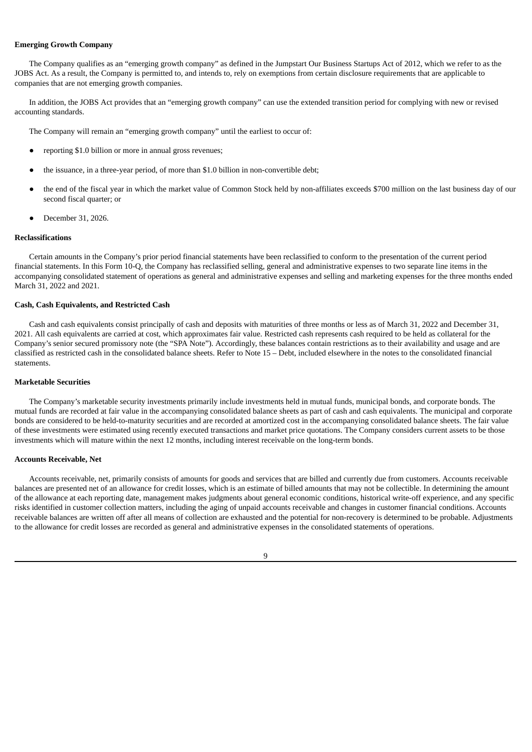## **Emerging Growth Company**

The Company qualifies as an "emerging growth company" as defined in the Jumpstart Our Business Startups Act of 2012, which we refer to as the JOBS Act. As a result, the Company is permitted to, and intends to, rely on exemptions from certain disclosure requirements that are applicable to companies that are not emerging growth companies.

In addition, the JOBS Act provides that an "emerging growth company" can use the extended transition period for complying with new or revised accounting standards.

The Company will remain an "emerging growth company" until the earliest to occur of:

- reporting \$1.0 billion or more in annual gross revenues;
- the issuance, in a three-year period, of more than \$1.0 billion in non-convertible debt;
- the end of the fiscal year in which the market value of Common Stock held by non-affiliates exceeds \$700 million on the last business day of our second fiscal quarter; or
- December 31, 2026.

### **Reclassifications**

Certain amounts in the Company's prior period financial statements have been reclassified to conform to the presentation of the current period financial statements. In this Form 10-Q, the Company has reclassified selling, general and administrative expenses to two separate line items in the accompanying consolidated statement of operations as general and administrative expenses and selling and marketing expenses for the three months ended March 31, 2022 and 2021.

#### **Cash, Cash Equivalents, and Restricted Cash**

Cash and cash equivalents consist principally of cash and deposits with maturities of three months or less as of March 31, 2022 and December 31, 2021. All cash equivalents are carried at cost, which approximates fair value. Restricted cash represents cash required to be held as collateral for the Company's senior secured promissory note (the "SPA Note"). Accordingly, these balances contain restrictions as to their availability and usage and are classified as restricted cash in the consolidated balance sheets. Refer to Note 15 – Debt, included elsewhere in the notes to the consolidated financial statements.

#### **Marketable Securities**

The Company's marketable security investments primarily include investments held in mutual funds, municipal bonds, and corporate bonds. The mutual funds are recorded at fair value in the accompanying consolidated balance sheets as part of cash and cash equivalents. The municipal and corporate bonds are considered to be held-to-maturity securities and are recorded at amortized cost in the accompanying consolidated balance sheets. The fair value of these investments were estimated using recently executed transactions and market price quotations. The Company considers current assets to be those investments which will mature within the next 12 months, including interest receivable on the long-term bonds.

### **Accounts Receivable, Net**

Accounts receivable, net, primarily consists of amounts for goods and services that are billed and currently due from customers. Accounts receivable balances are presented net of an allowance for credit losses, which is an estimate of billed amounts that may not be collectible. In determining the amount of the allowance at each reporting date, management makes judgments about general economic conditions, historical write-off experience, and any specific risks identified in customer collection matters, including the aging of unpaid accounts receivable and changes in customer financial conditions. Accounts receivable balances are written off after all means of collection are exhausted and the potential for non-recovery is determined to be probable. Adjustments to the allowance for credit losses are recorded as general and administrative expenses in the consolidated statements of operations.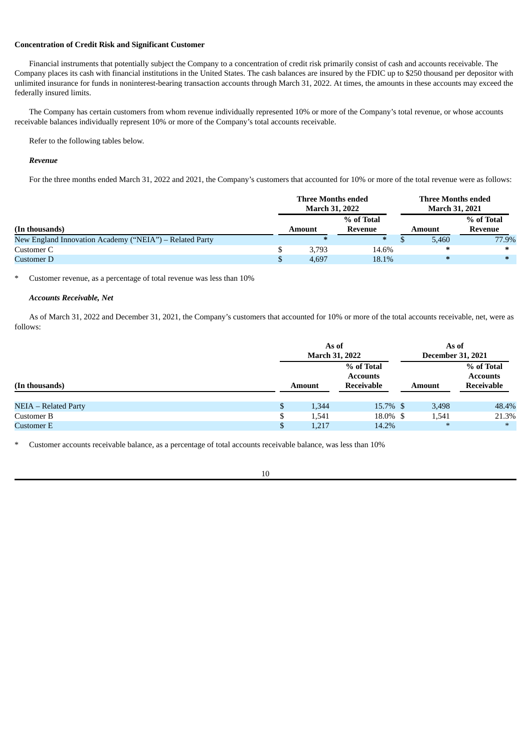## **Concentration of Credit Risk and Significant Customer**

Financial instruments that potentially subject the Company to a concentration of credit risk primarily consist of cash and accounts receivable. The Company places its cash with financial institutions in the United States. The cash balances are insured by the FDIC up to \$250 thousand per depositor with unlimited insurance for funds in noninterest-bearing transaction accounts through March 31, 2022. At times, the amounts in these accounts may exceed the federally insured limits.

The Company has certain customers from whom revenue individually represented 10% or more of the Company's total revenue, or whose accounts receivable balances individually represent 10% or more of the Company's total accounts receivable.

Refer to the following tables below.

### *Revenue*

For the three months ended March 31, 2022 and 2021, the Company's customers that accounted for 10% or more of the total revenue were as follows:

|                                                         | <b>Three Months ended</b><br><b>March 31, 2022</b> |            | <b>Three Months ended</b><br><b>March 31, 2021</b> |            |  |  |  |
|---------------------------------------------------------|----------------------------------------------------|------------|----------------------------------------------------|------------|--|--|--|
|                                                         |                                                    | % of Total |                                                    | % of Total |  |  |  |
| (In thousands)                                          | Amount                                             | Revenue    | Amount                                             | Revenue    |  |  |  |
| New England Innovation Academy ("NEIA") – Related Party | ∗                                                  | ∗          | 5.460                                              | 77.9%      |  |  |  |
| Customer C                                              | 3.793                                              | 14.6%      | ∗                                                  |            |  |  |  |
| Customer D                                              | 4.697                                              | 18.1%      | $\ast$                                             |            |  |  |  |

Customer revenue, as a percentage of total revenue was less than 10%

## *Accounts Receivable, Net*

As of March 31, 2022 and December 31, 2021, the Company's customers that accounted for 10% or more of the total accounts receivable, net, were as follows:

|     |       |                                             |                                | As of<br><b>December 31, 2021</b> |                                             |  |  |
|-----|-------|---------------------------------------------|--------------------------------|-----------------------------------|---------------------------------------------|--|--|
|     |       | % of Total<br><b>Accounts</b><br>Receivable |                                |                                   | % of Total<br><b>Accounts</b><br>Receivable |  |  |
| \$  | 1,344 |                                             |                                | 3,498                             | 48.4%                                       |  |  |
| \$. | 1,541 |                                             |                                | 1,541                             | 21.3%                                       |  |  |
| \$  | 1,217 | 14.2%                                       |                                | $\ast$                            | $*$                                         |  |  |
|     |       | <b>Amount</b>                               | As of<br><b>March 31, 2022</b> | 15.7% \$<br>$18.0\%$ \$           | <b>Amount</b>                               |  |  |

Customer accounts receivable balance, as a percentage of total accounts receivable balance, was less than 10%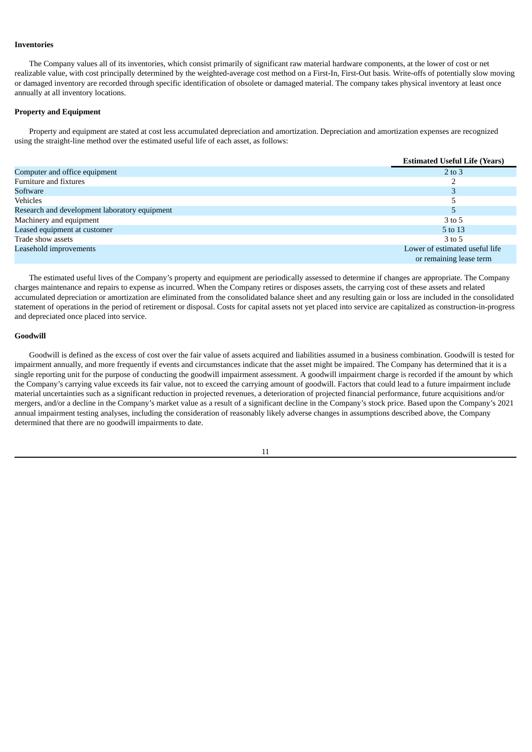## **Inventories**

The Company values all of its inventories, which consist primarily of significant raw material hardware components, at the lower of cost or net realizable value, with cost principally determined by the weighted-average cost method on a First-In, First-Out basis. Write-offs of potentially slow moving or damaged inventory are recorded through specific identification of obsolete or damaged material. The company takes physical inventory at least once annually at all inventory locations.

## **Property and Equipment**

Property and equipment are stated at cost less accumulated depreciation and amortization. Depreciation and amortization expenses are recognized using the straight-line method over the estimated useful life of each asset, as follows:

|                                               | <b>Estimated Useful Life (Years)</b> |
|-----------------------------------------------|--------------------------------------|
| Computer and office equipment                 | $2$ to $3$                           |
| Furniture and fixtures                        |                                      |
| Software                                      |                                      |
| Vehicles                                      |                                      |
| Research and development laboratory equipment | 5                                    |
| Machinery and equipment                       | 3 to 5                               |
| Leased equipment at customer                  | 5 to 13                              |
| Trade show assets                             | $3$ to 5                             |
| Leasehold improvements                        | Lower of estimated useful life       |
|                                               | or remaining lease term              |

The estimated useful lives of the Company's property and equipment are periodically assessed to determine if changes are appropriate. The Company charges maintenance and repairs to expense as incurred. When the Company retires or disposes assets, the carrying cost of these assets and related accumulated depreciation or amortization are eliminated from the consolidated balance sheet and any resulting gain or loss are included in the consolidated statement of operations in the period of retirement or disposal. Costs for capital assets not yet placed into service are capitalized as construction-in-progress and depreciated once placed into service.

### **Goodwill**

Goodwill is defined as the excess of cost over the fair value of assets acquired and liabilities assumed in a business combination. Goodwill is tested for impairment annually, and more frequently if events and circumstances indicate that the asset might be impaired. The Company has determined that it is a single reporting unit for the purpose of conducting the goodwill impairment assessment. A goodwill impairment charge is recorded if the amount by which the Company's carrying value exceeds its fair value, not to exceed the carrying amount of goodwill. Factors that could lead to a future impairment include material uncertainties such as a significant reduction in projected revenues, a deterioration of projected financial performance, future acquisitions and/or mergers, and/or a decline in the Company's market value as a result of a significant decline in the Company's stock price. Based upon the Company's 2021 annual impairment testing analyses, including the consideration of reasonably likely adverse changes in assumptions described above, the Company determined that there are no goodwill impairments to date.

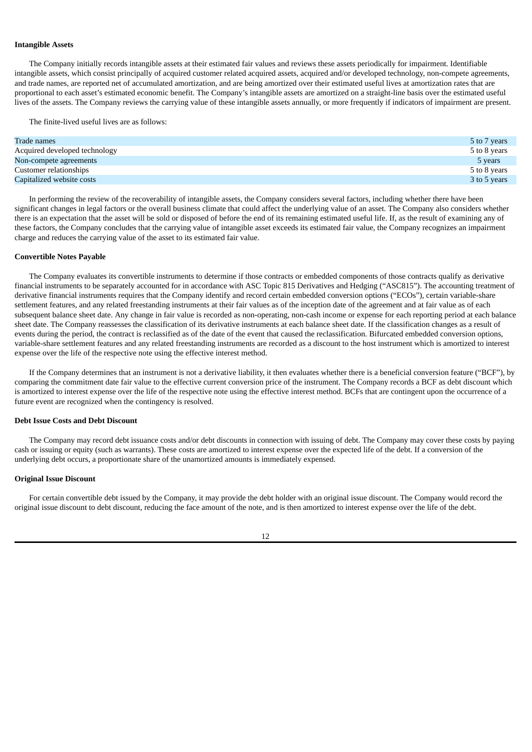## **Intangible Assets**

The Company initially records intangible assets at their estimated fair values and reviews these assets periodically for impairment. Identifiable intangible assets, which consist principally of acquired customer related acquired assets, acquired and/or developed technology, non-compete agreements, and trade names, are reported net of accumulated amortization, and are being amortized over their estimated useful lives at amortization rates that are proportional to each asset's estimated economic benefit. The Company's intangible assets are amortized on a straight-line basis over the estimated useful lives of the assets. The Company reviews the carrying value of these intangible assets annually, or more frequently if indicators of impairment are present.

The finite-lived useful lives are as follows:

| Trade names                   | 5 to 7 years |
|-------------------------------|--------------|
| Acquired developed technology | 5 to 8 years |
| Non-compete agreements        | 5 years      |
| Customer relationships        | 5 to 8 years |
| Capitalized website costs     | 3 to 5 years |

In performing the review of the recoverability of intangible assets, the Company considers several factors, including whether there have been significant changes in legal factors or the overall business climate that could affect the underlying value of an asset. The Company also considers whether there is an expectation that the asset will be sold or disposed of before the end of its remaining estimated useful life. If, as the result of examining any of these factors, the Company concludes that the carrying value of intangible asset exceeds its estimated fair value, the Company recognizes an impairment charge and reduces the carrying value of the asset to its estimated fair value.

### **Convertible Notes Payable**

The Company evaluates its convertible instruments to determine if those contracts or embedded components of those contracts qualify as derivative financial instruments to be separately accounted for in accordance with ASC Topic 815 Derivatives and Hedging ("ASC815"). The accounting treatment of derivative financial instruments requires that the Company identify and record certain embedded conversion options ("ECOs"), certain variable-share settlement features, and any related freestanding instruments at their fair values as of the inception date of the agreement and at fair value as of each subsequent balance sheet date. Any change in fair value is recorded as non-operating, non-cash income or expense for each reporting period at each balance sheet date. The Company reassesses the classification of its derivative instruments at each balance sheet date. If the classification changes as a result of events during the period, the contract is reclassified as of the date of the event that caused the reclassification. Bifurcated embedded conversion options, variable-share settlement features and any related freestanding instruments are recorded as a discount to the host instrument which is amortized to interest expense over the life of the respective note using the effective interest method.

If the Company determines that an instrument is not a derivative liability, it then evaluates whether there is a beneficial conversion feature ("BCF"), by comparing the commitment date fair value to the effective current conversion price of the instrument. The Company records a BCF as debt discount which is amortized to interest expense over the life of the respective note using the effective interest method. BCFs that are contingent upon the occurrence of a future event are recognized when the contingency is resolved.

#### **Debt Issue Costs and Debt Discount**

The Company may record debt issuance costs and/or debt discounts in connection with issuing of debt. The Company may cover these costs by paying cash or issuing or equity (such as warrants). These costs are amortized to interest expense over the expected life of the debt. If a conversion of the underlying debt occurs, a proportionate share of the unamortized amounts is immediately expensed.

### **Original Issue Discount**

For certain convertible debt issued by the Company, it may provide the debt holder with an original issue discount. The Company would record the original issue discount to debt discount, reducing the face amount of the note, and is then amortized to interest expense over the life of the debt.

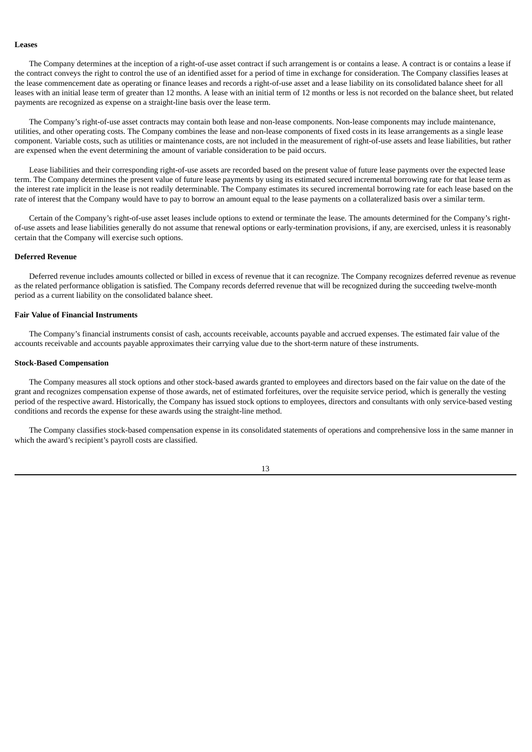## **Leases**

The Company determines at the inception of a right-of-use asset contract if such arrangement is or contains a lease. A contract is or contains a lease if the contract conveys the right to control the use of an identified asset for a period of time in exchange for consideration. The Company classifies leases at the lease commencement date as operating or finance leases and records a right-of-use asset and a lease liability on its consolidated balance sheet for all leases with an initial lease term of greater than 12 months. A lease with an initial term of 12 months or less is not recorded on the balance sheet, but related payments are recognized as expense on a straight-line basis over the lease term.

The Company's right-of-use asset contracts may contain both lease and non-lease components. Non-lease components may include maintenance, utilities, and other operating costs. The Company combines the lease and non-lease components of fixed costs in its lease arrangements as a single lease component. Variable costs, such as utilities or maintenance costs, are not included in the measurement of right-of-use assets and lease liabilities, but rather are expensed when the event determining the amount of variable consideration to be paid occurs.

Lease liabilities and their corresponding right-of-use assets are recorded based on the present value of future lease payments over the expected lease term. The Company determines the present value of future lease payments by using its estimated secured incremental borrowing rate for that lease term as the interest rate implicit in the lease is not readily determinable. The Company estimates its secured incremental borrowing rate for each lease based on the rate of interest that the Company would have to pay to borrow an amount equal to the lease payments on a collateralized basis over a similar term.

Certain of the Company's right-of-use asset leases include options to extend or terminate the lease. The amounts determined for the Company's rightof-use assets and lease liabilities generally do not assume that renewal options or early-termination provisions, if any, are exercised, unless it is reasonably certain that the Company will exercise such options.

### **Deferred Revenue**

Deferred revenue includes amounts collected or billed in excess of revenue that it can recognize. The Company recognizes deferred revenue as revenue as the related performance obligation is satisfied. The Company records deferred revenue that will be recognized during the succeeding twelve-month period as a current liability on the consolidated balance sheet.

### **Fair Value of Financial Instruments**

The Company's financial instruments consist of cash, accounts receivable, accounts payable and accrued expenses. The estimated fair value of the accounts receivable and accounts payable approximates their carrying value due to the short-term nature of these instruments.

### **Stock-Based Compensation**

The Company measures all stock options and other stock-based awards granted to employees and directors based on the fair value on the date of the grant and recognizes compensation expense of those awards, net of estimated forfeitures, over the requisite service period, which is generally the vesting period of the respective award. Historically, the Company has issued stock options to employees, directors and consultants with only service-based vesting conditions and records the expense for these awards using the straight-line method.

The Company classifies stock-based compensation expense in its consolidated statements of operations and comprehensive loss in the same manner in which the award's recipient's payroll costs are classified.

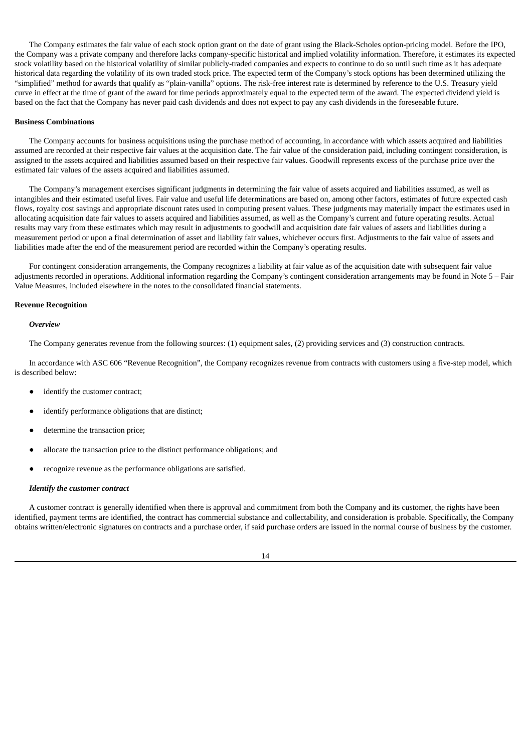The Company estimates the fair value of each stock option grant on the date of grant using the Black-Scholes option-pricing model. Before the IPO, the Company was a private company and therefore lacks company-specific historical and implied volatility information. Therefore, it estimates its expected stock volatility based on the historical volatility of similar publicly-traded companies and expects to continue to do so until such time as it has adequate historical data regarding the volatility of its own traded stock price. The expected term of the Company's stock options has been determined utilizing the "simplified" method for awards that qualify as "plain-vanilla" options. The risk-free interest rate is determined by reference to the U.S. Treasury yield curve in effect at the time of grant of the award for time periods approximately equal to the expected term of the award. The expected dividend yield is based on the fact that the Company has never paid cash dividends and does not expect to pay any cash dividends in the foreseeable future.

#### **Business Combinations**

The Company accounts for business acquisitions using the purchase method of accounting, in accordance with which assets acquired and liabilities assumed are recorded at their respective fair values at the acquisition date. The fair value of the consideration paid, including contingent consideration, is assigned to the assets acquired and liabilities assumed based on their respective fair values. Goodwill represents excess of the purchase price over the estimated fair values of the assets acquired and liabilities assumed.

The Company's management exercises significant judgments in determining the fair value of assets acquired and liabilities assumed, as well as intangibles and their estimated useful lives. Fair value and useful life determinations are based on, among other factors, estimates of future expected cash flows, royalty cost savings and appropriate discount rates used in computing present values. These judgments may materially impact the estimates used in allocating acquisition date fair values to assets acquired and liabilities assumed, as well as the Company's current and future operating results. Actual results may vary from these estimates which may result in adjustments to goodwill and acquisition date fair values of assets and liabilities during a measurement period or upon a final determination of asset and liability fair values, whichever occurs first. Adjustments to the fair value of assets and liabilities made after the end of the measurement period are recorded within the Company's operating results.

For contingent consideration arrangements, the Company recognizes a liability at fair value as of the acquisition date with subsequent fair value adjustments recorded in operations. Additional information regarding the Company's contingent consideration arrangements may be found in Note 5 – Fair Value Measures, included elsewhere in the notes to the consolidated financial statements.

### **Revenue Recognition**

#### *Overview*

The Company generates revenue from the following sources: (1) equipment sales, (2) providing services and (3) construction contracts.

In accordance with ASC 606 "Revenue Recognition", the Company recognizes revenue from contracts with customers using a five-step model, which is described below:

- identify the customer contract;
- identify performance obligations that are distinct;
- determine the transaction price;
- allocate the transaction price to the distinct performance obligations; and
- recognize revenue as the performance obligations are satisfied.

### *Identify the customer contract*

A customer contract is generally identified when there is approval and commitment from both the Company and its customer, the rights have been identified, payment terms are identified, the contract has commercial substance and collectability, and consideration is probable. Specifically, the Company obtains written/electronic signatures on contracts and a purchase order, if said purchase orders are issued in the normal course of business by the customer.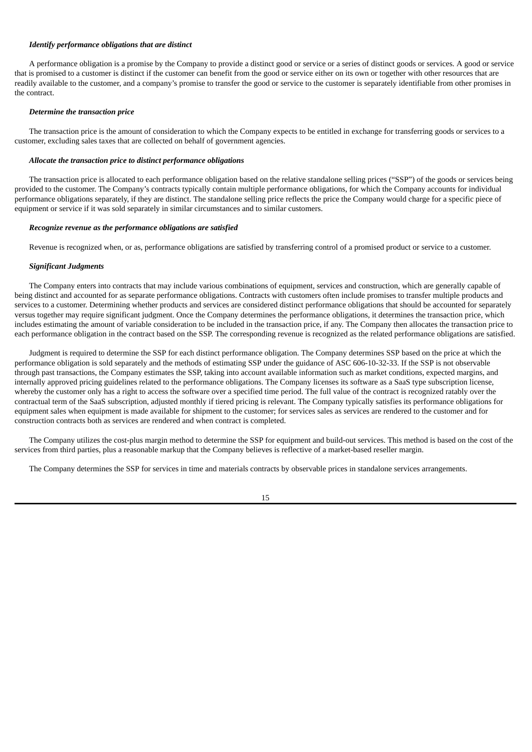## *Identify performance obligations that are distinct*

A performance obligation is a promise by the Company to provide a distinct good or service or a series of distinct goods or services. A good or service that is promised to a customer is distinct if the customer can benefit from the good or service either on its own or together with other resources that are readily available to the customer, and a company's promise to transfer the good or service to the customer is separately identifiable from other promises in the contract.

### *Determine the transaction price*

The transaction price is the amount of consideration to which the Company expects to be entitled in exchange for transferring goods or services to a customer, excluding sales taxes that are collected on behalf of government agencies.

## *Allocate the transaction price to distinct performance obligations*

The transaction price is allocated to each performance obligation based on the relative standalone selling prices ("SSP") of the goods or services being provided to the customer. The Company's contracts typically contain multiple performance obligations, for which the Company accounts for individual performance obligations separately, if they are distinct. The standalone selling price reflects the price the Company would charge for a specific piece of equipment or service if it was sold separately in similar circumstances and to similar customers.

### *Recognize revenue as the performance obligations are satisfied*

Revenue is recognized when, or as, performance obligations are satisfied by transferring control of a promised product or service to a customer.

## *Significant Judgments*

The Company enters into contracts that may include various combinations of equipment, services and construction, which are generally capable of being distinct and accounted for as separate performance obligations. Contracts with customers often include promises to transfer multiple products and services to a customer. Determining whether products and services are considered distinct performance obligations that should be accounted for separately versus together may require significant judgment. Once the Company determines the performance obligations, it determines the transaction price, which includes estimating the amount of variable consideration to be included in the transaction price, if any. The Company then allocates the transaction price to each performance obligation in the contract based on the SSP. The corresponding revenue is recognized as the related performance obligations are satisfied.

Judgment is required to determine the SSP for each distinct performance obligation. The Company determines SSP based on the price at which the performance obligation is sold separately and the methods of estimating SSP under the guidance of ASC 606-10-32-33. If the SSP is not observable through past transactions, the Company estimates the SSP, taking into account available information such as market conditions, expected margins, and internally approved pricing guidelines related to the performance obligations. The Company licenses its software as a SaaS type subscription license, whereby the customer only has a right to access the software over a specified time period. The full value of the contract is recognized ratably over the contractual term of the SaaS subscription, adjusted monthly if tiered pricing is relevant. The Company typically satisfies its performance obligations for equipment sales when equipment is made available for shipment to the customer; for services sales as services are rendered to the customer and for construction contracts both as services are rendered and when contract is completed.

The Company utilizes the cost-plus margin method to determine the SSP for equipment and build-out services. This method is based on the cost of the services from third parties, plus a reasonable markup that the Company believes is reflective of a market-based reseller margin.

The Company determines the SSP for services in time and materials contracts by observable prices in standalone services arrangements.

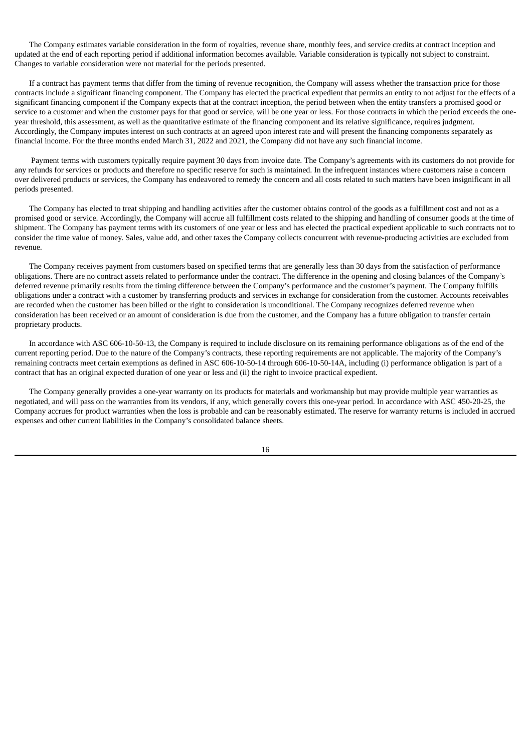The Company estimates variable consideration in the form of royalties, revenue share, monthly fees, and service credits at contract inception and updated at the end of each reporting period if additional information becomes available. Variable consideration is typically not subject to constraint. Changes to variable consideration were not material for the periods presented.

If a contract has payment terms that differ from the timing of revenue recognition, the Company will assess whether the transaction price for those contracts include a significant financing component. The Company has elected the practical expedient that permits an entity to not adjust for the effects of a significant financing component if the Company expects that at the contract inception, the period between when the entity transfers a promised good or service to a customer and when the customer pays for that good or service, will be one year or less. For those contracts in which the period exceeds the oneyear threshold, this assessment, as well as the quantitative estimate of the financing component and its relative significance, requires judgment. Accordingly, the Company imputes interest on such contracts at an agreed upon interest rate and will present the financing components separately as financial income. For the three months ended March 31, 2022 and 2021, the Company did not have any such financial income.

Payment terms with customers typically require payment 30 days from invoice date. The Company's agreements with its customers do not provide for any refunds for services or products and therefore no specific reserve for such is maintained. In the infrequent instances where customers raise a concern over delivered products or services, the Company has endeavored to remedy the concern and all costs related to such matters have been insignificant in all periods presented.

The Company has elected to treat shipping and handling activities after the customer obtains control of the goods as a fulfillment cost and not as a promised good or service. Accordingly, the Company will accrue all fulfillment costs related to the shipping and handling of consumer goods at the time of shipment. The Company has payment terms with its customers of one year or less and has elected the practical expedient applicable to such contracts not to consider the time value of money. Sales, value add, and other taxes the Company collects concurrent with revenue-producing activities are excluded from revenue.

The Company receives payment from customers based on specified terms that are generally less than 30 days from the satisfaction of performance obligations. There are no contract assets related to performance under the contract. The difference in the opening and closing balances of the Company's deferred revenue primarily results from the timing difference between the Company's performance and the customer's payment. The Company fulfills obligations under a contract with a customer by transferring products and services in exchange for consideration from the customer. Accounts receivables are recorded when the customer has been billed or the right to consideration is unconditional. The Company recognizes deferred revenue when consideration has been received or an amount of consideration is due from the customer, and the Company has a future obligation to transfer certain proprietary products.

In accordance with ASC 606-10-50-13, the Company is required to include disclosure on its remaining performance obligations as of the end of the current reporting period. Due to the nature of the Company's contracts, these reporting requirements are not applicable. The majority of the Company's remaining contracts meet certain exemptions as defined in ASC 606-10-50-14 through 606-10-50-14A, including (i) performance obligation is part of a contract that has an original expected duration of one year or less and (ii) the right to invoice practical expedient.

The Company generally provides a one-year warranty on its products for materials and workmanship but may provide multiple year warranties as negotiated, and will pass on the warranties from its vendors, if any, which generally covers this one-year period. In accordance with ASC 450-20-25, the Company accrues for product warranties when the loss is probable and can be reasonably estimated. The reserve for warranty returns is included in accrued expenses and other current liabilities in the Company's consolidated balance sheets.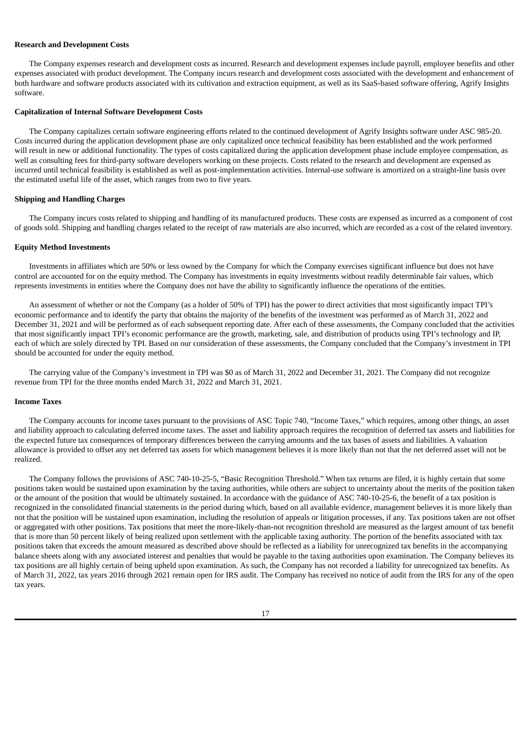## **Research and Development Costs**

The Company expenses research and development costs as incurred. Research and development expenses include payroll, employee benefits and other expenses associated with product development. The Company incurs research and development costs associated with the development and enhancement of both hardware and software products associated with its cultivation and extraction equipment, as well as its SaaS-based software offering, Agrify Insights software.

### **Capitalization of Internal Software Development Costs**

The Company capitalizes certain software engineering efforts related to the continued development of Agrify Insights software under ASC 985-20. Costs incurred during the application development phase are only capitalized once technical feasibility has been established and the work performed will result in new or additional functionality. The types of costs capitalized during the application development phase include employee compensation, as well as consulting fees for third-party software developers working on these projects. Costs related to the research and development are expensed as incurred until technical feasibility is established as well as post-implementation activities. Internal-use software is amortized on a straight-line basis over the estimated useful life of the asset, which ranges from two to five years.

## **Shipping and Handling Charges**

The Company incurs costs related to shipping and handling of its manufactured products. These costs are expensed as incurred as a component of cost of goods sold. Shipping and handling charges related to the receipt of raw materials are also incurred, which are recorded as a cost of the related inventory.

### **Equity Method Investments**

Investments in affiliates which are 50% or less owned by the Company for which the Company exercises significant influence but does not have control are accounted for on the equity method. The Company has investments in equity investments without readily determinable fair values, which represents investments in entities where the Company does not have the ability to significantly influence the operations of the entities.

An assessment of whether or not the Company (as a holder of 50% of TPI) has the power to direct activities that most significantly impact TPI's economic performance and to identify the party that obtains the majority of the benefits of the investment was performed as of March 31, 2022 and December 31, 2021 and will be performed as of each subsequent reporting date. After each of these assessments, the Company concluded that the activities that most significantly impact TPI's economic performance are the growth, marketing, sale, and distribution of products using TPI's technology and IP, each of which are solely directed by TPI. Based on our consideration of these assessments, the Company concluded that the Company's investment in TPI should be accounted for under the equity method.

The carrying value of the Company's investment in TPI was \$0 as of March 31, 2022 and December 31, 2021. The Company did not recognize revenue from TPI for the three months ended March 31, 2022 and March 31, 2021.

#### **Income Taxes**

The Company accounts for income taxes pursuant to the provisions of ASC Topic 740, "Income Taxes," which requires, among other things, an asset and liability approach to calculating deferred income taxes. The asset and liability approach requires the recognition of deferred tax assets and liabilities for the expected future tax consequences of temporary differences between the carrying amounts and the tax bases of assets and liabilities. A valuation allowance is provided to offset any net deferred tax assets for which management believes it is more likely than not that the net deferred asset will not be realized.

The Company follows the provisions of ASC 740-10-25-5, "Basic Recognition Threshold." When tax returns are filed, it is highly certain that some positions taken would be sustained upon examination by the taxing authorities, while others are subject to uncertainty about the merits of the position taken or the amount of the position that would be ultimately sustained. In accordance with the guidance of ASC 740-10-25-6, the benefit of a tax position is recognized in the consolidated financial statements in the period during which, based on all available evidence, management believes it is more likely than not that the position will be sustained upon examination, including the resolution of appeals or litigation processes, if any. Tax positions taken are not offset or aggregated with other positions. Tax positions that meet the more-likely-than-not recognition threshold are measured as the largest amount of tax benefit that is more than 50 percent likely of being realized upon settlement with the applicable taxing authority. The portion of the benefits associated with tax positions taken that exceeds the amount measured as described above should be reflected as a liability for unrecognized tax benefits in the accompanying balance sheets along with any associated interest and penalties that would be payable to the taxing authorities upon examination. The Company believes its tax positions are all highly certain of being upheld upon examination. As such, the Company has not recorded a liability for unrecognized tax benefits. As of March 31, 2022, tax years 2016 through 2021 remain open for IRS audit. The Company has received no notice of audit from the IRS for any of the open tax years.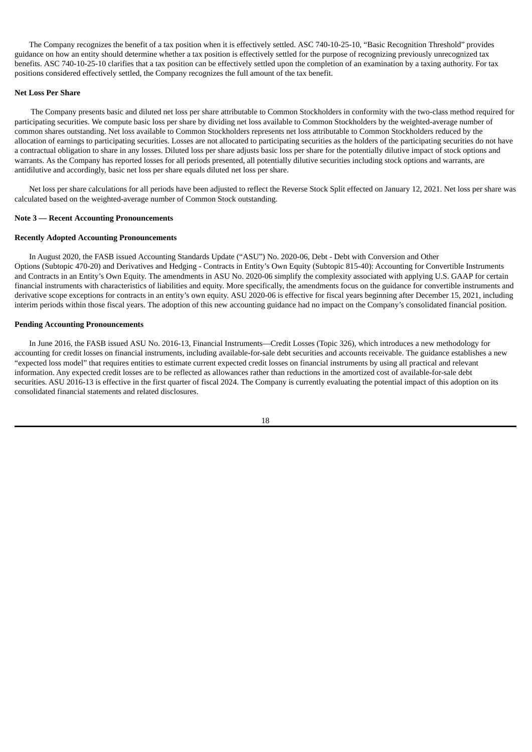The Company recognizes the benefit of a tax position when it is effectively settled. ASC 740-10-25-10, "Basic Recognition Threshold" provides guidance on how an entity should determine whether a tax position is effectively settled for the purpose of recognizing previously unrecognized tax benefits. ASC 740-10-25-10 clarifies that a tax position can be effectively settled upon the completion of an examination by a taxing authority. For tax positions considered effectively settled, the Company recognizes the full amount of the tax benefit.

## **Net Loss Per Share**

The Company presents basic and diluted net loss per share attributable to Common Stockholders in conformity with the two-class method required for participating securities. We compute basic loss per share by dividing net loss available to Common Stockholders by the weighted-average number of common shares outstanding. Net loss available to Common Stockholders represents net loss attributable to Common Stockholders reduced by the allocation of earnings to participating securities. Losses are not allocated to participating securities as the holders of the participating securities do not have a contractual obligation to share in any losses. Diluted loss per share adjusts basic loss per share for the potentially dilutive impact of stock options and warrants. As the Company has reported losses for all periods presented, all potentially dilutive securities including stock options and warrants, are antidilutive and accordingly, basic net loss per share equals diluted net loss per share.

Net loss per share calculations for all periods have been adjusted to reflect the Reverse Stock Split effected on January 12, 2021. Net loss per share was calculated based on the weighted-average number of Common Stock outstanding.

## **Note 3 — Recent Accounting Pronouncements**

### **Recently Adopted Accounting Pronouncements**

In August 2020, the FASB issued Accounting Standards Update ("ASU") No. 2020-06, Debt - Debt with Conversion and Other Options (Subtopic 470-20) and Derivatives and Hedging - Contracts in Entity's Own Equity (Subtopic 815-40): Accounting for Convertible Instruments and Contracts in an Entity's Own Equity. The amendments in ASU No. 2020-06 simplify the complexity associated with applying U.S. GAAP for certain financial instruments with characteristics of liabilities and equity. More specifically, the amendments focus on the guidance for convertible instruments and derivative scope exceptions for contracts in an entity's own equity. ASU 2020-06 is effective for fiscal years beginning after December 15, 2021, including interim periods within those fiscal years. The adoption of this new accounting guidance had no impact on the Company's consolidated financial position.

### **Pending Accounting Pronouncements**

In June 2016, the FASB issued ASU No. 2016-13, Financial Instruments—Credit Losses (Topic 326), which introduces a new methodology for accounting for credit losses on financial instruments, including available-for-sale debt securities and accounts receivable. The guidance establishes a new "expected loss model" that requires entities to estimate current expected credit losses on financial instruments by using all practical and relevant information. Any expected credit losses are to be reflected as allowances rather than reductions in the amortized cost of available-for-sale debt securities. ASU 2016-13 is effective in the first quarter of fiscal 2024. The Company is currently evaluating the potential impact of this adoption on its consolidated financial statements and related disclosures.

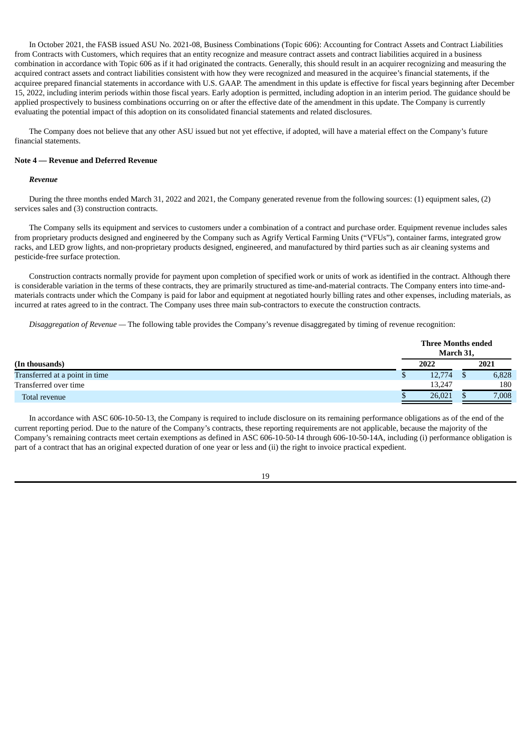In October 2021, the FASB issued ASU No. 2021-08, Business Combinations (Topic 606): Accounting for Contract Assets and Contract Liabilities from Contracts with Customers, which requires that an entity recognize and measure contract assets and contract liabilities acquired in a business combination in accordance with Topic 606 as if it had originated the contracts. Generally, this should result in an acquirer recognizing and measuring the acquired contract assets and contract liabilities consistent with how they were recognized and measured in the acquiree's financial statements, if the acquiree prepared financial statements in accordance with U.S. GAAP. The amendment in this update is effective for fiscal years beginning after December 15, 2022, including interim periods within those fiscal years. Early adoption is permitted, including adoption in an interim period. The guidance should be applied prospectively to business combinations occurring on or after the effective date of the amendment in this update. The Company is currently evaluating the potential impact of this adoption on its consolidated financial statements and related disclosures.

The Company does not believe that any other ASU issued but not yet effective, if adopted, will have a material effect on the Company's future financial statements.

### **Note 4 — Revenue and Deferred Revenue**

### *Revenue*

During the three months ended March 31, 2022 and 2021, the Company generated revenue from the following sources: (1) equipment sales, (2) services sales and (3) construction contracts.

The Company sells its equipment and services to customers under a combination of a contract and purchase order. Equipment revenue includes sales from proprietary products designed and engineered by the Company such as Agrify Vertical Farming Units ("VFUs"), container farms, integrated grow racks, and LED grow lights, and non-proprietary products designed, engineered, and manufactured by third parties such as air cleaning systems and pesticide-free surface protection.

Construction contracts normally provide for payment upon completion of specified work or units of work as identified in the contract. Although there is considerable variation in the terms of these contracts, they are primarily structured as time-and-material contracts. The Company enters into time-andmaterials contracts under which the Company is paid for labor and equipment at negotiated hourly billing rates and other expenses, including materials, as incurred at rates agreed to in the contract. The Company uses three main sub-contractors to execute the construction contracts.

*Disaggregation of Revenue —* The following table provides the Company's revenue disaggregated by timing of revenue recognition:

|                                | <b>Three Months ended</b><br>March 31, |        |  |       |  |  |  |
|--------------------------------|----------------------------------------|--------|--|-------|--|--|--|
| (In thousands)                 |                                        | 2022   |  | 2021  |  |  |  |
| Transferred at a point in time |                                        | 12,774 |  | 6,828 |  |  |  |
| Transferred over time          |                                        | 13.247 |  | 180   |  |  |  |
| Total revenue                  |                                        | 26,021 |  | 7,008 |  |  |  |

In accordance with ASC 606-10-50-13, the Company is required to include disclosure on its remaining performance obligations as of the end of the current reporting period. Due to the nature of the Company's contracts, these reporting requirements are not applicable, because the majority of the Company's remaining contracts meet certain exemptions as defined in ASC 606-10-50-14 through 606-10-50-14A, including (i) performance obligation is part of a contract that has an original expected duration of one year or less and (ii) the right to invoice practical expedient.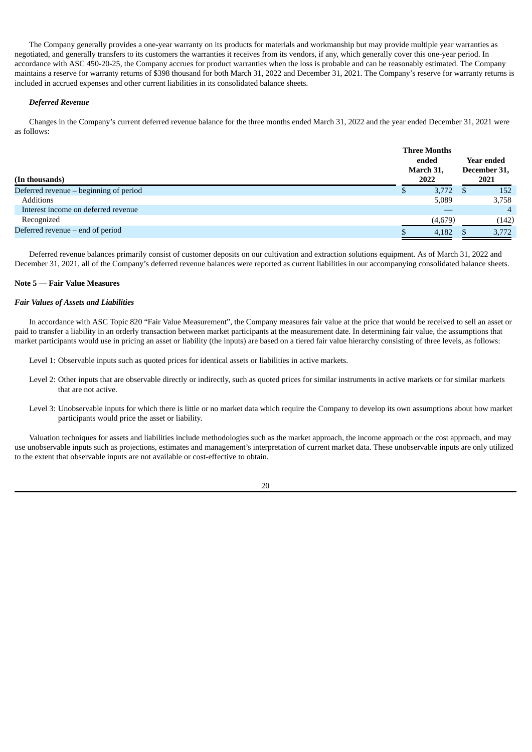The Company generally provides a one-year warranty on its products for materials and workmanship but may provide multiple year warranties as negotiated, and generally transfers to its customers the warranties it receives from its vendors, if any, which generally cover this one-year period. In accordance with ASC 450-20-25, the Company accrues for product warranties when the loss is probable and can be reasonably estimated. The Company maintains a reserve for warranty returns of \$398 thousand for both March 31, 2022 and December 31, 2021. The Company's reserve for warranty returns is included in accrued expenses and other current liabilities in its consolidated balance sheets.

## *Deferred Revenue*

Changes in the Company's current deferred revenue balance for the three months ended March 31, 2022 and the year ended December 31, 2021 were as follows:

| (In thousands)                           | <b>Three Months</b><br>ended<br>March 31,<br>2022 | <b>Year ended</b><br>December 31,<br>2021 |  |  |
|------------------------------------------|---------------------------------------------------|-------------------------------------------|--|--|
| Deferred revenue $-$ beginning of period | 3,772                                             | 152                                       |  |  |
| <b>Additions</b>                         | 5,089                                             | 3,758                                     |  |  |
| Interest income on deferred revenue      |                                                   | $\sqrt{4}$                                |  |  |
| Recognized                               | (4,679)                                           | (142)                                     |  |  |
| Deferred revenue – end of period         | 4,182                                             | 3,772                                     |  |  |

Deferred revenue balances primarily consist of customer deposits on our cultivation and extraction solutions equipment. As of March 31, 2022 and December 31, 2021, all of the Company's deferred revenue balances were reported as current liabilities in our accompanying consolidated balance sheets.

### **Note 5 — Fair Value Measures**

### *Fair Values of Assets and Liabilities*

In accordance with ASC Topic 820 "Fair Value Measurement", the Company measures fair value at the price that would be received to sell an asset or paid to transfer a liability in an orderly transaction between market participants at the measurement date. In determining fair value, the assumptions that market participants would use in pricing an asset or liability (the inputs) are based on a tiered fair value hierarchy consisting of three levels, as follows:

Level 1: Observable inputs such as quoted prices for identical assets or liabilities in active markets.

- Level 2: Other inputs that are observable directly or indirectly, such as quoted prices for similar instruments in active markets or for similar markets that are not active.
- Level 3: Unobservable inputs for which there is little or no market data which require the Company to develop its own assumptions about how market participants would price the asset or liability.

Valuation techniques for assets and liabilities include methodologies such as the market approach, the income approach or the cost approach, and may use unobservable inputs such as projections, estimates and management's interpretation of current market data. These unobservable inputs are only utilized to the extent that observable inputs are not available or cost-effective to obtain.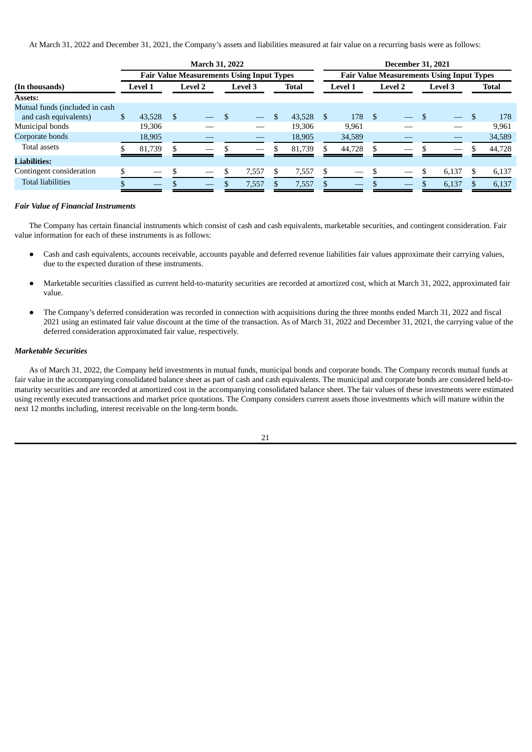At March 31, 2022 and December 31, 2021, the Company's assets and liabilities measured at fair value on a recurring basis were as follows:

|                                |                |               | <b>March 31, 2022</b> |                                                  |        | <b>December 31, 2021</b>                         |                |  |                |  |                |  |              |  |  |
|--------------------------------|----------------|---------------|-----------------------|--------------------------------------------------|--------|--------------------------------------------------|----------------|--|----------------|--|----------------|--|--------------|--|--|
|                                |                |               |                       | <b>Fair Value Measurements Using Input Types</b> |        | <b>Fair Value Measurements Using Input Types</b> |                |  |                |  |                |  |              |  |  |
| (In thousands)                 | <b>Level 1</b> |               | <b>Level 2</b>        | <b>Level 3</b>                                   | Total  |                                                  | <b>Level 1</b> |  | <b>Level 2</b> |  | <b>Level</b> 3 |  | <b>Total</b> |  |  |
| Assets:                        |                |               |                       |                                                  |        |                                                  |                |  |                |  |                |  |              |  |  |
| Mutual funds (included in cash |                |               |                       |                                                  |        |                                                  |                |  |                |  |                |  |              |  |  |
| and cash equivalents)          | \$<br>43.528   | <sup>\$</sup> |                       |                                                  | 43,528 | - \$                                             | 178 \$         |  |                |  |                |  | 178          |  |  |
| Municipal bonds                | 19,306         |               |                       |                                                  | 19,306 |                                                  | 9,961          |  |                |  |                |  | 9,961        |  |  |
| Corporate bonds                | 18,905         |               |                       |                                                  | 18,905 |                                                  | 34,589         |  |                |  |                |  | 34,589       |  |  |
| <b>Total assets</b>            | 81,739         |               |                       |                                                  | 81,739 |                                                  | 44,728         |  |                |  |                |  | 44,728       |  |  |
| <b>Liabilities:</b>            |                |               |                       |                                                  |        |                                                  |                |  |                |  |                |  |              |  |  |
| Contingent consideration       |                |               |                       | 7,557                                            | 7,557  | \$.                                              |                |  |                |  | 6,137          |  | 6,137        |  |  |
| <b>Total liabilities</b>       |                |               |                       | 7,557                                            | 7,557  |                                                  |                |  |                |  | 6,137          |  | 6,137        |  |  |

## *Fair Value of Financial Instruments*

The Company has certain financial instruments which consist of cash and cash equivalents, marketable securities, and contingent consideration. Fair value information for each of these instruments is as follows:

- Cash and cash equivalents, accounts receivable, accounts payable and deferred revenue liabilities fair values approximate their carrying values, due to the expected duration of these instruments.
- Marketable securities classified as current held-to-maturity securities are recorded at amortized cost, which at March 31, 2022, approximated fair value.
- The Company's deferred consideration was recorded in connection with acquisitions during the three months ended March 31, 2022 and fiscal 2021 using an estimated fair value discount at the time of the transaction. As of March 31, 2022 and December 31, 2021, the carrying value of the deferred consideration approximated fair value, respectively.

## *Marketable Securities*

As of March 31, 2022, the Company held investments in mutual funds, municipal bonds and corporate bonds. The Company records mutual funds at fair value in the accompanying consolidated balance sheet as part of cash and cash equivalents. The municipal and corporate bonds are considered held-tomaturity securities and are recorded at amortized cost in the accompanying consolidated balance sheet. The fair values of these investments were estimated using recently executed transactions and market price quotations. The Company considers current assets those investments which will mature within the next 12 months including, interest receivable on the long-term bonds.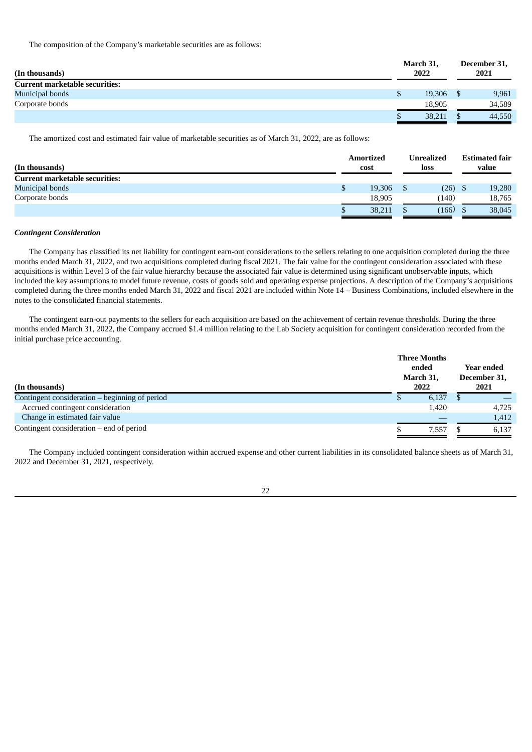The composition of the Company's marketable securities are as follows:

| (In thousands)                        | March 31,<br>2022 |        | December 31,<br>2021 |
|---------------------------------------|-------------------|--------|----------------------|
| <b>Current marketable securities:</b> |                   |        |                      |
| Municipal bonds                       |                   | 19,306 | 9,961                |
| Corporate bonds                       |                   | 18,905 | 34,589               |
|                                       |                   | 38,211 | 44,550               |

The amortized cost and estimated fair value of marketable securities as of March 31, 2022, are as follows:

| (In thousands)                        | Amortized<br>cost |  | Unrealized<br><b>loss</b> |  | <b>Estimated fair</b><br>value |
|---------------------------------------|-------------------|--|---------------------------|--|--------------------------------|
| <b>Current marketable securities:</b> |                   |  |                           |  |                                |
| Municipal bonds                       | 19,306            |  | (26)                      |  | 19,280                         |
| Corporate bonds                       | 18,905            |  | (140)                     |  | 18,765                         |
|                                       | 38,211            |  | (166)                     |  | 38,045                         |

### *Contingent Consideration*

The Company has classified its net liability for contingent earn-out considerations to the sellers relating to one acquisition completed during the three months ended March 31, 2022, and two acquisitions completed during fiscal 2021. The fair value for the contingent consideration associated with these acquisitions is within Level 3 of the fair value hierarchy because the associated fair value is determined using significant unobservable inputs, which included the key assumptions to model future revenue, costs of goods sold and operating expense projections. A description of the Company's acquisitions completed during the three months ended March 31, 2022 and fiscal 2021 are included within Note 14 – Business Combinations, included elsewhere in the notes to the consolidated financial statements.

The contingent earn-out payments to the sellers for each acquisition are based on the achievement of certain revenue thresholds. During the three months ended March 31, 2022, the Company accrued \$1.4 million relating to the Lab Society acquisition for contingent consideration recorded from the initial purchase price accounting.

| (In thousands)                                 | <b>Three Months</b><br>ended<br>March 31,<br>2022 |       | Year ended<br>December 31,<br>2021 |       |  |
|------------------------------------------------|---------------------------------------------------|-------|------------------------------------|-------|--|
| Contingent consideration - beginning of period |                                                   | 6,137 |                                    |       |  |
| Accrued contingent consideration               |                                                   | 1.420 |                                    | 4.725 |  |
| Change in estimated fair value                 |                                                   |       |                                    | 1,412 |  |
| Contingent consideration – end of period       |                                                   | 7.557 |                                    | 6,137 |  |

The Company included contingent consideration within accrued expense and other current liabilities in its consolidated balance sheets as of March 31, 2022 and December 31, 2021, respectively.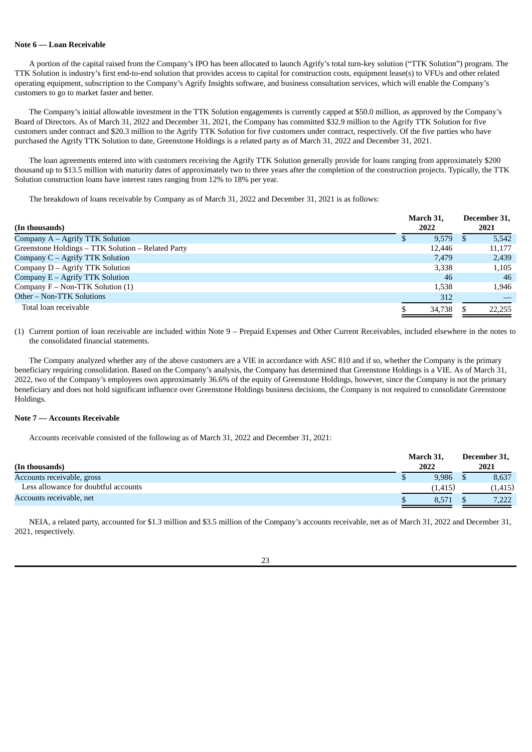## **Note 6 — Loan Receivable**

A portion of the capital raised from the Company's IPO has been allocated to launch Agrify's total turn-key solution ("TTK Solution") program. The TTK Solution is industry's first end-to-end solution that provides access to capital for construction costs, equipment lease(s) to VFUs and other related operating equipment, subscription to the Company's Agrify Insights software, and business consultation services, which will enable the Company's customers to go to market faster and better.

The Company's initial allowable investment in the TTK Solution engagements is currently capped at \$50.0 million, as approved by the Company's Board of Directors. As of March 31, 2022 and December 31, 2021, the Company has committed \$32.9 million to the Agrify TTK Solution for five customers under contract and \$20.3 million to the Agrify TTK Solution for five customers under contract, respectively. Of the five parties who have purchased the Agrify TTK Solution to date, Greenstone Holdings is a related party as of March 31, 2022 and December 31, 2021.

The loan agreements entered into with customers receiving the Agrify TTK Solution generally provide for loans ranging from approximately \$200 thousand up to \$13.5 million with maturity dates of approximately two to three years after the completion of the construction projects. Typically, the TTK Solution construction loans have interest rates ranging from 12% to 18% per year.

The breakdown of loans receivable by Company as of March 31, 2022 and December 31, 2021 is as follows:

| (In thousands)                                     | March 31.<br>2022 | December 31,<br>2021 |
|----------------------------------------------------|-------------------|----------------------|
| Company $A - Agrify$ TTK Solution                  | 9.579             | 5,542                |
| Greenstone Holdings - TTK Solution - Related Party | 12.446            | 11,177               |
| Company C – Agrify TTK Solution                    | 7.479             | 2,439                |
| Company D – Agrify TTK Solution                    | 3.338             | 1,105                |
| Company $E - Agrify TTK$ Solution                  | 46                | 46                   |
| Company $F - Non-TTK$ Solution (1)                 | 1.538             | 1.946                |
| Other – Non-TTK Solutions                          | 312               |                      |
| Total loan receivable                              | 34,738            | 22,255               |

(1) Current portion of loan receivable are included within Note 9 – Prepaid Expenses and Other Current Receivables, included elsewhere in the notes to the consolidated financial statements.

The Company analyzed whether any of the above customers are a VIE in accordance with ASC 810 and if so, whether the Company is the primary beneficiary requiring consolidation. Based on the Company's analysis, the Company has determined that Greenstone Holdings is a VIE. As of March 31, 2022, two of the Company's employees own approximately 36.6% of the equity of Greenstone Holdings, however, since the Company is not the primary beneficiary and does not hold significant influence over Greenstone Holdings business decisions, the Company is not required to consolidate Greenstone Holdings.

### **Note 7 — Accounts Receivable**

Accounts receivable consisted of the following as of March 31, 2022 and December 31, 2021:

|                                      |  | March 31. |  | December 31, |
|--------------------------------------|--|-----------|--|--------------|
| (In thousands)                       |  | 2022      |  | 2021         |
| Accounts receivable, gross           |  | 9.986     |  | 8,637        |
| Less allowance for doubtful accounts |  | (1, 415)  |  | (1, 415)     |
| Accounts receivable, net             |  | 8.571     |  | 7.222        |

NEIA, a related party, accounted for \$1.3 million and \$3.5 million of the Company's accounts receivable, net as of March 31, 2022 and December 31, 2021, respectively.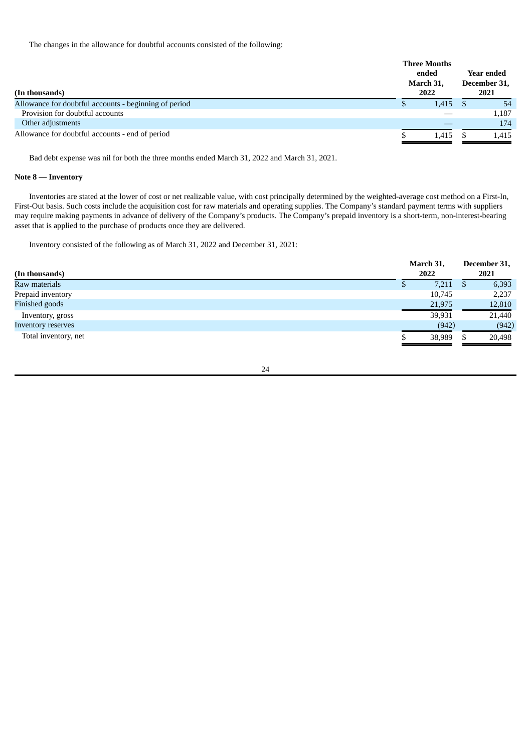The changes in the allowance for doubtful accounts consisted of the following:

| (In thousands)                                        |  | <b>Three Months</b><br>ended<br>March 31,<br>2022 | Year ended<br>December 31,<br>2021 |       |  |
|-------------------------------------------------------|--|---------------------------------------------------|------------------------------------|-------|--|
| Allowance for doubtful accounts - beginning of period |  | 1,415                                             |                                    | 54    |  |
| Provision for doubtful accounts                       |  |                                                   |                                    | 1,187 |  |
| Other adjustments                                     |  |                                                   |                                    | 174   |  |
| Allowance for doubtful accounts - end of period       |  | 1.415                                             |                                    | 1,415 |  |

Bad debt expense was nil for both the three months ended March 31, 2022 and March 31, 2021.

## **Note 8 — Inventory**

Inventories are stated at the lower of cost or net realizable value, with cost principally determined by the weighted-average cost method on a First-In, First-Out basis. Such costs include the acquisition cost for raw materials and operating supplies. The Company's standard payment terms with suppliers may require making payments in advance of delivery of the Company's products. The Company's prepaid inventory is a short-term, non-interest-bearing asset that is applied to the purchase of products once they are delivered.

Inventory consisted of the following as of March 31, 2022 and December 31, 2021:

| (In thousands)       | March 31,<br>2022 | December 31,<br>2021 |
|----------------------|-------------------|----------------------|
| Raw materials        |                   | 6,393<br>7,211<br>Ъ  |
| Prepaid inventory    |                   | 2,237<br>10,745      |
| Finished goods       |                   | 12,810<br>21,975     |
| Inventory, gross     |                   | 39,931<br>21,440     |
| Inventory reserves   |                   | (942)<br>(942)       |
| Total inventory, net |                   | 38,989<br>20,498     |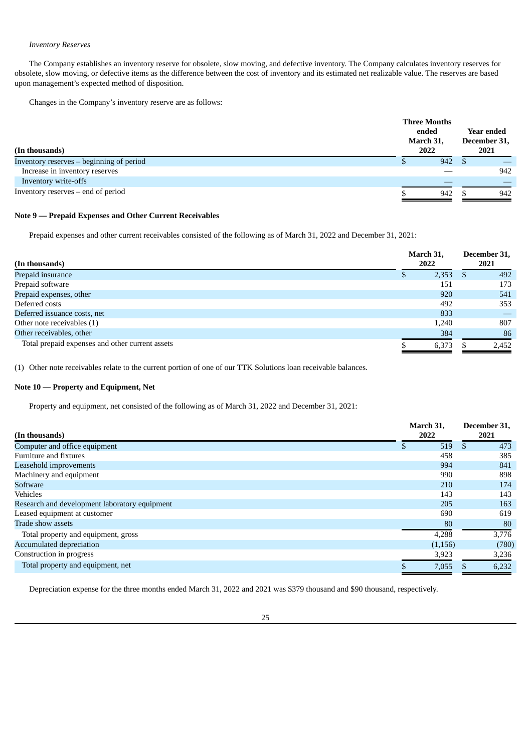## *Inventory Reserves*

The Company establishes an inventory reserve for obsolete, slow moving, and defective inventory. The Company calculates inventory reserves for obsolete, slow moving, or defective items as the difference between the cost of inventory and its estimated net realizable value. The reserves are based upon management's expected method of disposition.

Changes in the Company's inventory reserve are as follows:

| (In thousands)                           | <b>Three Months</b><br>ended<br>March 31,<br>2022 | <b>Year ended</b><br>December 31,<br>2021 |
|------------------------------------------|---------------------------------------------------|-------------------------------------------|
| Inventory reserves – beginning of period | 942                                               |                                           |
| Increase in inventory reserves           |                                                   | 942                                       |
| Inventory write-offs                     |                                                   |                                           |
| Inventory reserves $-$ end of period     | 942                                               | 942                                       |

## **Note 9 — Prepaid Expenses and Other Current Receivables**

Prepaid expenses and other current receivables consisted of the following as of March 31, 2022 and December 31, 2021:

| (In thousands)                                  | March 31,<br>2022 |   | December 31,<br>2021 |
|-------------------------------------------------|-------------------|---|----------------------|
| Prepaid insurance                               | 2,353             | Ъ | 492                  |
| Prepaid software                                | 151               |   | 173                  |
| Prepaid expenses, other                         | 920               |   | 541                  |
| Deferred costs                                  | 492               |   | 353                  |
| Deferred issuance costs, net                    | 833               |   |                      |
| Other note receivables (1)                      | 1,240             |   | 807                  |
| Other receivables, other                        | 384               |   | 86                   |
| Total prepaid expenses and other current assets | 6,373             |   | 2,452                |

(1) Other note receivables relate to the current portion of one of our TTK Solutions loan receivable balances.

## **Note 10 — Property and Equipment, Net**

Property and equipment, net consisted of the following as of March 31, 2022 and December 31, 2021:

| (In thousands)                                | March 31.<br>2022 | December 31,<br>2021 |       |  |
|-----------------------------------------------|-------------------|----------------------|-------|--|
| Computer and office equipment                 | \$<br>519         | \$.                  | 473   |  |
| Furniture and fixtures                        | 458               |                      | 385   |  |
| Leasehold improvements                        | 994               |                      | 841   |  |
| Machinery and equipment                       | 990               |                      | 898   |  |
| <b>Software</b>                               | 210               |                      | 174   |  |
| Vehicles                                      | 143               |                      | 143   |  |
| Research and development laboratory equipment | 205               |                      | 163   |  |
| Leased equipment at customer                  | 690               |                      | 619   |  |
| Trade show assets                             | 80                |                      | 80    |  |
| Total property and equipment, gross           | 4,288             |                      | 3,776 |  |
| Accumulated depreciation                      | (1, 156)          |                      | (780) |  |
| Construction in progress                      | 3,923             |                      | 3,236 |  |
| Total property and equipment, net             | 7,055             |                      | 6,232 |  |

Depreciation expense for the three months ended March 31, 2022 and 2021 was \$379 thousand and \$90 thousand, respectively.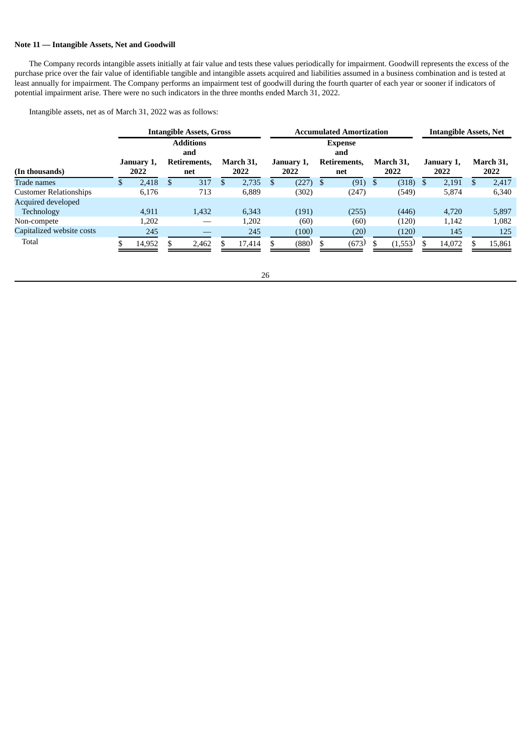## **Note 11 — Intangible Assets, Net and Goodwill**

The Company records intangible assets initially at fair value and tests these values periodically for impairment. Goodwill represents the excess of the purchase price over the fair value of identifiable tangible and intangible assets acquired and liabilities assumed in a business combination and is tested at least annually for impairment. The Company performs an impairment test of goodwill during the fourth quarter of each year or sooner if indicators of potential impairment arise. There were no such indicators in the three months ended March 31, 2022.

Intangible assets, net as of March 31, 2022 was as follows:

|                                  |    |                    | <b>Intangible Assets, Gross</b>                |                   |                    | <b>Accumulated Amortization</b>              |                   |    | <b>Intangible Assets, Net</b> |  |                   |
|----------------------------------|----|--------------------|------------------------------------------------|-------------------|--------------------|----------------------------------------------|-------------------|----|-------------------------------|--|-------------------|
| (In thousands)                   |    | January 1,<br>2022 | <b>Additions</b><br>and<br>Retirements,<br>net | March 31.<br>2022 | January 1,<br>2022 | <b>Expense</b><br>and<br>Retirements.<br>net | March 31.<br>2022 |    | January 1,<br>2022            |  | March 31.<br>2022 |
| Trade names                      | S. | 2,418              | 317                                            | 2,735             | (227)              | (91)                                         | (318)             | -S | 2,191                         |  | 2,417             |
| <b>Customer Relationships</b>    |    | 6,176              | 713                                            | 6,889             | (302)              | (247)                                        | (549)             |    | 5,874                         |  | 6,340             |
| Acquired developed<br>Technology |    | 4.911              | 1,432                                          | 6.343             | (191)              | (255)                                        | (446)             |    | 4.720                         |  | 5,897             |
| Non-compete                      |    | 1,202              |                                                | 1,202             | (60)               | (60)                                         | (120)             |    | 1,142                         |  | 1,082             |
| Capitalized website costs        |    | 245                |                                                | 245               | (100)              | (20)                                         | (120)             |    | 145                           |  | 125               |
| Total                            |    | 14,952             | 2,462                                          | 17,414            | (880)              | (673)                                        | (1,553)           |    | 14,072                        |  | 15,861            |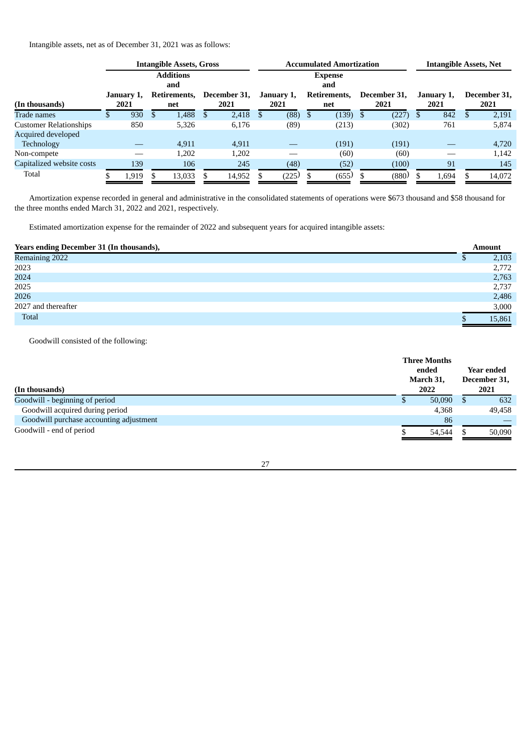Intangible assets, net as of December 31, 2021 was as follows:

|                               |     |                    |     | <b>Intangible Assets, Gross</b> |                      |    |                    |   | <b>Accumulated Amortization</b> |              |                      | <b>Intangible Assets, Net</b> |                      |
|-------------------------------|-----|--------------------|-----|---------------------------------|----------------------|----|--------------------|---|---------------------------------|--------------|----------------------|-------------------------------|----------------------|
|                               |     |                    |     | <b>Additions</b><br>and         |                      |    |                    |   | <b>Expense</b><br>and           |              |                      |                               |                      |
| (In thousands)                |     | January 1,<br>2021 |     | Retirements.<br>net             | December 31.<br>2021 |    | January 1,<br>2021 |   | Retirements.<br>net             |              | December 31.<br>2021 | January 1,<br>2021            | December 31.<br>2021 |
| Trade names                   | ЭD. | 930                | \$. | 1,488                           | 2,418                | S. | (88)               | ъ | (139)                           | <sup>3</sup> | (227)                | 842                           | 2,191                |
| <b>Customer Relationships</b> |     | 850                |     | 5,326                           | 6,176                |    | (89)               |   | (213)                           |              | (302)                | 761                           | 5,874                |
| Acquired developed            |     |                    |     |                                 |                      |    |                    |   |                                 |              |                      |                               |                      |
| Technology                    |     |                    |     | 4.911                           | 4.911                |    |                    |   | (191)                           |              | (191)                |                               | 4,720                |
| Non-compete                   |     |                    |     | 1,202                           | 1,202                |    |                    |   | (60)                            |              | (60)                 |                               | 1,142                |
| Capitalized website costs     |     | 139                |     | 106                             | 245                  |    | (48)               |   | (52)                            |              | (100)                | 91                            | 145                  |
| Total                         |     | 1,919              |     | 13,033                          | 14,952               |    | (225)              |   | (655)                           |              | (880)                | 1,694                         | 14,072               |

Amortization expense recorded in general and administrative in the consolidated statements of operations were \$673 thousand and \$58 thousand for the three months ended March 31, 2022 and 2021, respectively.

Estimated amortization expense for the remainder of 2022 and subsequent years for acquired intangible assets:

## **Years ending December 31 (In thousands), Amount**

| <b>I can's change December 31 (In unusalius)</b> , | Aunount |
|----------------------------------------------------|---------|
| Remaining 2022                                     | 2,103   |
| 2023                                               | 2,772   |
| 2024                                               | 2,763   |
| 2025                                               | 2,737   |
| 2026                                               | 2,486   |
| 2027 and thereafter                                | 3,000   |
| Total                                              | 15,861  |

Goodwill consisted of the following:

| (In thousands)                          | <b>Three Months</b><br>ended<br>March 31,<br>2022 |        |  | <b>Year ended</b><br>December 31,<br>2021 |  |  |
|-----------------------------------------|---------------------------------------------------|--------|--|-------------------------------------------|--|--|
| Goodwill - beginning of period          |                                                   | 50,090 |  | 632                                       |  |  |
| Goodwill acquired during period         |                                                   | 4,368  |  | 49,458                                    |  |  |
| Goodwill purchase accounting adjustment |                                                   | 86     |  |                                           |  |  |
| Goodwill - end of period                |                                                   | 54,544 |  | 50,090                                    |  |  |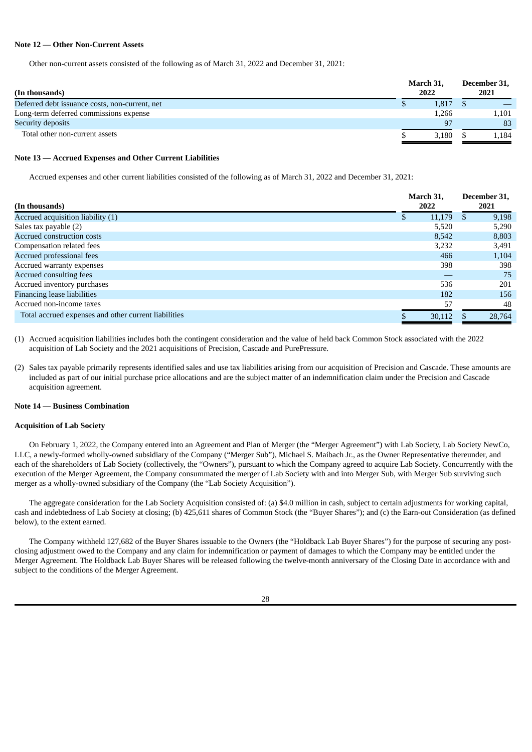## **Note 12** — **Other Non-Current Assets**

Other non-current assets consisted of the following as of March 31, 2022 and December 31, 2021:

| (In thousands)                                 |  | March 31,<br>2022 | December 31,<br>2021 |       |  |
|------------------------------------------------|--|-------------------|----------------------|-------|--|
| Deferred debt issuance costs, non-current, net |  | 1,817             |                      |       |  |
| Long-term deferred commissions expense         |  | 1,266             |                      | 1,101 |  |
| Security deposits                              |  | 97                |                      | 83    |  |
| Total other non-current assets                 |  | 3.180             |                      | 1.184 |  |

## **Note 13 — Accrued Expenses and Other Current Liabilities**

Accrued expenses and other current liabilities consisted of the following as of March 31, 2022 and December 31, 2021:

| (In thousands)                                       |   | March 31,<br>2022 | December 31,<br>2021 |        |  |
|------------------------------------------------------|---|-------------------|----------------------|--------|--|
| Accrued acquisition liability (1)                    | S | 11,179            | S.                   | 9,198  |  |
| Sales tax payable (2)                                |   | 5,520             |                      | 5,290  |  |
| Accrued construction costs                           |   | 8.542             |                      | 8,803  |  |
| Compensation related fees                            |   | 3,232             |                      | 3,491  |  |
| Accrued professional fees                            |   | 466               |                      | 1,104  |  |
| Accrued warranty expenses                            |   | 398               |                      | 398    |  |
| Accrued consulting fees                              |   |                   |                      | 75     |  |
| Accrued inventory purchases                          |   | 536               |                      | 201    |  |
| Financing lease liabilities                          |   | 182               |                      | 156    |  |
| Accrued non-income taxes                             |   | 57                |                      | 48     |  |
| Total accrued expenses and other current liabilities |   | 30.112            |                      | 28,764 |  |

(1) Accrued acquisition liabilities includes both the contingent consideration and the value of held back Common Stock associated with the 2022 acquisition of Lab Society and the 2021 acquisitions of Precision, Cascade and PurePressure.

(2) Sales tax payable primarily represents identified sales and use tax liabilities arising from our acquisition of Precision and Cascade. These amounts are included as part of our initial purchase price allocations and are the subject matter of an indemnification claim under the Precision and Cascade acquisition agreement.

### **Note 14 — Business Combination**

## **Acquisition of Lab Society**

On February 1, 2022, the Company entered into an Agreement and Plan of Merger (the "Merger Agreement") with Lab Society, Lab Society NewCo, LLC, a newly-formed wholly-owned subsidiary of the Company ("Merger Sub"), Michael S. Maibach Jr., as the Owner Representative thereunder, and each of the shareholders of Lab Society (collectively, the "Owners"), pursuant to which the Company agreed to acquire Lab Society. Concurrently with the execution of the Merger Agreement, the Company consummated the merger of Lab Society with and into Merger Sub, with Merger Sub surviving such merger as a wholly-owned subsidiary of the Company (the "Lab Society Acquisition").

The aggregate consideration for the Lab Society Acquisition consisted of: (a) \$4.0 million in cash, subject to certain adjustments for working capital, cash and indebtedness of Lab Society at closing; (b) 425,611 shares of Common Stock (the "Buyer Shares"); and (c) the Earn-out Consideration (as defined below), to the extent earned.

The Company withheld 127,682 of the Buyer Shares issuable to the Owners (the "Holdback Lab Buyer Shares") for the purpose of securing any postclosing adjustment owed to the Company and any claim for indemnification or payment of damages to which the Company may be entitled under the Merger Agreement. The Holdback Lab Buyer Shares will be released following the twelve-month anniversary of the Closing Date in accordance with and subject to the conditions of the Merger Agreement.

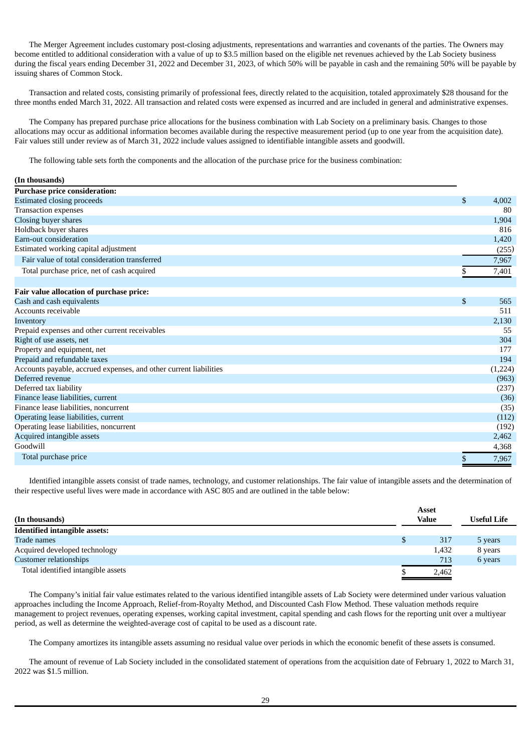The Merger Agreement includes customary post-closing adjustments, representations and warranties and covenants of the parties. The Owners may become entitled to additional consideration with a value of up to \$3.5 million based on the eligible net revenues achieved by the Lab Society business during the fiscal years ending December 31, 2022 and December 31, 2023, of which 50% will be payable in cash and the remaining 50% will be payable by issuing shares of Common Stock.

Transaction and related costs, consisting primarily of professional fees, directly related to the acquisition, totaled approximately \$28 thousand for the three months ended March 31, 2022. All transaction and related costs were expensed as incurred and are included in general and administrative expenses.

The Company has prepared purchase price allocations for the business combination with Lab Society on a preliminary basis. Changes to those allocations may occur as additional information becomes available during the respective measurement period (up to one year from the acquisition date). Fair values still under review as of March 31, 2022 include values assigned to identifiable intangible assets and goodwill.

The following table sets forth the components and the allocation of the purchase price for the business combination:

## **(In thousands)**

| <b>Purchase price consideration:</b>                              |             |
|-------------------------------------------------------------------|-------------|
| <b>Estimated closing proceeds</b>                                 | \$<br>4,002 |
| <b>Transaction expenses</b>                                       | 80          |
| Closing buyer shares                                              | 1,904       |
| Holdback buyer shares                                             | 816         |
| Earn-out consideration                                            | 1,420       |
| Estimated working capital adjustment                              | (255)       |
| Fair value of total consideration transferred                     | 7,967       |
| Total purchase price, net of cash acquired                        | 7,401       |
|                                                                   |             |
| Fair value allocation of purchase price:                          |             |
| Cash and cash equivalents                                         | \$<br>565   |
| Accounts receivable                                               | 511         |
| Inventory                                                         | 2,130       |
| Prepaid expenses and other current receivables                    | 55          |
| Right of use assets, net                                          | 304         |
| Property and equipment, net                                       | 177         |
| Prepaid and refundable taxes                                      | 194         |
| Accounts payable, accrued expenses, and other current liabilities | (1,224)     |
| Deferred revenue                                                  | (963)       |
| Deferred tax liability                                            | (237)       |
| Finance lease liabilities, current                                | (36)        |
| Finance lease liabilities, noncurrent                             | (35)        |
| Operating lease liabilities, current                              | (112)       |
| Operating lease liabilities, noncurrent                           | (192)       |
| Acquired intangible assets                                        | 2,462       |
| Goodwill                                                          | 4,368       |
| Total purchase price                                              | 7,967       |

Identified intangible assets consist of trade names, technology, and customer relationships. The fair value of intangible assets and the determination of their respective useful lives were made in accordance with ASC 805 and are outlined in the table below:

|                                                        |    | <b>Asset</b><br><b>Value</b> | <b>Useful Life</b> |
|--------------------------------------------------------|----|------------------------------|--------------------|
| (In thousands)<br><b>Identified intangible assets:</b> |    |                              |                    |
|                                                        |    |                              |                    |
| Trade names                                            | P. | 317                          | 5 years            |
| Acquired developed technology                          |    | 1,432                        | 8 years            |
| <b>Customer relationships</b>                          |    | 713                          | 6 years            |
| Total identified intangible assets                     |    | 2.462                        |                    |

The Company's initial fair value estimates related to the various identified intangible assets of Lab Society were determined under various valuation approaches including the Income Approach, Relief-from-Royalty Method, and Discounted Cash Flow Method. These valuation methods require management to project revenues, operating expenses, working capital investment, capital spending and cash flows for the reporting unit over a multiyear period, as well as determine the weighted-average cost of capital to be used as a discount rate.

The Company amortizes its intangible assets assuming no residual value over periods in which the economic benefit of these assets is consumed.

The amount of revenue of Lab Society included in the consolidated statement of operations from the acquisition date of February 1, 2022 to March 31, 2022 was \$1.5 million.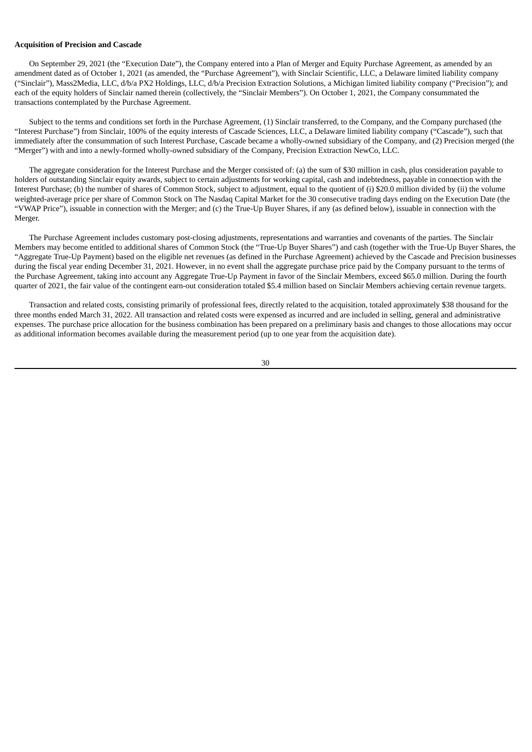### **Acquisition of Precision and Cascade**

On September 29, 2021 (the "Execution Date"), the Company entered into a Plan of Merger and Equity Purchase Agreement, as amended by an amendment dated as of October 1, 2021 (as amended, the "Purchase Agreement"), with Sinclair Scientific, LLC, a Delaware limited liability company ("Sinclair"), Mass2Media, LLC, d/b/a PX2 Holdings, LLC, d/b/a Precision Extraction Solutions, a Michigan limited liability company ("Precision"); and each of the equity holders of Sinclair named therein (collectively, the "Sinclair Members"). On October 1, 2021, the Company consummated the transactions contemplated by the Purchase Agreement.

Subject to the terms and conditions set forth in the Purchase Agreement, (1) Sinclair transferred, to the Company, and the Company purchased (the "Interest Purchase") from Sinclair, 100% of the equity interests of Cascade Sciences, LLC, a Delaware limited liability company ("Cascade"), such that immediately after the consummation of such Interest Purchase, Cascade became a wholly-owned subsidiary of the Company, and (2) Precision merged (the "Merger") with and into a newly-formed wholly-owned subsidiary of the Company, Precision Extraction NewCo, LLC.

The aggregate consideration for the Interest Purchase and the Merger consisted of: (a) the sum of \$30 million in cash, plus consideration payable to holders of outstanding Sinclair equity awards, subject to certain adjustments for working capital, cash and indebtedness, payable in connection with the Interest Purchase; (b) the number of shares of Common Stock, subject to adjustment, equal to the quotient of (i) \$20.0 million divided by (ii) the volume weighted-average price per share of Common Stock on The Nasdaq Capital Market for the 30 consecutive trading days ending on the Execution Date (the "VWAP Price"), issuable in connection with the Merger; and (c) the True-Up Buyer Shares, if any (as defined below), issuable in connection with the Merger.

The Purchase Agreement includes customary post-closing adjustments, representations and warranties and covenants of the parties. The Sinclair Members may become entitled to additional shares of Common Stock (the "True-Up Buyer Shares") and cash (together with the True-Up Buyer Shares, the "Aggregate True-Up Payment) based on the eligible net revenues (as defined in the Purchase Agreement) achieved by the Cascade and Precision businesses during the fiscal year ending December 31, 2021. However, in no event shall the aggregate purchase price paid by the Company pursuant to the terms of the Purchase Agreement, taking into account any Aggregate True-Up Payment in favor of the Sinclair Members, exceed \$65.0 million. During the fourth quarter of 2021, the fair value of the contingent earn-out consideration totaled \$5.4 million based on Sinclair Members achieving certain revenue targets.

Transaction and related costs, consisting primarily of professional fees, directly related to the acquisition, totaled approximately \$38 thousand for the three months ended March 31, 2022. All transaction and related costs were expensed as incurred and are included in selling, general and administrative expenses. The purchase price allocation for the business combination has been prepared on a preliminary basis and changes to those allocations may occur as additional information becomes available during the measurement period (up to one year from the acquisition date).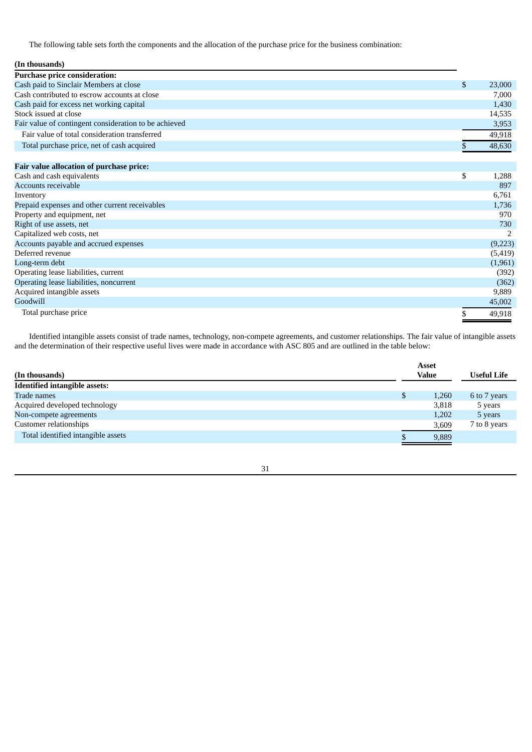The following table sets forth the components and the allocation of the purchase price for the business combination:

| (In thousands)                                        |  |        |
|-------------------------------------------------------|--|--------|
| <b>Purchase price consideration:</b>                  |  |        |
| Cash paid to Sinclair Members at close                |  | 23,000 |
| Cash contributed to escrow accounts at close          |  | 7.000  |
| Cash paid for excess net working capital              |  | 1,430  |
| Stock issued at close                                 |  | 14,535 |
| Fair value of contingent consideration to be achieved |  | 3,953  |
| Fair value of total consideration transferred         |  | 49,918 |
| Total purchase price, net of cash acquired            |  | 48.630 |

## **Fair value allocation of purchase price:**

| r an vanc anocation or parenase price.         |             |
|------------------------------------------------|-------------|
| Cash and cash equivalents                      | \$<br>1,288 |
| Accounts receivable                            | 897         |
| Inventory                                      | 6,761       |
| Prepaid expenses and other current receivables | 1,736       |
| Property and equipment, net                    | 970         |
| Right of use assets, net                       | 730         |
| Capitalized web costs, net                     | 2           |
| Accounts payable and accrued expenses          | (9,223)     |
| Deferred revenue                               | (5, 419)    |
| Long-term debt                                 | (1,961)     |
| Operating lease liabilities, current           | (392)       |
| Operating lease liabilities, noncurrent        | (362)       |
| Acquired intangible assets                     | 9,889       |
| Goodwill                                       | 45,002      |
| Total purchase price                           | 49,918      |
|                                                |             |

Identified intangible assets consist of trade names, technology, non-compete agreements, and customer relationships. The fair value of intangible assets and the determination of their respective useful lives were made in accordance with ASC 805 and are outlined in the table below:

|                                      | <b>Asset</b> |                    |
|--------------------------------------|--------------|--------------------|
| (In thousands)                       | <b>Value</b> | <b>Useful Life</b> |
| <b>Identified intangible assets:</b> |              |                    |
| Trade names                          | \$<br>1,260  | 6 to 7 years       |
| Acquired developed technology        | 3,818        | 5 years            |
| Non-compete agreements               | 1,202        | 5 years            |
| Customer relationships               | 3,609        | 7 to 8 years       |
| Total identified intangible assets   | 9,889        |                    |
|                                      |              |                    |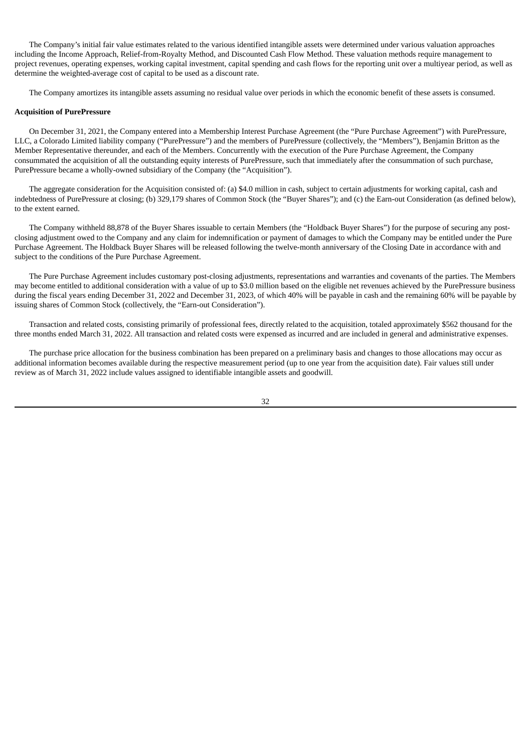The Company's initial fair value estimates related to the various identified intangible assets were determined under various valuation approaches including the Income Approach, Relief-from-Royalty Method, and Discounted Cash Flow Method. These valuation methods require management to project revenues, operating expenses, working capital investment, capital spending and cash flows for the reporting unit over a multiyear period, as well as determine the weighted-average cost of capital to be used as a discount rate.

The Company amortizes its intangible assets assuming no residual value over periods in which the economic benefit of these assets is consumed.

### **Acquisition of PurePressure**

On December 31, 2021, the Company entered into a Membership Interest Purchase Agreement (the "Pure Purchase Agreement") with PurePressure, LLC, a Colorado Limited liability company ("PurePressure") and the members of PurePressure (collectively, the "Members"), Benjamin Britton as the Member Representative thereunder, and each of the Members. Concurrently with the execution of the Pure Purchase Agreement, the Company consummated the acquisition of all the outstanding equity interests of PurePressure, such that immediately after the consummation of such purchase, PurePressure became a wholly-owned subsidiary of the Company (the "Acquisition").

The aggregate consideration for the Acquisition consisted of: (a) \$4.0 million in cash, subject to certain adjustments for working capital, cash and indebtedness of PurePressure at closing; (b) 329,179 shares of Common Stock (the "Buyer Shares"); and (c) the Earn-out Consideration (as defined below), to the extent earned.

The Company withheld 88,878 of the Buyer Shares issuable to certain Members (the "Holdback Buyer Shares") for the purpose of securing any postclosing adjustment owed to the Company and any claim for indemnification or payment of damages to which the Company may be entitled under the Pure Purchase Agreement. The Holdback Buyer Shares will be released following the twelve-month anniversary of the Closing Date in accordance with and subject to the conditions of the Pure Purchase Agreement.

The Pure Purchase Agreement includes customary post-closing adjustments, representations and warranties and covenants of the parties. The Members may become entitled to additional consideration with a value of up to \$3.0 million based on the eligible net revenues achieved by the PurePressure business during the fiscal years ending December 31, 2022 and December 31, 2023, of which 40% will be payable in cash and the remaining 60% will be payable by issuing shares of Common Stock (collectively, the "Earn-out Consideration").

Transaction and related costs, consisting primarily of professional fees, directly related to the acquisition, totaled approximately \$562 thousand for the three months ended March 31, 2022. All transaction and related costs were expensed as incurred and are included in general and administrative expenses.

The purchase price allocation for the business combination has been prepared on a preliminary basis and changes to those allocations may occur as additional information becomes available during the respective measurement period (up to one year from the acquisition date). Fair values still under review as of March 31, 2022 include values assigned to identifiable intangible assets and goodwill.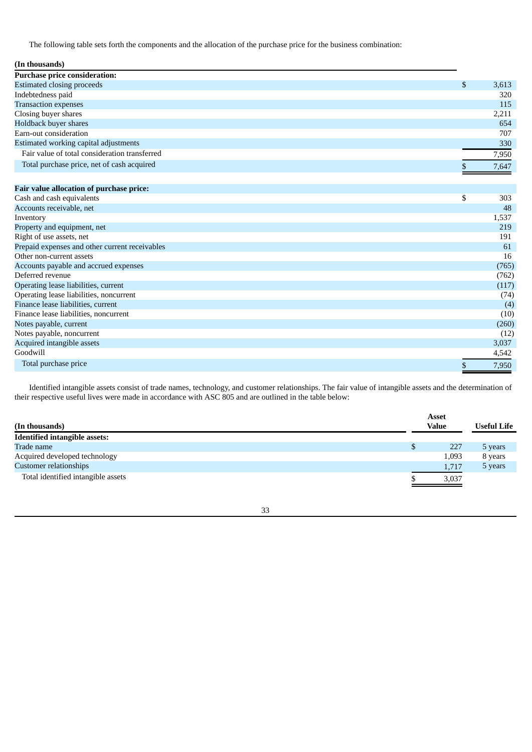The following table sets forth the components and the allocation of the purchase price for the business combination:

| (In thousands)                                  |    |       |
|-------------------------------------------------|----|-------|
| <b>Purchase price consideration:</b>            |    |       |
| <b>Estimated closing proceeds</b>               | \$ | 3,613 |
| Indebtedness paid                               |    | 320   |
| <b>Transaction expenses</b>                     |    | 115   |
| Closing buyer shares                            |    | 2,211 |
| Holdback buyer shares                           |    | 654   |
| Earn-out consideration                          |    | 707   |
| Estimated working capital adjustments           |    | 330   |
| Fair value of total consideration transferred   |    | 7,950 |
| Total purchase price, net of cash acquired      |    | 7,647 |
|                                                 |    |       |
| <b>Fair value allocation of purchase price:</b> |    |       |
| Cash and cash equivalents                       | \$ | 303   |
| Accounts receivable, net                        |    | 48    |
| Inventory                                       |    | 1,537 |
| التجاري التسم ووددها والمستحدث ومنسو والمسار    |    | 210   |

| <b>ILIVELILOLY</b>                             | ∕ دد,⊥ |
|------------------------------------------------|--------|
| Property and equipment, net                    | 219    |
| Right of use assets, net                       | 191    |
| Prepaid expenses and other current receivables | 61     |
| Other non-current assets                       | 16     |
| Accounts payable and accrued expenses          | (765)  |
| Deferred revenue                               | (762)  |
| Operating lease liabilities, current           | (117)  |
| Operating lease liabilities, noncurrent        | (74)   |
| Finance lease liabilities, current             | (4)    |
| Finance lease liabilities, noncurrent          | (10)   |
| Notes payable, current                         | (260)  |
| Notes payable, noncurrent                      | (12)   |
| Acquired intangible assets                     | 3,037  |
| Goodwill                                       | 4,542  |
| Total purchase price                           | 7,950  |
|                                                |        |

Identified intangible assets consist of trade names, technology, and customer relationships. The fair value of intangible assets and the determination of their respective useful lives were made in accordance with ASC 805 and are outlined in the table below:

|                                      | <b>Asset</b> |                    |
|--------------------------------------|--------------|--------------------|
| (In thousands)                       | <b>Value</b> | <b>Useful Life</b> |
| <b>Identified intangible assets:</b> |              |                    |
| Trade name                           | \$<br>227    | 5 years            |
| Acquired developed technology        | 1,093        | 8 years            |
| <b>Customer relationships</b>        | 1,717        | 5 years            |
| Total identified intangible assets   | 3,037        |                    |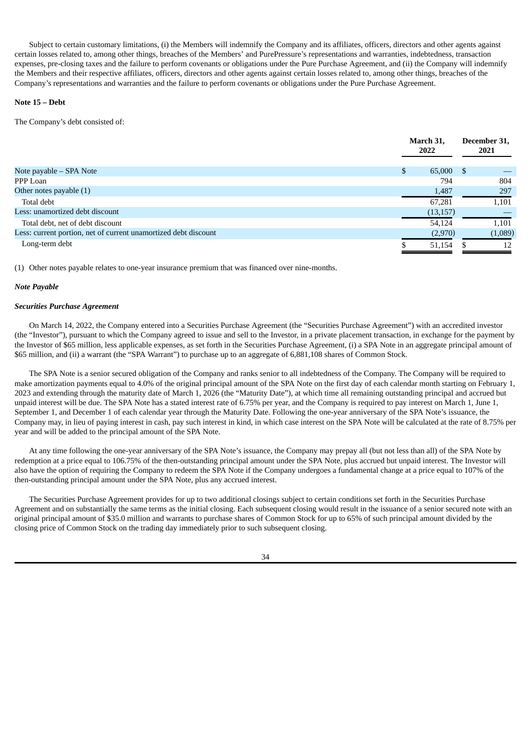Subject to certain customary limitations, (i) the Members will indemnify the Company and its affiliates, officers, directors and other agents against certain losses related to, among other things, breaches of the Members' and PurePressure's representations and warranties, indebtedness, transaction expenses, pre-closing taxes and the failure to perform covenants or obligations under the Pure Purchase Agreement, and (ii) the Company will indemnify the Members and their respective affiliates, officers, directors and other agents against certain losses related to, among other things, breaches of the Company's representations and warranties and the failure to perform covenants or obligations under the Pure Purchase Agreement.

## **Note 15 – Debt**

The Company's debt consisted of:

|                                                                 | March 31,<br>2022 | December 31,<br>2021 |
|-----------------------------------------------------------------|-------------------|----------------------|
| Note payable – SPA Note                                         | 65,000<br>\$      | -S                   |
| PPP Loan                                                        | 794               | 804                  |
| Other notes payable (1)                                         | 1,487             | 297                  |
| Total debt                                                      | 67,281            | 1,101                |
| Less: unamortized debt discount                                 | (13, 157)         |                      |
| Total debt, net of debt discount                                | 54,124            | 1,101                |
| Less: current portion, net of current unamortized debt discount | (2,970)           | (1,089)              |
| Long-term debt                                                  | 51,154            | 12                   |
|                                                                 |                   |                      |

(1) Other notes payable relates to one-year insurance premium that was financed over nine-months.

### *Note Payable*

### *Securities Purchase Agreement*

On March 14, 2022, the Company entered into a Securities Purchase Agreement (the "Securities Purchase Agreement") with an accredited investor (the "Investor"), pursuant to which the Company agreed to issue and sell to the Investor, in a private placement transaction, in exchange for the payment by the Investor of \$65 million, less applicable expenses, as set forth in the Securities Purchase Agreement, (i) a SPA Note in an aggregate principal amount of \$65 million, and (ii) a warrant (the "SPA Warrant") to purchase up to an aggregate of 6,881,108 shares of Common Stock.

The SPA Note is a senior secured obligation of the Company and ranks senior to all indebtedness of the Company. The Company will be required to make amortization payments equal to 4.0% of the original principal amount of the SPA Note on the first day of each calendar month starting on February 1, 2023 and extending through the maturity date of March 1, 2026 (the "Maturity Date"), at which time all remaining outstanding principal and accrued but unpaid interest will be due. The SPA Note has a stated interest rate of 6.75% per year, and the Company is required to pay interest on March 1, June 1, September 1, and December 1 of each calendar year through the Maturity Date. Following the one-year anniversary of the SPA Note's issuance, the Company may, in lieu of paying interest in cash, pay such interest in kind, in which case interest on the SPA Note will be calculated at the rate of 8.75% per year and will be added to the principal amount of the SPA Note.

At any time following the one-year anniversary of the SPA Note's issuance, the Company may prepay all (but not less than all) of the SPA Note by redemption at a price equal to 106.75% of the then-outstanding principal amount under the SPA Note, plus accrued but unpaid interest. The Investor will also have the option of requiring the Company to redeem the SPA Note if the Company undergoes a fundamental change at a price equal to 107% of the then-outstanding principal amount under the SPA Note, plus any accrued interest.

The Securities Purchase Agreement provides for up to two additional closings subject to certain conditions set forth in the Securities Purchase Agreement and on substantially the same terms as the initial closing. Each subsequent closing would result in the issuance of a senior secured note with an original principal amount of \$35.0 million and warrants to purchase shares of Common Stock for up to 65% of such principal amount divided by the closing price of Common Stock on the trading day immediately prior to such subsequent closing.

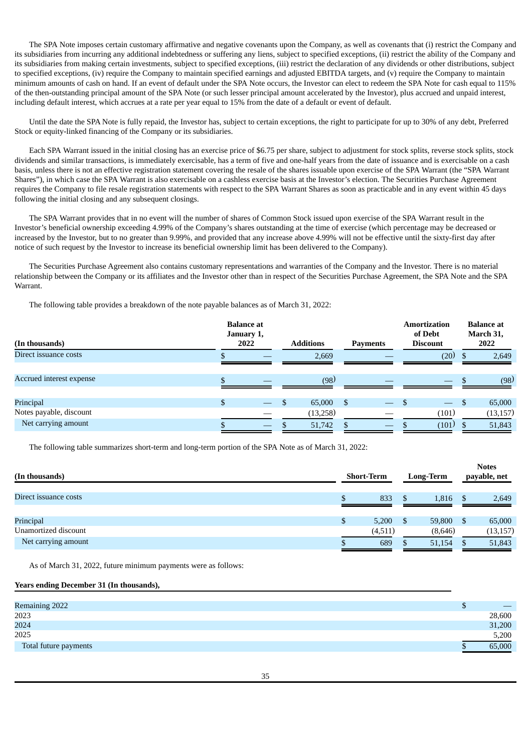The SPA Note imposes certain customary affirmative and negative covenants upon the Company, as well as covenants that (i) restrict the Company and its subsidiaries from incurring any additional indebtedness or suffering any liens, subject to specified exceptions, (ii) restrict the ability of the Company and its subsidiaries from making certain investments, subject to specified exceptions, (iii) restrict the declaration of any dividends or other distributions, subject to specified exceptions, (iv) require the Company to maintain specified earnings and adjusted EBITDA targets, and (v) require the Company to maintain minimum amounts of cash on hand. If an event of default under the SPA Note occurs, the Investor can elect to redeem the SPA Note for cash equal to 115% of the then-outstanding principal amount of the SPA Note (or such lesser principal amount accelerated by the Investor), plus accrued and unpaid interest, including default interest, which accrues at a rate per year equal to 15% from the date of a default or event of default.

Until the date the SPA Note is fully repaid, the Investor has, subject to certain exceptions, the right to participate for up to 30% of any debt, Preferred Stock or equity-linked financing of the Company or its subsidiaries.

Each SPA Warrant issued in the initial closing has an exercise price of \$6.75 per share, subject to adjustment for stock splits, reverse stock splits, stock dividends and similar transactions, is immediately exercisable, has a term of five and one-half years from the date of issuance and is exercisable on a cash basis, unless there is not an effective registration statement covering the resale of the shares issuable upon exercise of the SPA Warrant (the "SPA Warrant Shares"), in which case the SPA Warrant is also exercisable on a cashless exercise basis at the Investor's election. The Securities Purchase Agreement requires the Company to file resale registration statements with respect to the SPA Warrant Shares as soon as practicable and in any event within 45 days following the initial closing and any subsequent closings.

The SPA Warrant provides that in no event will the number of shares of Common Stock issued upon exercise of the SPA Warrant result in the Investor's beneficial ownership exceeding 4.99% of the Company's shares outstanding at the time of exercise (which percentage may be decreased or increased by the Investor, but to no greater than 9.99%, and provided that any increase above 4.99% will not be effective until the sixty-first day after notice of such request by the Investor to increase its beneficial ownership limit has been delivered to the Company).

The Securities Purchase Agreement also contains customary representations and warranties of the Company and the Investor. There is no material relationship between the Company or its affiliates and the Investor other than in respect of the Securities Purchase Agreement, the SPA Note and the SPA Warrant.

The following table provides a breakdown of the note payable balances as of March 31, 2022:

| (In thousands)                       | <b>Balance</b> at<br>January 1,<br>2022 |    | <b>Additions</b>   |    | <b>Payments</b> | <b>Amortization</b><br>of Debt<br><b>Discount</b> | <b>Balance</b> at<br>March 31,<br>2022 |
|--------------------------------------|-----------------------------------------|----|--------------------|----|-----------------|---------------------------------------------------|----------------------------------------|
| Direct issuance costs                |                                         |    | 2,669              |    |                 | (20)                                              | 2,649                                  |
| Accrued interest expense             |                                         |    | (98)               |    |                 |                                                   | (98)                                   |
| Principal<br>Notes payable, discount |                                         | -S | 65,000<br>(13,258) | -S |                 | (101)                                             | 65,000<br>(13, 157)                    |
| Net carrying amount                  |                                         |    | 51,742             |    | _               | (101)                                             | 51,843                                 |

The following table summarizes short-term and long-term portion of the SPA Note as of March 31, 2022:

| (In thousands)        |    | <b>Short-Term</b> |    | <b>Long-Term</b> | <b>Notes</b><br>payable, net |           |
|-----------------------|----|-------------------|----|------------------|------------------------------|-----------|
| Direct issuance costs |    | 833               | -S | 1,816            |                              | 2,649     |
| Principal             | \$ | 5,200             | S  | 59,800           |                              | 65,000    |
| Unamortized discount  |    | (4,511)           |    | (8,646)          |                              | (13, 157) |
| Net carrying amount   |    | 689               |    | 51,154           |                              | 51,843    |

As of March 31, 2022, future minimum payments were as follows:

### **Years ending December 31 (In thousands),**

| Remaining 2022        | $-$    |
|-----------------------|--------|
| 2023                  | 28,600 |
| 2024                  | 31,200 |
| 2025                  | 5,200  |
| Total future payments | 65,000 |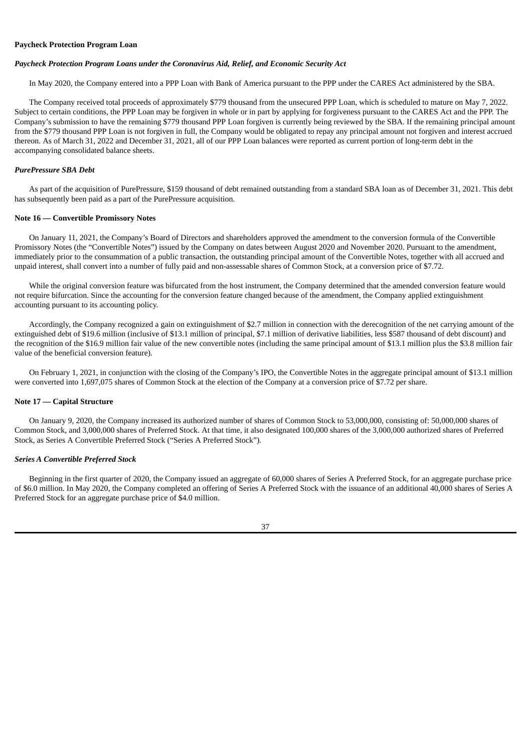## **Paycheck Protection Program Loan**

### *Paycheck Protection Program Loans under the Coronavirus Aid, Relief, and Economic Security Act*

In May 2020, the Company entered into a PPP Loan with Bank of America pursuant to the PPP under the CARES Act administered by the SBA.

The Company received total proceeds of approximately \$779 thousand from the unsecured PPP Loan, which is scheduled to mature on May 7, 2022. Subject to certain conditions, the PPP Loan may be forgiven in whole or in part by applying for forgiveness pursuant to the CARES Act and the PPP. The Company's submission to have the remaining \$779 thousand PPP Loan forgiven is currently being reviewed by the SBA. If the remaining principal amount from the \$779 thousand PPP Loan is not forgiven in full, the Company would be obligated to repay any principal amount not forgiven and interest accrued thereon. As of March 31, 2022 and December 31, 2021, all of our PPP Loan balances were reported as current portion of long-term debt in the accompanying consolidated balance sheets.

## *PurePressure SBA Debt*

As part of the acquisition of PurePressure, \$159 thousand of debt remained outstanding from a standard SBA loan as of December 31, 2021. This debt has subsequently been paid as a part of the PurePressure acquisition.

## **Note 16 — Convertible Promissory Notes**

On January 11, 2021, the Company's Board of Directors and shareholders approved the amendment to the conversion formula of the Convertible Promissory Notes (the "Convertible Notes") issued by the Company on dates between August 2020 and November 2020. Pursuant to the amendment, immediately prior to the consummation of a public transaction, the outstanding principal amount of the Convertible Notes, together with all accrued and unpaid interest, shall convert into a number of fully paid and non-assessable shares of Common Stock, at a conversion price of \$7.72.

While the original conversion feature was bifurcated from the host instrument, the Company determined that the amended conversion feature would not require bifurcation. Since the accounting for the conversion feature changed because of the amendment, the Company applied extinguishment accounting pursuant to its accounting policy.

Accordingly, the Company recognized a gain on extinguishment of \$2.7 million in connection with the derecognition of the net carrying amount of the extinguished debt of \$19.6 million (inclusive of \$13.1 million of principal, \$7.1 million of derivative liabilities, less \$587 thousand of debt discount) and the recognition of the \$16.9 million fair value of the new convertible notes (including the same principal amount of \$13.1 million plus the \$3.8 million fair value of the beneficial conversion feature).

On February 1, 2021, in conjunction with the closing of the Company's IPO, the Convertible Notes in the aggregate principal amount of \$13.1 million were converted into 1,697,075 shares of Common Stock at the election of the Company at a conversion price of \$7.72 per share.

#### **Note 17 — Capital Structure**

On January 9, 2020, the Company increased its authorized number of shares of Common Stock to 53,000,000, consisting of: 50,000,000 shares of Common Stock, and 3,000,000 shares of Preferred Stock. At that time, it also designated 100,000 shares of the 3,000,000 authorized shares of Preferred Stock, as Series A Convertible Preferred Stock ("Series A Preferred Stock").

## *Series A Convertible Preferred Stock*

Beginning in the first quarter of 2020, the Company issued an aggregate of 60,000 shares of Series A Preferred Stock, for an aggregate purchase price of \$6.0 million. In May 2020, the Company completed an offering of Series A Preferred Stock with the issuance of an additional 40,000 shares of Series A Preferred Stock for an aggregate purchase price of \$4.0 million.

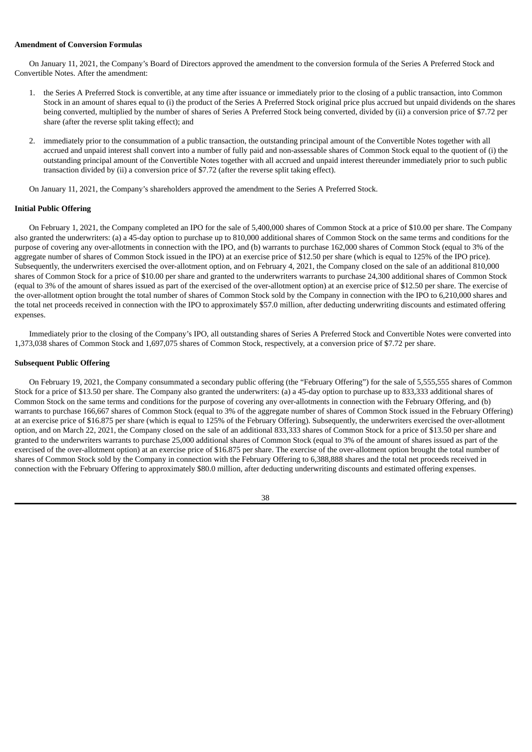## **Amendment of Conversion Formulas**

On January 11, 2021, the Company's Board of Directors approved the amendment to the conversion formula of the Series A Preferred Stock and Convertible Notes. After the amendment:

- 1. the Series A Preferred Stock is convertible, at any time after issuance or immediately prior to the closing of a public transaction, into Common Stock in an amount of shares equal to (i) the product of the Series A Preferred Stock original price plus accrued but unpaid dividends on the shares being converted, multiplied by the number of shares of Series A Preferred Stock being converted, divided by (ii) a conversion price of \$7.72 per share (after the reverse split taking effect); and
- 2. immediately prior to the consummation of a public transaction, the outstanding principal amount of the Convertible Notes together with all accrued and unpaid interest shall convert into a number of fully paid and non-assessable shares of Common Stock equal to the quotient of (i) the outstanding principal amount of the Convertible Notes together with all accrued and unpaid interest thereunder immediately prior to such public transaction divided by (ii) a conversion price of \$7.72 (after the reverse split taking effect).

On January 11, 2021, the Company's shareholders approved the amendment to the Series A Preferred Stock.

## **Initial Public Offering**

On February 1, 2021, the Company completed an IPO for the sale of 5,400,000 shares of Common Stock at a price of \$10.00 per share. The Company also granted the underwriters: (a) a 45-day option to purchase up to 810,000 additional shares of Common Stock on the same terms and conditions for the purpose of covering any over-allotments in connection with the IPO, and (b) warrants to purchase 162,000 shares of Common Stock (equal to 3% of the aggregate number of shares of Common Stock issued in the IPO) at an exercise price of \$12.50 per share (which is equal to 125% of the IPO price). Subsequently, the underwriters exercised the over-allotment option, and on February 4, 2021, the Company closed on the sale of an additional 810,000 shares of Common Stock for a price of \$10.00 per share and granted to the underwriters warrants to purchase 24,300 additional shares of Common Stock (equal to 3% of the amount of shares issued as part of the exercised of the over-allotment option) at an exercise price of \$12.50 per share. The exercise of the over-allotment option brought the total number of shares of Common Stock sold by the Company in connection with the IPO to 6,210,000 shares and the total net proceeds received in connection with the IPO to approximately \$57.0 million, after deducting underwriting discounts and estimated offering expenses.

Immediately prior to the closing of the Company's IPO, all outstanding shares of Series A Preferred Stock and Convertible Notes were converted into 1,373,038 shares of Common Stock and 1,697,075 shares of Common Stock, respectively, at a conversion price of \$7.72 per share.

## **Subsequent Public Offering**

On February 19, 2021, the Company consummated a secondary public offering (the "February Offering") for the sale of 5,555,555 shares of Common Stock for a price of \$13.50 per share. The Company also granted the underwriters: (a) a 45-day option to purchase up to 833,333 additional shares of Common Stock on the same terms and conditions for the purpose of covering any over-allotments in connection with the February Offering, and (b) warrants to purchase 166,667 shares of Common Stock (equal to 3% of the aggregate number of shares of Common Stock issued in the February Offering) at an exercise price of \$16.875 per share (which is equal to 125% of the February Offering). Subsequently, the underwriters exercised the over-allotment option, and on March 22, 2021, the Company closed on the sale of an additional 833,333 shares of Common Stock for a price of \$13.50 per share and granted to the underwriters warrants to purchase 25,000 additional shares of Common Stock (equal to 3% of the amount of shares issued as part of the exercised of the over-allotment option) at an exercise price of \$16.875 per share. The exercise of the over-allotment option brought the total number of shares of Common Stock sold by the Company in connection with the February Offering to 6,388,888 shares and the total net proceeds received in connection with the February Offering to approximately \$80.0 million, after deducting underwriting discounts and estimated offering expenses.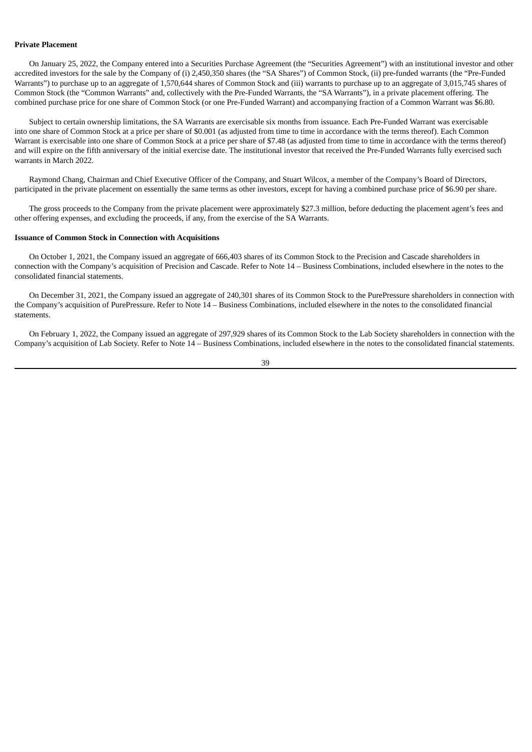## **Private Placement**

On January 25, 2022, the Company entered into a Securities Purchase Agreement (the "Securities Agreement") with an institutional investor and other accredited investors for the sale by the Company of (i) 2,450,350 shares (the "SA Shares") of Common Stock, (ii) pre-funded warrants (the "Pre-Funded Warrants") to purchase up to an aggregate of 1,570,644 shares of Common Stock and (iii) warrants to purchase up to an aggregate of 3,015,745 shares of Common Stock (the "Common Warrants" and, collectively with the Pre-Funded Warrants, the "SA Warrants"), in a private placement offering. The combined purchase price for one share of Common Stock (or one Pre-Funded Warrant) and accompanying fraction of a Common Warrant was \$6.80.

Subject to certain ownership limitations, the SA Warrants are exercisable six months from issuance. Each Pre-Funded Warrant was exercisable into one share of Common Stock at a price per share of \$0.001 (as adjusted from time to time in accordance with the terms thereof). Each Common Warrant is exercisable into one share of Common Stock at a price per share of \$7.48 (as adjusted from time to time in accordance with the terms thereof) and will expire on the fifth anniversary of the initial exercise date. The institutional investor that received the Pre-Funded Warrants fully exercised such warrants in March 2022.

Raymond Chang, Chairman and Chief Executive Officer of the Company, and Stuart Wilcox, a member of the Company's Board of Directors, participated in the private placement on essentially the same terms as other investors, except for having a combined purchase price of \$6.90 per share.

The gross proceeds to the Company from the private placement were approximately \$27.3 million, before deducting the placement agent's fees and other offering expenses, and excluding the proceeds, if any, from the exercise of the SA Warrants.

### **Issuance of Common Stock in Connection with Acquisitions**

On October 1, 2021, the Company issued an aggregate of 666,403 shares of its Common Stock to the Precision and Cascade shareholders in connection with the Company's acquisition of Precision and Cascade. Refer to Note 14 – Business Combinations, included elsewhere in the notes to the consolidated financial statements.

On December 31, 2021, the Company issued an aggregate of 240,301 shares of its Common Stock to the PurePressure shareholders in connection with the Company's acquisition of PurePressure. Refer to Note 14 – Business Combinations, included elsewhere in the notes to the consolidated financial statements.

On February 1, 2022, the Company issued an aggregate of 297,929 shares of its Common Stock to the Lab Society shareholders in connection with the Company's acquisition of Lab Society. Refer to Note 14 – Business Combinations, included elsewhere in the notes to the consolidated financial statements.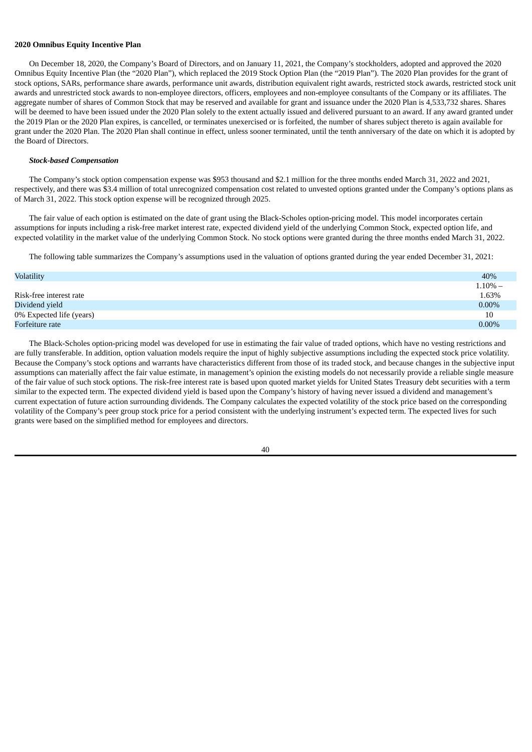## **2020 Omnibus Equity Incentive Plan**

On December 18, 2020, the Company's Board of Directors, and on January 11, 2021, the Company's stockholders, adopted and approved the 2020 Omnibus Equity Incentive Plan (the "2020 Plan"), which replaced the 2019 Stock Option Plan (the "2019 Plan"). The 2020 Plan provides for the grant of stock options, SARs, performance share awards, performance unit awards, distribution equivalent right awards, restricted stock awards, restricted stock unit awards and unrestricted stock awards to non-employee directors, officers, employees and non-employee consultants of the Company or its affiliates. The aggregate number of shares of Common Stock that may be reserved and available for grant and issuance under the 2020 Plan is 4,533,732 shares. Shares will be deemed to have been issued under the 2020 Plan solely to the extent actually issued and delivered pursuant to an award. If any award granted under the 2019 Plan or the 2020 Plan expires, is cancelled, or terminates unexercised or is forfeited, the number of shares subject thereto is again available for grant under the 2020 Plan. The 2020 Plan shall continue in effect, unless sooner terminated, until the tenth anniversary of the date on which it is adopted by the Board of Directors.

### *Stock-based Compensation*

The Company's stock option compensation expense was \$953 thousand and \$2.1 million for the three months ended March 31, 2022 and 2021, respectively, and there was \$3.4 million of total unrecognized compensation cost related to unvested options granted under the Company's options plans as of March 31, 2022. This stock option expense will be recognized through 2025.

The fair value of each option is estimated on the date of grant using the Black-Scholes option-pricing model. This model incorporates certain assumptions for inputs including a risk-free market interest rate, expected dividend yield of the underlying Common Stock, expected option life, and expected volatility in the market value of the underlying Common Stock. No stock options were granted during the three months ended March 31, 2022.

The following table summarizes the Company's assumptions used in the valuation of options granted during the year ended December 31, 2021:

| <b>Volatility</b>        | 40%        |
|--------------------------|------------|
|                          | $1.10\%$ - |
| Risk-free interest rate  | 1.63%      |
| Dividend yield           | 0.00%      |
| 0% Expected life (years) | 10         |
| Forfeiture rate          | $0.00\%$   |

The Black-Scholes option-pricing model was developed for use in estimating the fair value of traded options, which have no vesting restrictions and are fully transferable. In addition, option valuation models require the input of highly subjective assumptions including the expected stock price volatility. Because the Company's stock options and warrants have characteristics different from those of its traded stock, and because changes in the subjective input assumptions can materially affect the fair value estimate, in management's opinion the existing models do not necessarily provide a reliable single measure of the fair value of such stock options. The risk-free interest rate is based upon quoted market yields for United States Treasury debt securities with a term similar to the expected term. The expected dividend yield is based upon the Company's history of having never issued a dividend and management's current expectation of future action surrounding dividends. The Company calculates the expected volatility of the stock price based on the corresponding volatility of the Company's peer group stock price for a period consistent with the underlying instrument's expected term. The expected lives for such grants were based on the simplified method for employees and directors.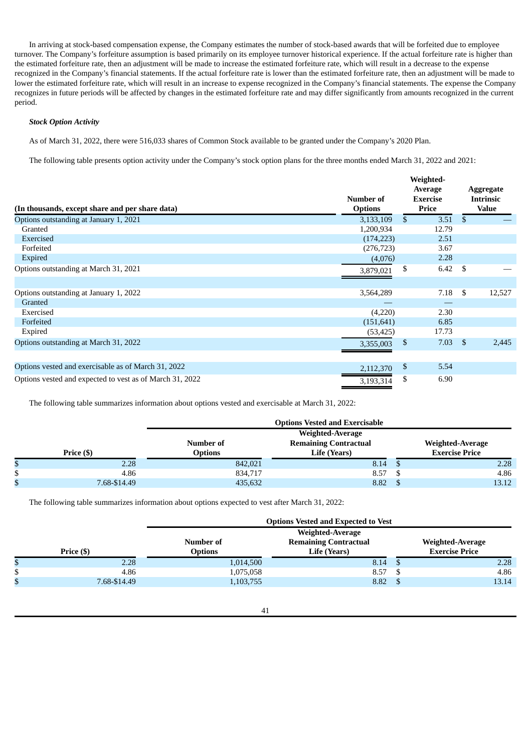In arriving at stock-based compensation expense, the Company estimates the number of stock-based awards that will be forfeited due to employee turnover. The Company's forfeiture assumption is based primarily on its employee turnover historical experience. If the actual forfeiture rate is higher than the estimated forfeiture rate, then an adjustment will be made to increase the estimated forfeiture rate, which will result in a decrease to the expense recognized in the Company's financial statements. If the actual forfeiture rate is lower than the estimated forfeiture rate, then an adjustment will be made to lower the estimated forfeiture rate, which will result in an increase to expense recognized in the Company's financial statements. The expense the Company recognizes in future periods will be affected by changes in the estimated forfeiture rate and may differ significantly from amounts recognized in the current period.

## *Stock Option Activity*

As of March 31, 2022, there were 516,033 shares of Common Stock available to be granted under the Company's 2020 Plan.

The following table presents option activity under the Company's stock option plans for the three months ended March 31, 2022 and 2021:

| (In thousands, except share and per share data)          | Number of<br><b>Options</b> | Average<br><b>Exercise</b><br>Price |       |              | Aggregate<br><b>Intrinsic</b><br>Value |
|----------------------------------------------------------|-----------------------------|-------------------------------------|-------|--------------|----------------------------------------|
| Options outstanding at January 1, 2021                   | 3,133,109                   | $\mathbf{s}$                        | 3.51  | $\mathbb{S}$ |                                        |
| Granted                                                  | 1,200,934                   |                                     | 12.79 |              |                                        |
| Exercised                                                | (174, 223)                  |                                     | 2.51  |              |                                        |
| Forfeited                                                | (276, 723)                  |                                     | 3.67  |              |                                        |
| Expired                                                  | (4,076)                     |                                     | 2.28  |              |                                        |
| Options outstanding at March 31, 2021                    | 3,879,021                   | \$                                  | 6.42  | -\$          |                                        |
|                                                          |                             |                                     |       |              |                                        |
| Options outstanding at January 1, 2022                   | 3,564,289                   |                                     | 7.18  | \$           | 12,527                                 |
| Granted                                                  |                             |                                     |       |              |                                        |
| Exercised                                                | (4,220)                     |                                     | 2.30  |              |                                        |
| Forfeited                                                | (151, 641)                  |                                     | 6.85  |              |                                        |
| Expired                                                  | (53, 425)                   |                                     | 17.73 |              |                                        |
| Options outstanding at March 31, 2022                    | 3,355,003                   | \$                                  | 7.03  | \$           | 2,445                                  |
|                                                          |                             |                                     |       |              |                                        |
| Options vested and exercisable as of March 31, 2022      | 2,112,370                   | \$                                  | 5.54  |              |                                        |
| Options vested and expected to vest as of March 31, 2022 | 3,193,314                   | \$                                  | 6.90  |              |                                        |

The following table summarizes information about options vested and exercisable at March 31, 2022:

|            |              | <b>Options Vested and Exercisable</b> |                                                                  |  |                                                  |  |  |  |  |
|------------|--------------|---------------------------------------|------------------------------------------------------------------|--|--------------------------------------------------|--|--|--|--|
| Price (\$) |              | Number of<br><b>Options</b>           | Weighted-Average<br><b>Remaining Contractual</b><br>Life (Years) |  | <b>Weighted-Average</b><br><b>Exercise Price</b> |  |  |  |  |
| \$         | 2.28         | 842,021                               | 8.14                                                             |  | 2.28                                             |  |  |  |  |
| \$         | 4.86         | 834,717                               | 8.57                                                             |  | 4.86                                             |  |  |  |  |
| \$         | 7.68-\$14.49 | 435,632                               | 8.82                                                             |  | 13.12                                            |  |  |  |  |

The following table summarizes information about options expected to vest after March 31, 2022:

| <b>Options Vested and Expected to Vest</b> |              |                |                              |   |                         |  |  |  |  |
|--------------------------------------------|--------------|----------------|------------------------------|---|-------------------------|--|--|--|--|
|                                            |              |                | Weighted-Average             |   |                         |  |  |  |  |
|                                            |              | Number of      | <b>Remaining Contractual</b> |   | <b>Weighted-Average</b> |  |  |  |  |
|                                            | Price (\$)   | <b>Options</b> | Life (Years)                 |   | <b>Exercise Price</b>   |  |  |  |  |
| \$                                         | 2.28         | 1,014,500      | 8.14                         |   | 2.28                    |  |  |  |  |
| \$                                         | 4.86         | 1,075,058      | 8.57                         | 5 | 4.86                    |  |  |  |  |
| \$                                         | 7.68-\$14.49 | 1,103,755      | 8.82                         |   | 13.14                   |  |  |  |  |
|                                            |              |                |                              |   |                         |  |  |  |  |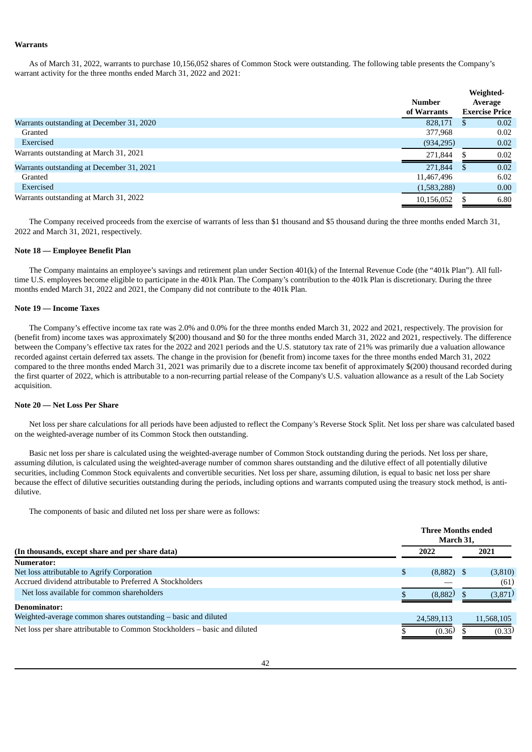## **Warrants**

As of March 31, 2022, warrants to purchase 10,156,052 shares of Common Stock were outstanding. The following table presents the Company's warrant activity for the three months ended March 31, 2022 and 2021:

|                                           | Number<br>of Warrants | Weighted-<br>Average<br><b>Exercise Price</b> |      |
|-------------------------------------------|-----------------------|-----------------------------------------------|------|
| Warrants outstanding at December 31, 2020 | 828,171               | S                                             | 0.02 |
| Granted                                   | 377,968               |                                               | 0.02 |
| Exercised                                 | (934, 295)            |                                               | 0.02 |
| Warrants outstanding at March 31, 2021    | 271,844               |                                               | 0.02 |
| Warrants outstanding at December 31, 2021 | 271,844               | S                                             | 0.02 |
| Granted                                   | 11,467,496            |                                               | 6.02 |
| Exercised                                 | (1,583,288)           |                                               | 0.00 |
| Warrants outstanding at March 31, 2022    | 10,156,052            |                                               | 6.80 |

The Company received proceeds from the exercise of warrants of less than \$1 thousand and \$5 thousand during the three months ended March 31, 2022 and March 31, 2021, respectively.

### **Note 18 — Employee Benefit Plan**

The Company maintains an employee's savings and retirement plan under Section 401(k) of the Internal Revenue Code (the "401k Plan"). All fulltime U.S. employees become eligible to participate in the 401k Plan. The Company's contribution to the 401k Plan is discretionary. During the three months ended March 31, 2022 and 2021, the Company did not contribute to the 401k Plan.

### **Note 19 — Income Taxes**

The Company's effective income tax rate was 2.0% and 0.0% for the three months ended March 31, 2022 and 2021, respectively. The provision for (benefit from) income taxes was approximately \$(200) thousand and \$0 for the three months ended March 31, 2022 and 2021, respectively. The difference between the Company's effective tax rates for the 2022 and 2021 periods and the U.S. statutory tax rate of 21% was primarily due a valuation allowance recorded against certain deferred tax assets. The change in the provision for (benefit from) income taxes for the three months ended March 31, 2022 compared to the three months ended March 31, 2021 was primarily due to a discrete income tax benefit of approximately \$(200) thousand recorded during the first quarter of 2022, which is attributable to a non-recurring partial release of the Company's U.S. valuation allowance as a result of the Lab Society acquisition.

## **Note 20 — Net Loss Per Share**

Net loss per share calculations for all periods have been adjusted to reflect the Company's Reverse Stock Split. Net loss per share was calculated based on the weighted-average number of its Common Stock then outstanding.

Basic net loss per share is calculated using the weighted-average number of Common Stock outstanding during the periods. Net loss per share, assuming dilution, is calculated using the weighted-average number of common shares outstanding and the dilutive effect of all potentially dilutive securities, including Common Stock equivalents and convertible securities. Net loss per share, assuming dilution, is equal to basic net loss per share because the effect of dilutive securities outstanding during the periods, including options and warrants computed using the treasury stock method, is antidilutive.

The components of basic and diluted net loss per share were as follows:

|                                                                            | <b>Three Months ended</b><br>March 31, |  |            |  |  |  |
|----------------------------------------------------------------------------|----------------------------------------|--|------------|--|--|--|
| (In thousands, except share and per share data)                            | 2022                                   |  | 2021       |  |  |  |
| Numerator:                                                                 |                                        |  |            |  |  |  |
| Net loss attributable to Agrify Corporation                                | \$<br>(8, 882)                         |  | (3,810)    |  |  |  |
| Accrued dividend attributable to Preferred A Stockholders                  |                                        |  | (61)       |  |  |  |
| Net loss available for common shareholders                                 | (8.882)                                |  | (3,871)    |  |  |  |
| Denominator:                                                               |                                        |  |            |  |  |  |
| Weighted-average common shares outstanding – basic and diluted             | 24,589,113                             |  | 11,568,105 |  |  |  |
| Net loss per share attributable to Common Stockholders – basic and diluted | (0.36)                                 |  | (0.33)     |  |  |  |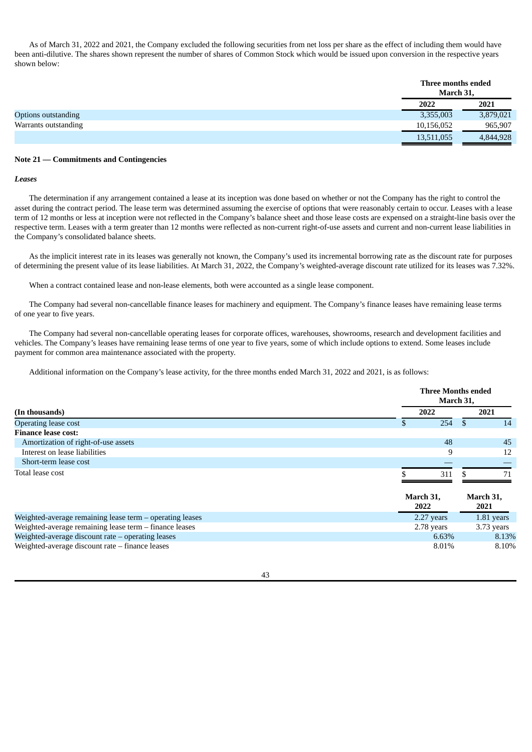As of March 31, 2022 and 2021, the Company excluded the following securities from net loss per share as the effect of including them would have been anti-dilutive. The shares shown represent the number of shares of Common Stock which would be issued upon conversion in the respective years shown below:

|                            | Three months ended<br>March 31, |           |
|----------------------------|---------------------------------|-----------|
|                            | 2022                            | 2021      |
| <b>Options outstanding</b> | 3,355,003                       | 3,879,021 |
| Warrants outstanding       | 10,156,052                      | 965,907   |
|                            | 13,511,055                      | 4,844,928 |

## **Note 21 — Commitments and Contingencies**

#### *Leases*

The determination if any arrangement contained a lease at its inception was done based on whether or not the Company has the right to control the asset during the contract period. The lease term was determined assuming the exercise of options that were reasonably certain to occur. Leases with a lease term of 12 months or less at inception were not reflected in the Company's balance sheet and those lease costs are expensed on a straight-line basis over the respective term. Leases with a term greater than 12 months were reflected as non-current right-of-use assets and current and non-current lease liabilities in the Company's consolidated balance sheets.

As the implicit interest rate in its leases was generally not known, the Company's used its incremental borrowing rate as the discount rate for purposes of determining the present value of its lease liabilities. At March 31, 2022, the Company's weighted-average discount rate utilized for its leases was 7.32%.

When a contract contained lease and non-lease elements, both were accounted as a single lease component.

The Company had several non-cancellable finance leases for machinery and equipment. The Company's finance leases have remaining lease terms of one year to five years.

The Company had several non-cancellable operating leases for corporate offices, warehouses, showrooms, research and development facilities and vehicles. The Company's leases have remaining lease terms of one year to five years, some of which include options to extend. Some leases include payment for common area maintenance associated with the property.

Additional information on the Company's lease activity, for the three months ended March 31, 2022 and 2021, is as follows:

|                                                            |                   | <b>Three Months ended</b><br>March 31, |  |  |  |  |  |
|------------------------------------------------------------|-------------------|----------------------------------------|--|--|--|--|--|
| (In thousands)                                             | 2022              | 2021                                   |  |  |  |  |  |
| Operating lease cost                                       | \$.               | 254<br>14                              |  |  |  |  |  |
| <b>Finance lease cost:</b>                                 |                   |                                        |  |  |  |  |  |
| Amortization of right-of-use assets                        |                   | 48<br>45                               |  |  |  |  |  |
| Interest on lease liabilities                              |                   | 9<br>12                                |  |  |  |  |  |
| Short-term lease cost                                      |                   |                                        |  |  |  |  |  |
| Total lease cost                                           |                   | 311                                    |  |  |  |  |  |
|                                                            | March 31,<br>2022 | March 31,<br>2021                      |  |  |  |  |  |
| Weighted-average remaining lease term $-$ operating leases | 2.27 years        | $1.81$ years                           |  |  |  |  |  |
| Weighted-average remaining lease term - finance leases     | 2.78 years        | 3.73 years                             |  |  |  |  |  |
| Weighted-average discount rate - operating leases          |                   | 6.63%<br>8.13%                         |  |  |  |  |  |
| Weighted-average discount rate - finance leases            |                   | 8.10%<br>8.01%                         |  |  |  |  |  |

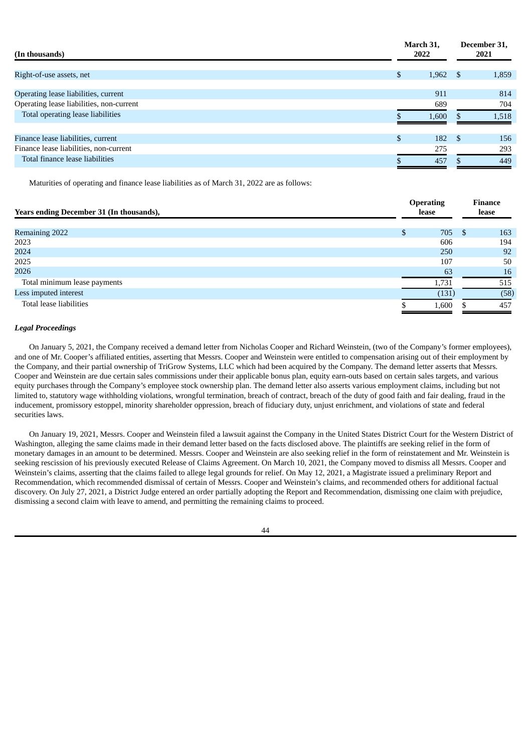| (In thousands)                           |    | March 31,<br>2022 |      | December 31,<br>2021 |  |
|------------------------------------------|----|-------------------|------|----------------------|--|
| Right-of-use assets, net                 | \$ | 1,962             | - S  | 1,859                |  |
|                                          |    |                   |      |                      |  |
| Operating lease liabilities, current     |    | 911               |      | 814                  |  |
| Operating lease liabilities, non-current |    | 689               |      | 704                  |  |
| Total operating lease liabilities        |    | 1.600             |      | 1,518                |  |
|                                          |    |                   |      |                      |  |
| Finance lease liabilities, current       | \$ | 182               | - \$ | 156                  |  |
| Finance lease liabilities, non-current   |    | 275               |      | 293                  |  |
| Total finance lease liabilities          |    | 457               |      | 449                  |  |
|                                          |    |                   |      |                      |  |

Maturities of operating and finance lease liabilities as of March 31, 2022 are as follows:

| Years ending December 31 (In thousands), | <b>Operating</b><br>lease | Finance<br>lease |  |
|------------------------------------------|---------------------------|------------------|--|
| Remaining 2022                           | 705<br>Φ                  | 163<br>- \$      |  |
| 2023                                     | 606                       | 194              |  |
| 2024                                     | 250                       | 92               |  |
| 2025                                     | 107                       | 50               |  |
| 2026                                     | 63                        | 16               |  |
| Total minimum lease payments             | 1,731                     | 515              |  |
| Less imputed interest                    | (131)                     | (58)             |  |
| Total lease liabilities                  | 1,600                     | 457              |  |

## *Legal Proceedings*

On January 5, 2021, the Company received a demand letter from Nicholas Cooper and Richard Weinstein, (two of the Company's former employees), and one of Mr. Cooper's affiliated entities, asserting that Messrs. Cooper and Weinstein were entitled to compensation arising out of their employment by the Company, and their partial ownership of TriGrow Systems, LLC which had been acquired by the Company. The demand letter asserts that Messrs. Cooper and Weinstein are due certain sales commissions under their applicable bonus plan, equity earn-outs based on certain sales targets, and various equity purchases through the Company's employee stock ownership plan. The demand letter also asserts various employment claims, including but not limited to, statutory wage withholding violations, wrongful termination, breach of contract, breach of the duty of good faith and fair dealing, fraud in the inducement, promissory estoppel, minority shareholder oppression, breach of fiduciary duty, unjust enrichment, and violations of state and federal securities laws.

On January 19, 2021, Messrs. Cooper and Weinstein filed a lawsuit against the Company in the United States District Court for the Western District of Washington, alleging the same claims made in their demand letter based on the facts disclosed above. The plaintiffs are seeking relief in the form of monetary damages in an amount to be determined. Messrs. Cooper and Weinstein are also seeking relief in the form of reinstatement and Mr. Weinstein is seeking rescission of his previously executed Release of Claims Agreement. On March 10, 2021, the Company moved to dismiss all Messrs. Cooper and Weinstein's claims, asserting that the claims failed to allege legal grounds for relief. On May 12, 2021, a Magistrate issued a preliminary Report and Recommendation, which recommended dismissal of certain of Messrs. Cooper and Weinstein's claims, and recommended others for additional factual discovery. On July 27, 2021, a District Judge entered an order partially adopting the Report and Recommendation, dismissing one claim with prejudice, dismissing a second claim with leave to amend, and permitting the remaining claims to proceed.

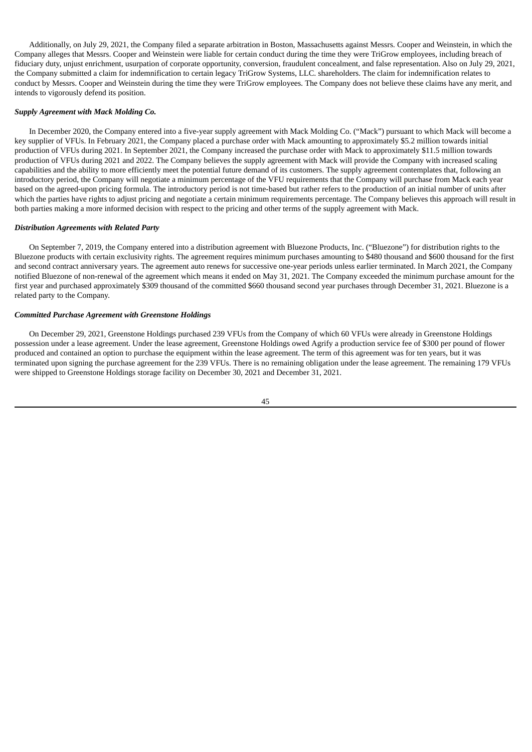Additionally, on July 29, 2021, the Company filed a separate arbitration in Boston, Massachusetts against Messrs. Cooper and Weinstein, in which the Company alleges that Messrs. Cooper and Weinstein were liable for certain conduct during the time they were TriGrow employees, including breach of fiduciary duty, unjust enrichment, usurpation of corporate opportunity, conversion, fraudulent concealment, and false representation. Also on July 29, 2021, the Company submitted a claim for indemnification to certain legacy TriGrow Systems, LLC. shareholders. The claim for indemnification relates to conduct by Messrs. Cooper and Weinstein during the time they were TriGrow employees. The Company does not believe these claims have any merit, and intends to vigorously defend its position.

### *Supply Agreement with Mack Molding Co.*

In December 2020, the Company entered into a five-year supply agreement with Mack Molding Co. ("Mack") pursuant to which Mack will become a key supplier of VFUs. In February 2021, the Company placed a purchase order with Mack amounting to approximately \$5.2 million towards initial production of VFUs during 2021. In September 2021, the Company increased the purchase order with Mack to approximately \$11.5 million towards production of VFUs during 2021 and 2022. The Company believes the supply agreement with Mack will provide the Company with increased scaling capabilities and the ability to more efficiently meet the potential future demand of its customers. The supply agreement contemplates that, following an introductory period, the Company will negotiate a minimum percentage of the VFU requirements that the Company will purchase from Mack each year based on the agreed-upon pricing formula. The introductory period is not time-based but rather refers to the production of an initial number of units after which the parties have rights to adjust pricing and negotiate a certain minimum requirements percentage. The Company believes this approach will result in both parties making a more informed decision with respect to the pricing and other terms of the supply agreement with Mack.

### *Distribution Agreements with Related Party*

On September 7, 2019, the Company entered into a distribution agreement with Bluezone Products, Inc. ("Bluezone") for distribution rights to the Bluezone products with certain exclusivity rights. The agreement requires minimum purchases amounting to \$480 thousand and \$600 thousand for the first and second contract anniversary years. The agreement auto renews for successive one-year periods unless earlier terminated. In March 2021, the Company notified Bluezone of non-renewal of the agreement which means it ended on May 31, 2021. The Company exceeded the minimum purchase amount for the first year and purchased approximately \$309 thousand of the committed \$660 thousand second year purchases through December 31, 2021. Bluezone is a related party to the Company.

### *Committed Purchase Agreement with Greenstone Holdings*

On December 29, 2021, Greenstone Holdings purchased 239 VFUs from the Company of which 60 VFUs were already in Greenstone Holdings possession under a lease agreement. Under the lease agreement, Greenstone Holdings owed Agrify a production service fee of \$300 per pound of flower produced and contained an option to purchase the equipment within the lease agreement. The term of this agreement was for ten years, but it was terminated upon signing the purchase agreement for the 239 VFUs. There is no remaining obligation under the lease agreement. The remaining 179 VFUs were shipped to Greenstone Holdings storage facility on December 30, 2021 and December 31, 2021.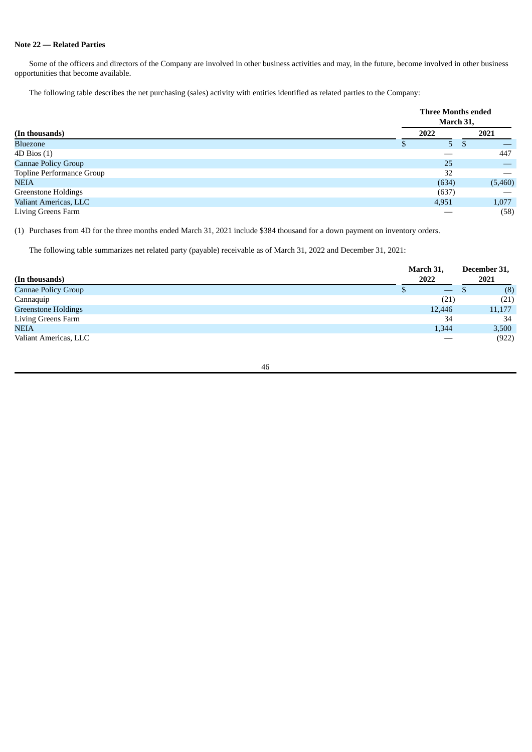## **Note 22 — Related Parties**

Some of the officers and directors of the Company are involved in other business activities and may, in the future, become involved in other business opportunities that become available.

The following table describes the net purchasing (sales) activity with entities identified as related parties to the Company:

|                            | <b>Three Months ended</b><br>March 31, |   |         |  |
|----------------------------|----------------------------------------|---|---------|--|
| (In thousands)             | 2022                                   |   | 2021    |  |
| Bluezone                   | 5.                                     | D |         |  |
| $4D \text{ Bios}(1)$       |                                        |   | 447     |  |
| <b>Cannae Policy Group</b> | 25                                     |   |         |  |
| Topline Performance Group  | 32                                     |   |         |  |
| <b>NEIA</b>                | (634)                                  |   | (5,460) |  |
| <b>Greenstone Holdings</b> | (637)                                  |   |         |  |
| Valiant Americas, LLC      | 4,951                                  |   | 1,077   |  |
| Living Greens Farm         |                                        |   | (58)    |  |

(1) Purchases from 4D for the three months ended March 31, 2021 include \$384 thousand for a down payment on inventory orders.

The following table summarizes net related party (payable) receivable as of March 31, 2022 and December 31, 2021:

| (In thousands)             | March 31,<br>2022              | December 31,<br>2021 |
|----------------------------|--------------------------------|----------------------|
| <b>Cannae Policy Group</b> | $\qquad \qquad \longleftarrow$ | (8)                  |
| Cannaquip                  | (21)                           | (21)                 |
| <b>Greenstone Holdings</b> | 12,446                         | 11,177               |
| Living Greens Farm         | 34                             | 34                   |
| <b>NEIA</b>                | 1,344                          | 3,500                |
| Valiant Americas, LLC      |                                | (922)                |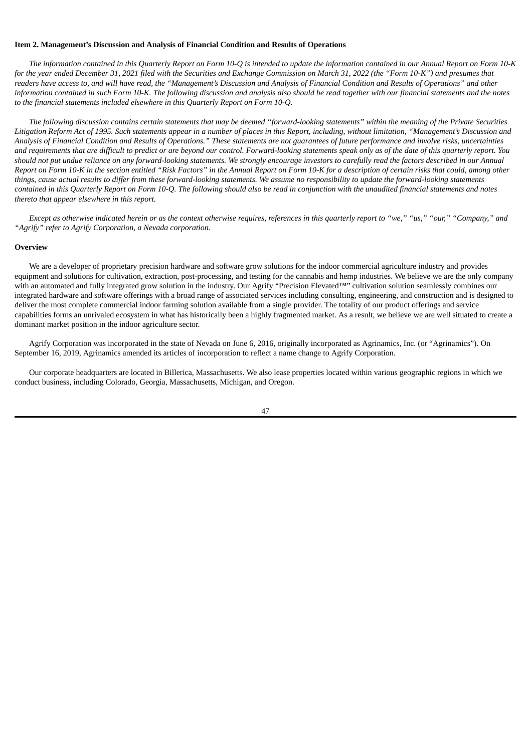### <span id="page-47-0"></span>**Item 2. Management's Discussion and Analysis of Financial Condition and Results of Operations**

The information contained in this Quarterly Report on Form 10-Q is intended to update the information contained in our Annual Report on Form 10-K for the year ended December 31, 2021 filed with the Securities and Exchange Commission on March 31, 2022 (the "Form 10-K") and presumes that readers have access to, and will have read, the "Management's Discussion and Analysis of Financial Condition and Results of Operations" and other information contained in such Form 10-K. The following discussion and analysis also should be read together with our financial statements and the notes *to the financial statements included elsewhere in this Quarterly Report on Form 10-Q.*

The following discussion contains certain statements that may be deemed "forward-looking statements" within the meaning of the Private Securities Litigation Reform Act of 1995. Such statements appear in a number of places in this Report, including, without limitation, "Management's Discussion and Analysis of Financial Condition and Results of Operations." These statements are not guarantees of future performance and involve risks, uncertainties and requirements that are difficult to predict or are beyond our control. Forward-looking statements speak only as of the date of this quarterly report. You should not put undue reliance on any forward-looking statements. We strongly encourage investors to carefully read the factors described in our Annual Report on Form 10-K in the section entitled "Risk Factors" in the Annual Report on Form 10-K for a description of certain risks that could, among other things, cause actual results to differ from these forward-looking statements. We assume no responsibility to update the forward-looking statements contained in this Quarterly Report on Form 10-Q. The following should also be read in conjunction with the unaudited financial statements and notes *thereto that appear elsewhere in this report.*

Except as otherwise indicated herein or as the context otherwise requires, references in this quarterly report to "we," "us," "our," "Company," and *"Agrify" refer to Agrify Corporation, a Nevada corporation.*

### **Overview**

We are a developer of proprietary precision hardware and software grow solutions for the indoor commercial agriculture industry and provides equipment and solutions for cultivation, extraction, post-processing, and testing for the cannabis and hemp industries. We believe we are the only company with an automated and fully integrated grow solution in the industry. Our Agrify "Precision Elevated™" cultivation solution seamlessly combines our integrated hardware and software offerings with a broad range of associated services including consulting, engineering, and construction and is designed to deliver the most complete commercial indoor farming solution available from a single provider. The totality of our product offerings and service capabilities forms an unrivaled ecosystem in what has historically been a highly fragmented market. As a result, we believe we are well situated to create a dominant market position in the indoor agriculture sector.

Agrify Corporation was incorporated in the state of Nevada on June 6, 2016, originally incorporated as Agrinamics, Inc. (or "Agrinamics"). On September 16, 2019, Agrinamics amended its articles of incorporation to reflect a name change to Agrify Corporation.

Our corporate headquarters are located in Billerica, Massachusetts. We also lease properties located within various geographic regions in which we conduct business, including Colorado, Georgia, Massachusetts, Michigan, and Oregon.

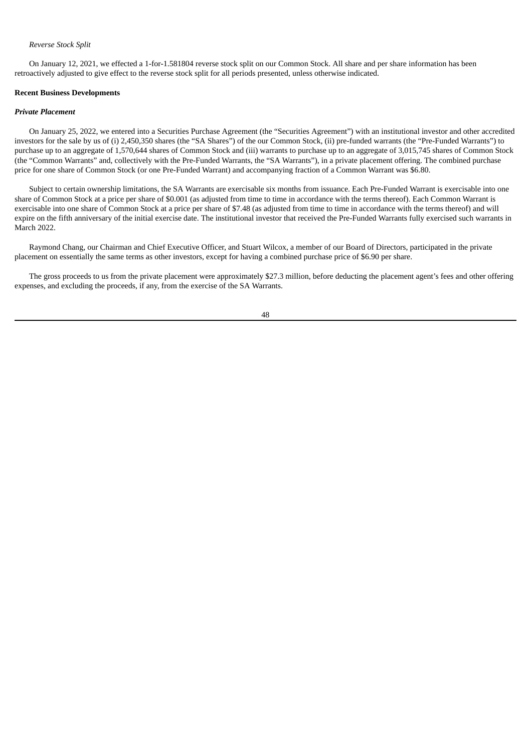## *Reverse Stock Split*

On January 12, 2021, we effected a 1-for-1.581804 reverse stock split on our Common Stock. All share and per share information has been retroactively adjusted to give effect to the reverse stock split for all periods presented, unless otherwise indicated.

## **Recent Business Developments**

### *Private Placement*

On January 25, 2022, we entered into a Securities Purchase Agreement (the "Securities Agreement") with an institutional investor and other accredited investors for the sale by us of (i) 2,450,350 shares (the "SA Shares") of the our Common Stock, (ii) pre-funded warrants (the "Pre-Funded Warrants") to purchase up to an aggregate of 1,570,644 shares of Common Stock and (iii) warrants to purchase up to an aggregate of 3,015,745 shares of Common Stock (the "Common Warrants" and, collectively with the Pre-Funded Warrants, the "SA Warrants"), in a private placement offering. The combined purchase price for one share of Common Stock (or one Pre-Funded Warrant) and accompanying fraction of a Common Warrant was \$6.80.

Subject to certain ownership limitations, the SA Warrants are exercisable six months from issuance. Each Pre-Funded Warrant is exercisable into one share of Common Stock at a price per share of \$0.001 (as adjusted from time to time in accordance with the terms thereof). Each Common Warrant is exercisable into one share of Common Stock at a price per share of \$7.48 (as adjusted from time to time in accordance with the terms thereof) and will expire on the fifth anniversary of the initial exercise date. The institutional investor that received the Pre-Funded Warrants fully exercised such warrants in March 2022.

Raymond Chang, our Chairman and Chief Executive Officer, and Stuart Wilcox, a member of our Board of Directors, participated in the private placement on essentially the same terms as other investors, except for having a combined purchase price of \$6.90 per share.

The gross proceeds to us from the private placement were approximately \$27.3 million, before deducting the placement agent's fees and other offering expenses, and excluding the proceeds, if any, from the exercise of the SA Warrants.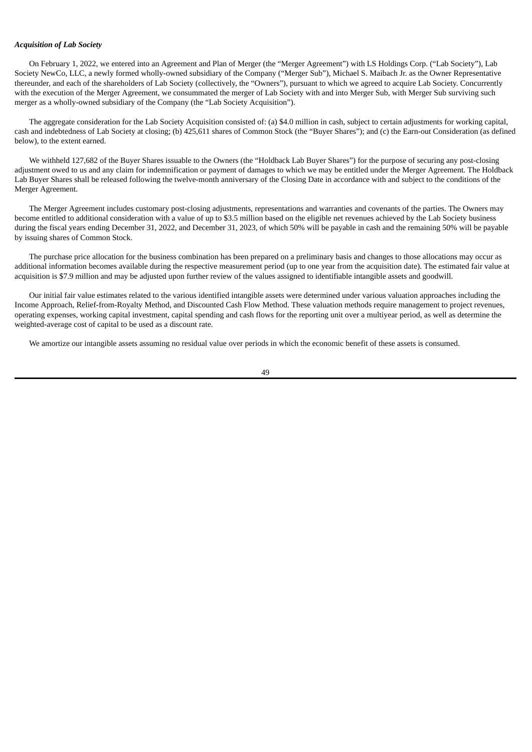## *Acquisition of Lab Society*

On February 1, 2022, we entered into an Agreement and Plan of Merger (the "Merger Agreement") with LS Holdings Corp. ("Lab Society"), Lab Society NewCo, LLC, a newly formed wholly-owned subsidiary of the Company ("Merger Sub"), Michael S. Maibach Jr. as the Owner Representative thereunder, and each of the shareholders of Lab Society (collectively, the "Owners"), pursuant to which we agreed to acquire Lab Society. Concurrently with the execution of the Merger Agreement, we consummated the merger of Lab Society with and into Merger Sub, with Merger Sub surviving such merger as a wholly-owned subsidiary of the Company (the "Lab Society Acquisition").

The aggregate consideration for the Lab Society Acquisition consisted of: (a) \$4.0 million in cash, subject to certain adjustments for working capital, cash and indebtedness of Lab Society at closing; (b) 425,611 shares of Common Stock (the "Buyer Shares"); and (c) the Earn-out Consideration (as defined below), to the extent earned.

We withheld 127,682 of the Buyer Shares issuable to the Owners (the "Holdback Lab Buyer Shares") for the purpose of securing any post-closing adjustment owed to us and any claim for indemnification or payment of damages to which we may be entitled under the Merger Agreement. The Holdback Lab Buyer Shares shall be released following the twelve-month anniversary of the Closing Date in accordance with and subject to the conditions of the Merger Agreement.

The Merger Agreement includes customary post-closing adjustments, representations and warranties and covenants of the parties. The Owners may become entitled to additional consideration with a value of up to \$3.5 million based on the eligible net revenues achieved by the Lab Society business during the fiscal years ending December 31, 2022, and December 31, 2023, of which 50% will be payable in cash and the remaining 50% will be payable by issuing shares of Common Stock.

The purchase price allocation for the business combination has been prepared on a preliminary basis and changes to those allocations may occur as additional information becomes available during the respective measurement period (up to one year from the acquisition date). The estimated fair value at acquisition is \$7.9 million and may be adjusted upon further review of the values assigned to identifiable intangible assets and goodwill.

Our initial fair value estimates related to the various identified intangible assets were determined under various valuation approaches including the Income Approach, Relief-from-Royalty Method, and Discounted Cash Flow Method. These valuation methods require management to project revenues, operating expenses, working capital investment, capital spending and cash flows for the reporting unit over a multiyear period, as well as determine the weighted-average cost of capital to be used as a discount rate.

We amortize our intangible assets assuming no residual value over periods in which the economic benefit of these assets is consumed.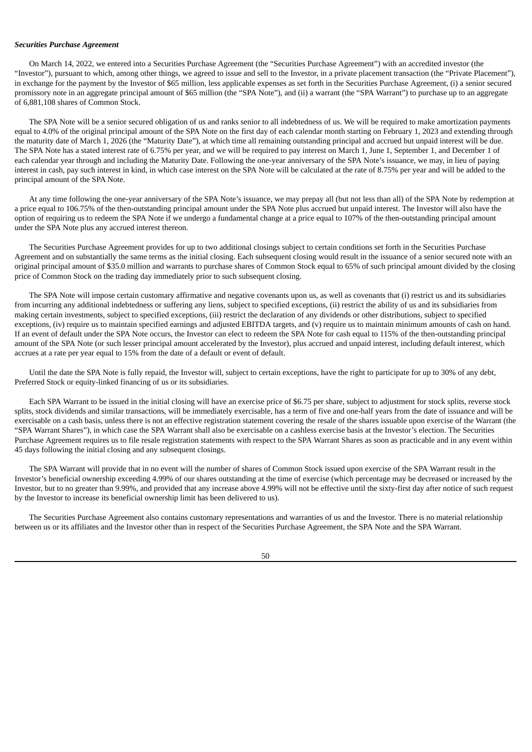## *Securities Purchase Agreement*

On March 14, 2022, we entered into a Securities Purchase Agreement (the "Securities Purchase Agreement") with an accredited investor (the "Investor"), pursuant to which, among other things, we agreed to issue and sell to the Investor, in a private placement transaction (the "Private Placement"), in exchange for the payment by the Investor of \$65 million, less applicable expenses as set forth in the Securities Purchase Agreement, (i) a senior secured promissory note in an aggregate principal amount of \$65 million (the "SPA Note"), and (ii) a warrant (the "SPA Warrant") to purchase up to an aggregate of 6,881,108 shares of Common Stock.

The SPA Note will be a senior secured obligation of us and ranks senior to all indebtedness of us. We will be required to make amortization payments equal to 4.0% of the original principal amount of the SPA Note on the first day of each calendar month starting on February 1, 2023 and extending through the maturity date of March 1, 2026 (the "Maturity Date"), at which time all remaining outstanding principal and accrued but unpaid interest will be due. The SPA Note has a stated interest rate of 6.75% per year, and we will be required to pay interest on March 1, June 1, September 1, and December 1 of each calendar year through and including the Maturity Date. Following the one-year anniversary of the SPA Note's issuance, we may, in lieu of paying interest in cash, pay such interest in kind, in which case interest on the SPA Note will be calculated at the rate of 8.75% per year and will be added to the principal amount of the SPA Note.

At any time following the one-year anniversary of the SPA Note's issuance, we may prepay all (but not less than all) of the SPA Note by redemption at a price equal to 106.75% of the then-outstanding principal amount under the SPA Note plus accrued but unpaid interest. The Investor will also have the option of requiring us to redeem the SPA Note if we undergo a fundamental change at a price equal to 107% of the then-outstanding principal amount under the SPA Note plus any accrued interest thereon.

The Securities Purchase Agreement provides for up to two additional closings subject to certain conditions set forth in the Securities Purchase Agreement and on substantially the same terms as the initial closing. Each subsequent closing would result in the issuance of a senior secured note with an original principal amount of \$35.0 million and warrants to purchase shares of Common Stock equal to 65% of such principal amount divided by the closing price of Common Stock on the trading day immediately prior to such subsequent closing.

The SPA Note will impose certain customary affirmative and negative covenants upon us, as well as covenants that (i) restrict us and its subsidiaries from incurring any additional indebtedness or suffering any liens, subject to specified exceptions, (ii) restrict the ability of us and its subsidiaries from making certain investments, subject to specified exceptions, (iii) restrict the declaration of any dividends or other distributions, subject to specified exceptions, (iv) require us to maintain specified earnings and adjusted EBITDA targets, and (v) require us to maintain minimum amounts of cash on hand. If an event of default under the SPA Note occurs, the Investor can elect to redeem the SPA Note for cash equal to 115% of the then-outstanding principal amount of the SPA Note (or such lesser principal amount accelerated by the Investor), plus accrued and unpaid interest, including default interest, which accrues at a rate per year equal to 15% from the date of a default or event of default.

Until the date the SPA Note is fully repaid, the Investor will, subject to certain exceptions, have the right to participate for up to 30% of any debt, Preferred Stock or equity-linked financing of us or its subsidiaries.

Each SPA Warrant to be issued in the initial closing will have an exercise price of \$6.75 per share, subject to adjustment for stock splits, reverse stock splits, stock dividends and similar transactions, will be immediately exercisable, has a term of five and one-half years from the date of issuance and will be exercisable on a cash basis, unless there is not an effective registration statement covering the resale of the shares issuable upon exercise of the Warrant (the "SPA Warrant Shares"), in which case the SPA Warrant shall also be exercisable on a cashless exercise basis at the Investor's election. The Securities Purchase Agreement requires us to file resale registration statements with respect to the SPA Warrant Shares as soon as practicable and in any event within 45 days following the initial closing and any subsequent closings.

The SPA Warrant will provide that in no event will the number of shares of Common Stock issued upon exercise of the SPA Warrant result in the Investor's beneficial ownership exceeding 4.99% of our shares outstanding at the time of exercise (which percentage may be decreased or increased by the Investor, but to no greater than 9.99%, and provided that any increase above 4.99% will not be effective until the sixty-first day after notice of such request by the Investor to increase its beneficial ownership limit has been delivered to us).

The Securities Purchase Agreement also contains customary representations and warranties of us and the Investor. There is no material relationship between us or its affiliates and the Investor other than in respect of the Securities Purchase Agreement, the SPA Note and the SPA Warrant.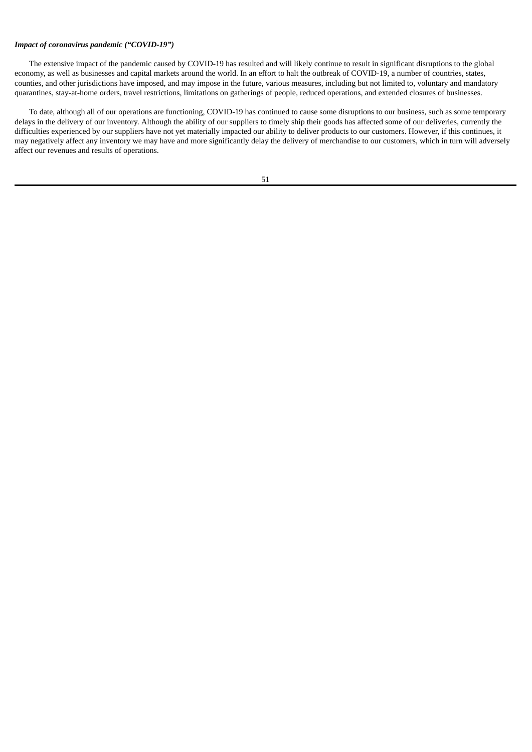## *Impact of coronavirus pandemic ("COVID-19")*

The extensive impact of the pandemic caused by COVID-19 has resulted and will likely continue to result in significant disruptions to the global economy, as well as businesses and capital markets around the world. In an effort to halt the outbreak of COVID-19, a number of countries, states, counties, and other jurisdictions have imposed, and may impose in the future, various measures, including but not limited to, voluntary and mandatory quarantines, stay-at-home orders, travel restrictions, limitations on gatherings of people, reduced operations, and extended closures of businesses.

To date, although all of our operations are functioning, COVID-19 has continued to cause some disruptions to our business, such as some temporary delays in the delivery of our inventory. Although the ability of our suppliers to timely ship their goods has affected some of our deliveries, currently the difficulties experienced by our suppliers have not yet materially impacted our ability to deliver products to our customers. However, if this continues, it may negatively affect any inventory we may have and more significantly delay the delivery of merchandise to our customers, which in turn will adversely affect our revenues and results of operations.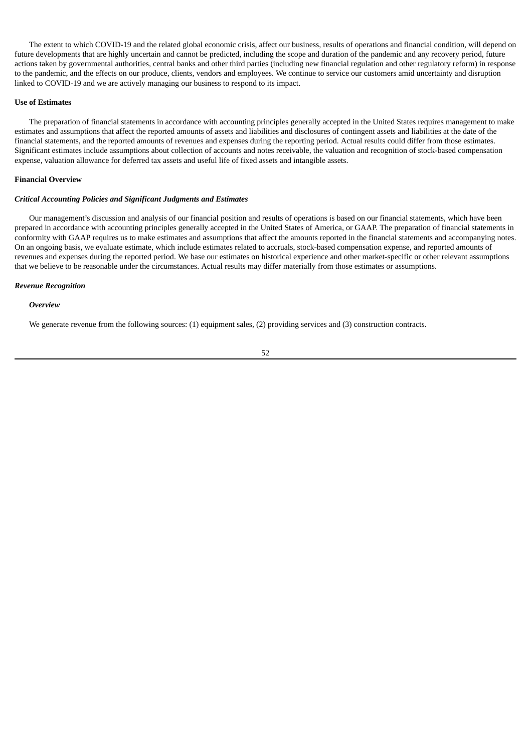The extent to which COVID-19 and the related global economic crisis, affect our business, results of operations and financial condition, will depend on future developments that are highly uncertain and cannot be predicted, including the scope and duration of the pandemic and any recovery period, future actions taken by governmental authorities, central banks and other third parties (including new financial regulation and other regulatory reform) in response to the pandemic, and the effects on our produce, clients, vendors and employees. We continue to service our customers amid uncertainty and disruption linked to COVID-19 and we are actively managing our business to respond to its impact.

## **Use of Estimates**

The preparation of financial statements in accordance with accounting principles generally accepted in the United States requires management to make estimates and assumptions that affect the reported amounts of assets and liabilities and disclosures of contingent assets and liabilities at the date of the financial statements, and the reported amounts of revenues and expenses during the reporting period. Actual results could differ from those estimates. Significant estimates include assumptions about collection of accounts and notes receivable, the valuation and recognition of stock-based compensation expense, valuation allowance for deferred tax assets and useful life of fixed assets and intangible assets.

### **Financial Overview**

### *Critical Accounting Policies and Significant Judgments and Estimates*

Our management's discussion and analysis of our financial position and results of operations is based on our financial statements, which have been prepared in accordance with accounting principles generally accepted in the United States of America, or GAAP. The preparation of financial statements in conformity with GAAP requires us to make estimates and assumptions that affect the amounts reported in the financial statements and accompanying notes. On an ongoing basis, we evaluate estimate, which include estimates related to accruals, stock-based compensation expense, and reported amounts of revenues and expenses during the reported period. We base our estimates on historical experience and other market-specific or other relevant assumptions that we believe to be reasonable under the circumstances. Actual results may differ materially from those estimates or assumptions.

### *Revenue Recognition*

### *Overview*

We generate revenue from the following sources: (1) equipment sales, (2) providing services and (3) construction contracts.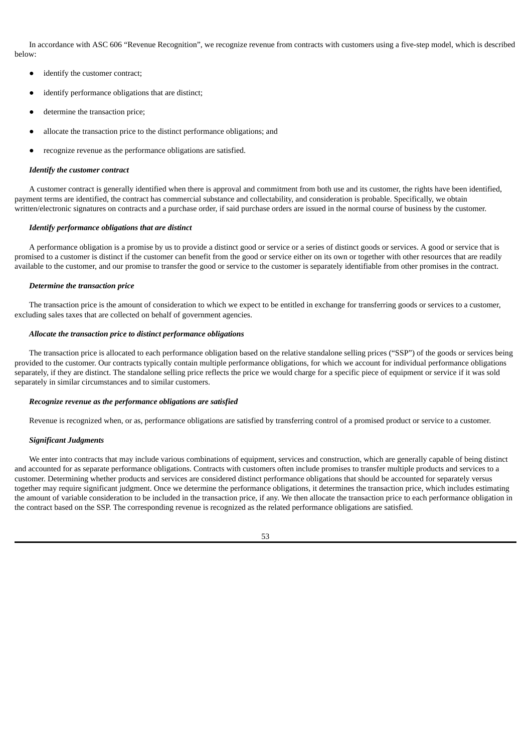In accordance with ASC 606 "Revenue Recognition", we recognize revenue from contracts with customers using a five-step model, which is described below:

- identify the customer contract;
- identify performance obligations that are distinct;
- determine the transaction price;
- allocate the transaction price to the distinct performance obligations; and
- recognize revenue as the performance obligations are satisfied.

### *Identify the customer contract*

A customer contract is generally identified when there is approval and commitment from both use and its customer, the rights have been identified, payment terms are identified, the contract has commercial substance and collectability, and consideration is probable. Specifically, we obtain written/electronic signatures on contracts and a purchase order, if said purchase orders are issued in the normal course of business by the customer.

### *Identify performance obligations that are distinct*

A performance obligation is a promise by us to provide a distinct good or service or a series of distinct goods or services. A good or service that is promised to a customer is distinct if the customer can benefit from the good or service either on its own or together with other resources that are readily available to the customer, and our promise to transfer the good or service to the customer is separately identifiable from other promises in the contract.

### *Determine the transaction price*

The transaction price is the amount of consideration to which we expect to be entitled in exchange for transferring goods or services to a customer, excluding sales taxes that are collected on behalf of government agencies.

### *Allocate the transaction price to distinct performance obligations*

The transaction price is allocated to each performance obligation based on the relative standalone selling prices ("SSP") of the goods or services being provided to the customer. Our contracts typically contain multiple performance obligations, for which we account for individual performance obligations separately, if they are distinct. The standalone selling price reflects the price we would charge for a specific piece of equipment or service if it was sold separately in similar circumstances and to similar customers.

#### *Recognize revenue as the performance obligations are satisfied*

Revenue is recognized when, or as, performance obligations are satisfied by transferring control of a promised product or service to a customer.

### *Significant Judgments*

We enter into contracts that may include various combinations of equipment, services and construction, which are generally capable of being distinct and accounted for as separate performance obligations. Contracts with customers often include promises to transfer multiple products and services to a customer. Determining whether products and services are considered distinct performance obligations that should be accounted for separately versus together may require significant judgment. Once we determine the performance obligations, it determines the transaction price, which includes estimating the amount of variable consideration to be included in the transaction price, if any. We then allocate the transaction price to each performance obligation in the contract based on the SSP. The corresponding revenue is recognized as the related performance obligations are satisfied.

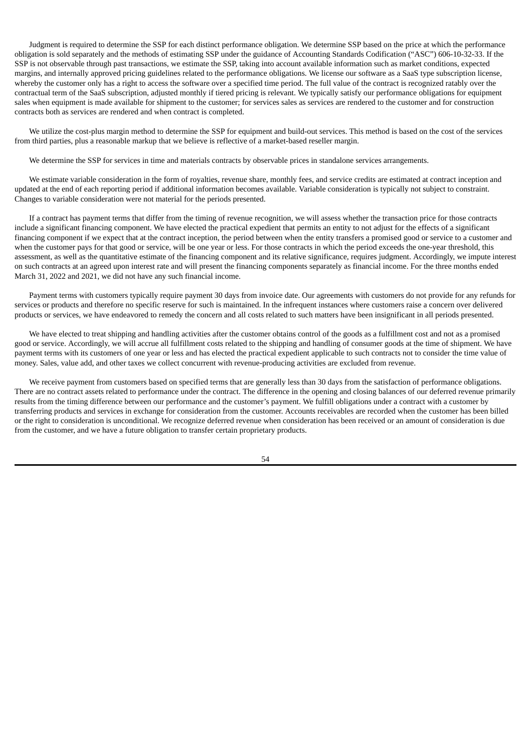Judgment is required to determine the SSP for each distinct performance obligation. We determine SSP based on the price at which the performance obligation is sold separately and the methods of estimating SSP under the guidance of Accounting Standards Codification ("ASC") 606-10-32-33. If the SSP is not observable through past transactions, we estimate the SSP, taking into account available information such as market conditions, expected margins, and internally approved pricing guidelines related to the performance obligations. We license our software as a SaaS type subscription license, whereby the customer only has a right to access the software over a specified time period. The full value of the contract is recognized ratably over the contractual term of the SaaS subscription, adjusted monthly if tiered pricing is relevant. We typically satisfy our performance obligations for equipment sales when equipment is made available for shipment to the customer; for services sales as services are rendered to the customer and for construction contracts both as services are rendered and when contract is completed.

We utilize the cost-plus margin method to determine the SSP for equipment and build-out services. This method is based on the cost of the services from third parties, plus a reasonable markup that we believe is reflective of a market-based reseller margin.

We determine the SSP for services in time and materials contracts by observable prices in standalone services arrangements.

We estimate variable consideration in the form of royalties, revenue share, monthly fees, and service credits are estimated at contract inception and updated at the end of each reporting period if additional information becomes available. Variable consideration is typically not subject to constraint. Changes to variable consideration were not material for the periods presented.

If a contract has payment terms that differ from the timing of revenue recognition, we will assess whether the transaction price for those contracts include a significant financing component. We have elected the practical expedient that permits an entity to not adjust for the effects of a significant financing component if we expect that at the contract inception, the period between when the entity transfers a promised good or service to a customer and when the customer pays for that good or service, will be one year or less. For those contracts in which the period exceeds the one-year threshold, this assessment, as well as the quantitative estimate of the financing component and its relative significance, requires judgment. Accordingly, we impute interest on such contracts at an agreed upon interest rate and will present the financing components separately as financial income. For the three months ended March 31, 2022 and 2021, we did not have any such financial income.

Payment terms with customers typically require payment 30 days from invoice date. Our agreements with customers do not provide for any refunds for services or products and therefore no specific reserve for such is maintained. In the infrequent instances where customers raise a concern over delivered products or services, we have endeavored to remedy the concern and all costs related to such matters have been insignificant in all periods presented.

We have elected to treat shipping and handling activities after the customer obtains control of the goods as a fulfillment cost and not as a promised good or service. Accordingly, we will accrue all fulfillment costs related to the shipping and handling of consumer goods at the time of shipment. We have payment terms with its customers of one year or less and has elected the practical expedient applicable to such contracts not to consider the time value of money. Sales, value add, and other taxes we collect concurrent with revenue-producing activities are excluded from revenue.

We receive payment from customers based on specified terms that are generally less than 30 days from the satisfaction of performance obligations. There are no contract assets related to performance under the contract. The difference in the opening and closing balances of our deferred revenue primarily results from the timing difference between our performance and the customer's payment. We fulfill obligations under a contract with a customer by transferring products and services in exchange for consideration from the customer. Accounts receivables are recorded when the customer has been billed or the right to consideration is unconditional. We recognize deferred revenue when consideration has been received or an amount of consideration is due from the customer, and we have a future obligation to transfer certain proprietary products.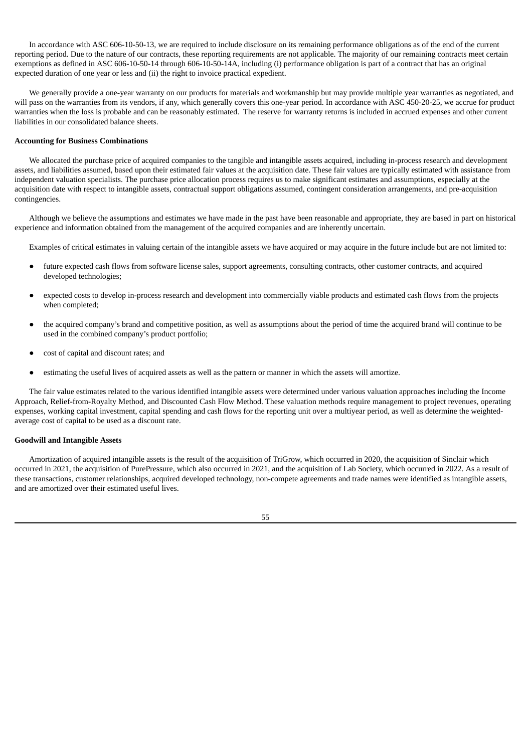In accordance with ASC 606-10-50-13, we are required to include disclosure on its remaining performance obligations as of the end of the current reporting period. Due to the nature of our contracts, these reporting requirements are not applicable. The majority of our remaining contracts meet certain exemptions as defined in ASC 606-10-50-14 through 606-10-50-14A, including (i) performance obligation is part of a contract that has an original expected duration of one year or less and (ii) the right to invoice practical expedient.

We generally provide a one-year warranty on our products for materials and workmanship but may provide multiple year warranties as negotiated, and will pass on the warranties from its vendors, if any, which generally covers this one-year period. In accordance with ASC 450-20-25, we accrue for product warranties when the loss is probable and can be reasonably estimated. The reserve for warranty returns is included in accrued expenses and other current liabilities in our consolidated balance sheets.

## **Accounting for Business Combinations**

We allocated the purchase price of acquired companies to the tangible and intangible assets acquired, including in-process research and development assets, and liabilities assumed, based upon their estimated fair values at the acquisition date. These fair values are typically estimated with assistance from independent valuation specialists. The purchase price allocation process requires us to make significant estimates and assumptions, especially at the acquisition date with respect to intangible assets, contractual support obligations assumed, contingent consideration arrangements, and pre-acquisition contingencies.

Although we believe the assumptions and estimates we have made in the past have been reasonable and appropriate, they are based in part on historical experience and information obtained from the management of the acquired companies and are inherently uncertain.

Examples of critical estimates in valuing certain of the intangible assets we have acquired or may acquire in the future include but are not limited to:

- future expected cash flows from software license sales, support agreements, consulting contracts, other customer contracts, and acquired developed technologies;
- expected costs to develop in-process research and development into commercially viable products and estimated cash flows from the projects when completed;
- the acquired company's brand and competitive position, as well as assumptions about the period of time the acquired brand will continue to be used in the combined company's product portfolio;
- cost of capital and discount rates; and
- estimating the useful lives of acquired assets as well as the pattern or manner in which the assets will amortize.

The fair value estimates related to the various identified intangible assets were determined under various valuation approaches including the Income Approach, Relief-from-Royalty Method, and Discounted Cash Flow Method. These valuation methods require management to project revenues, operating expenses, working capital investment, capital spending and cash flows for the reporting unit over a multiyear period, as well as determine the weightedaverage cost of capital to be used as a discount rate.

### **Goodwill and Intangible Assets**

Amortization of acquired intangible assets is the result of the acquisition of TriGrow, which occurred in 2020, the acquisition of Sinclair which occurred in 2021, the acquisition of PurePressure, which also occurred in 2021, and the acquisition of Lab Society, which occurred in 2022. As a result of these transactions, customer relationships, acquired developed technology, non-compete agreements and trade names were identified as intangible assets, and are amortized over their estimated useful lives.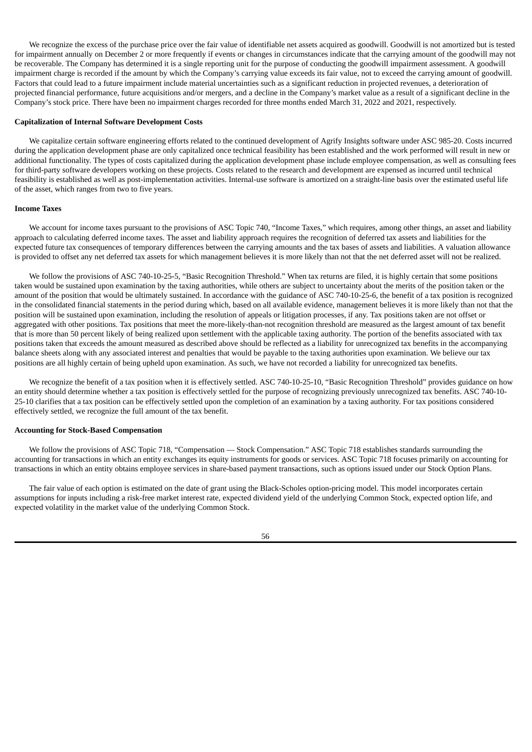We recognize the excess of the purchase price over the fair value of identifiable net assets acquired as goodwill. Goodwill is not amortized but is tested for impairment annually on December 2 or more frequently if events or changes in circumstances indicate that the carrying amount of the goodwill may not be recoverable. The Company has determined it is a single reporting unit for the purpose of conducting the goodwill impairment assessment. A goodwill impairment charge is recorded if the amount by which the Company's carrying value exceeds its fair value, not to exceed the carrying amount of goodwill. Factors that could lead to a future impairment include material uncertainties such as a significant reduction in projected revenues, a deterioration of projected financial performance, future acquisitions and/or mergers, and a decline in the Company's market value as a result of a significant decline in the Company's stock price. There have been no impairment charges recorded for three months ended March 31, 2022 and 2021, respectively.

### **Capitalization of Internal Software Development Costs**

We capitalize certain software engineering efforts related to the continued development of Agrify Insights software under ASC 985-20. Costs incurred during the application development phase are only capitalized once technical feasibility has been established and the work performed will result in new or additional functionality. The types of costs capitalized during the application development phase include employee compensation, as well as consulting fees for third-party software developers working on these projects. Costs related to the research and development are expensed as incurred until technical feasibility is established as well as post-implementation activities. Internal-use software is amortized on a straight-line basis over the estimated useful life of the asset, which ranges from two to five years.

### **Income Taxes**

We account for income taxes pursuant to the provisions of ASC Topic 740, "Income Taxes," which requires, among other things, an asset and liability approach to calculating deferred income taxes. The asset and liability approach requires the recognition of deferred tax assets and liabilities for the expected future tax consequences of temporary differences between the carrying amounts and the tax bases of assets and liabilities. A valuation allowance is provided to offset any net deferred tax assets for which management believes it is more likely than not that the net deferred asset will not be realized.

We follow the provisions of ASC 740-10-25-5, "Basic Recognition Threshold." When tax returns are filed, it is highly certain that some positions taken would be sustained upon examination by the taxing authorities, while others are subject to uncertainty about the merits of the position taken or the amount of the position that would be ultimately sustained. In accordance with the guidance of ASC 740-10-25-6, the benefit of a tax position is recognized in the consolidated financial statements in the period during which, based on all available evidence, management believes it is more likely than not that the position will be sustained upon examination, including the resolution of appeals or litigation processes, if any. Tax positions taken are not offset or aggregated with other positions. Tax positions that meet the more-likely-than-not recognition threshold are measured as the largest amount of tax benefit that is more than 50 percent likely of being realized upon settlement with the applicable taxing authority. The portion of the benefits associated with tax positions taken that exceeds the amount measured as described above should be reflected as a liability for unrecognized tax benefits in the accompanying balance sheets along with any associated interest and penalties that would be payable to the taxing authorities upon examination. We believe our tax positions are all highly certain of being upheld upon examination. As such, we have not recorded a liability for unrecognized tax benefits.

We recognize the benefit of a tax position when it is effectively settled. ASC 740-10-25-10, "Basic Recognition Threshold" provides guidance on how an entity should determine whether a tax position is effectively settled for the purpose of recognizing previously unrecognized tax benefits. ASC 740-10- 25-10 clarifies that a tax position can be effectively settled upon the completion of an examination by a taxing authority. For tax positions considered effectively settled, we recognize the full amount of the tax benefit.

### **Accounting for Stock-Based Compensation**

We follow the provisions of ASC Topic 718, "Compensation — Stock Compensation." ASC Topic 718 establishes standards surrounding the accounting for transactions in which an entity exchanges its equity instruments for goods or services. ASC Topic 718 focuses primarily on accounting for transactions in which an entity obtains employee services in share-based payment transactions, such as options issued under our Stock Option Plans.

The fair value of each option is estimated on the date of grant using the Black-Scholes option-pricing model. This model incorporates certain assumptions for inputs including a risk-free market interest rate, expected dividend yield of the underlying Common Stock, expected option life, and expected volatility in the market value of the underlying Common Stock.

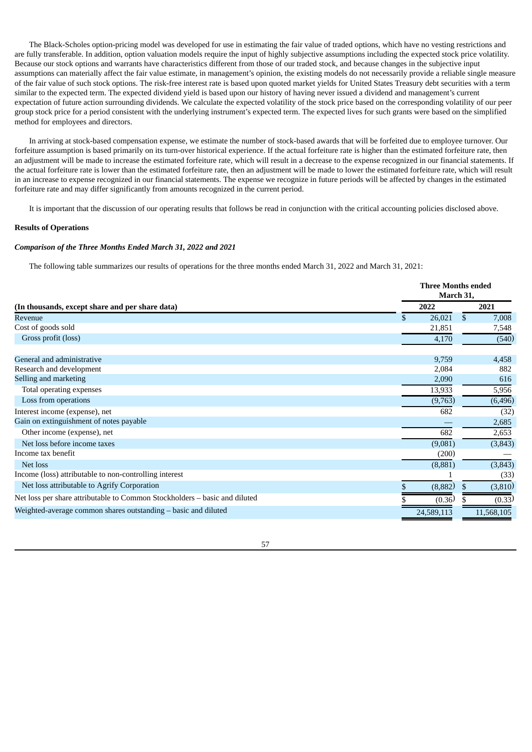The Black-Scholes option-pricing model was developed for use in estimating the fair value of traded options, which have no vesting restrictions and are fully transferable. In addition, option valuation models require the input of highly subjective assumptions including the expected stock price volatility. Because our stock options and warrants have characteristics different from those of our traded stock, and because changes in the subjective input assumptions can materially affect the fair value estimate, in management's opinion, the existing models do not necessarily provide a reliable single measure of the fair value of such stock options. The risk-free interest rate is based upon quoted market yields for United States Treasury debt securities with a term similar to the expected term. The expected dividend yield is based upon our history of having never issued a dividend and management's current expectation of future action surrounding dividends. We calculate the expected volatility of the stock price based on the corresponding volatility of our peer group stock price for a period consistent with the underlying instrument's expected term. The expected lives for such grants were based on the simplified method for employees and directors.

In arriving at stock-based compensation expense, we estimate the number of stock-based awards that will be forfeited due to employee turnover. Our forfeiture assumption is based primarily on its turn-over historical experience. If the actual forfeiture rate is higher than the estimated forfeiture rate, then an adjustment will be made to increase the estimated forfeiture rate, which will result in a decrease to the expense recognized in our financial statements. If the actual forfeiture rate is lower than the estimated forfeiture rate, then an adjustment will be made to lower the estimated forfeiture rate, which will result in an increase to expense recognized in our financial statements. The expense we recognize in future periods will be affected by changes in the estimated forfeiture rate and may differ significantly from amounts recognized in the current period.

It is important that the discussion of our operating results that follows be read in conjunction with the critical accounting policies disclosed above.

### **Results of Operations**

### *Comparison of the Three Months Ended March 31, 2022 and 2021*

The following table summarizes our results of operations for the three months ended March 31, 2022 and March 31, 2021:

|                                                                            |    | <b>Three Months ended</b><br>March 31, |                       |      |
|----------------------------------------------------------------------------|----|----------------------------------------|-----------------------|------|
| (In thousands, except share and per share data)                            |    | 2022                                   | 2021                  |      |
| Revenue                                                                    | \$ | 26,021                                 | $\mathbb{S}$<br>7,008 |      |
| Cost of goods sold                                                         |    | 21,851                                 | 7,548                 |      |
| Gross profit (loss)                                                        |    | 4,170                                  | (540)                 |      |
| General and administrative                                                 |    | 9,759                                  | 4,458                 |      |
| Research and development                                                   |    | 2,084                                  | 882                   |      |
| Selling and marketing                                                      |    | 2,090                                  | 616                   |      |
| Total operating expenses                                                   |    | 13,933                                 | 5,956                 |      |
| Loss from operations                                                       |    | (9,763)                                | (6, 496)              |      |
| Interest income (expense), net                                             |    | 682                                    |                       | (32) |
| Gain on extinguishment of notes payable                                    |    |                                        | 2,685                 |      |
| Other income (expense), net                                                |    | 682                                    | 2,653                 |      |
| Net loss before income taxes                                               |    | (9,081)                                | (3, 843)              |      |
| Income tax benefit                                                         |    | (200)                                  |                       |      |
| Net loss                                                                   |    | (8,881)                                | (3, 843)              |      |
| Income (loss) attributable to non-controlling interest                     |    |                                        |                       | (33) |
| Net loss attributable to Agrify Corporation                                |    | (8,882)                                | (3,810)<br>\$         |      |
| Net loss per share attributable to Common Stockholders – basic and diluted |    | (0.36)                                 | (0.33)                |      |
| Weighted-average common shares outstanding - basic and diluted             |    | 24,589,113                             | 11,568,105            |      |
|                                                                            |    |                                        |                       |      |

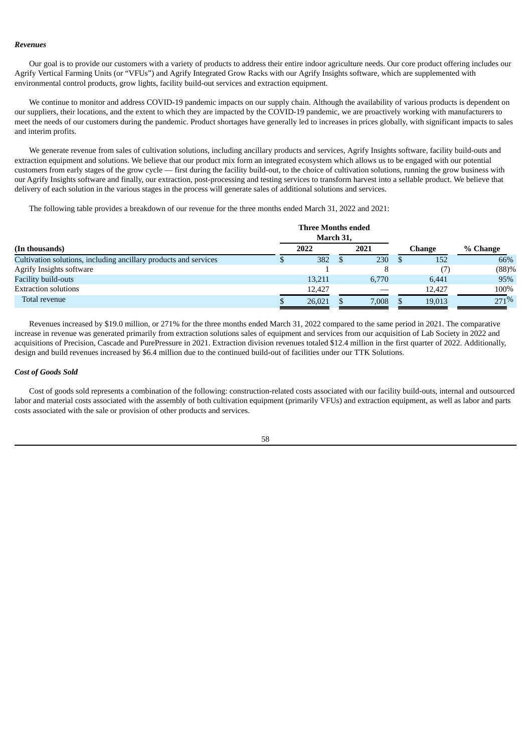## *Revenues*

Our goal is to provide our customers with a variety of products to address their entire indoor agriculture needs. Our core product offering includes our Agrify Vertical Farming Units (or "VFUs") and Agrify Integrated Grow Racks with our Agrify Insights software, which are supplemented with environmental control products, grow lights, facility build-out services and extraction equipment.

We continue to monitor and address COVID-19 pandemic impacts on our supply chain. Although the availability of various products is dependent on our suppliers, their locations, and the extent to which they are impacted by the COVID-19 pandemic, we are proactively working with manufacturers to meet the needs of our customers during the pandemic. Product shortages have generally led to increases in prices globally, with significant impacts to sales and interim profits.

We generate revenue from sales of cultivation solutions, including ancillary products and services, Agrify Insights software, facility build-outs and extraction equipment and solutions. We believe that our product mix form an integrated ecosystem which allows us to be engaged with our potential customers from early stages of the grow cycle — first during the facility build-out, to the choice of cultivation solutions, running the grow business with our Agrify Insights software and finally, our extraction, post-processing and testing services to transform harvest into a sellable product. We believe that delivery of each solution in the various stages in the process will generate sales of additional solutions and services.

The following table provides a breakdown of our revenue for the three months ended March 31, 2022 and 2021:

|                                                                  | <b>Three Months ended</b><br>March 31, |        |  |       |        |          |
|------------------------------------------------------------------|----------------------------------------|--------|--|-------|--------|----------|
| (In thousands)                                                   |                                        | 2022   |  | 2021  | Change | % Change |
| Cultivation solutions, including ancillary products and services |                                        | 382    |  | 230   | 152    | 66%      |
| Agrify Insights software                                         |                                        |        |  |       | (7)    | (88)%    |
| <b>Facility build-outs</b>                                       |                                        | 13,211 |  | 6.770 | 6,441  | 95%      |
| <b>Extraction solutions</b>                                      |                                        | 12.427 |  |       | 12.427 | 100%     |
| Total revenue                                                    |                                        | 26,021 |  | 7,008 | 19,013 | 271%     |

Revenues increased by \$19.0 million, or 271% for the three months ended March 31, 2022 compared to the same period in 2021. The comparative increase in revenue was generated primarily from extraction solutions sales of equipment and services from our acquisition of Lab Society in 2022 and acquisitions of Precision, Cascade and PurePressure in 2021. Extraction division revenues totaled \$12.4 million in the first quarter of 2022. Additionally, design and build revenues increased by \$6.4 million due to the continued build-out of facilities under our TTK Solutions.

## *Cost of Goods Sold*

Cost of goods sold represents a combination of the following: construction-related costs associated with our facility build-outs, internal and outsourced labor and material costs associated with the assembly of both cultivation equipment (primarily VFUs) and extraction equipment, as well as labor and parts costs associated with the sale or provision of other products and services.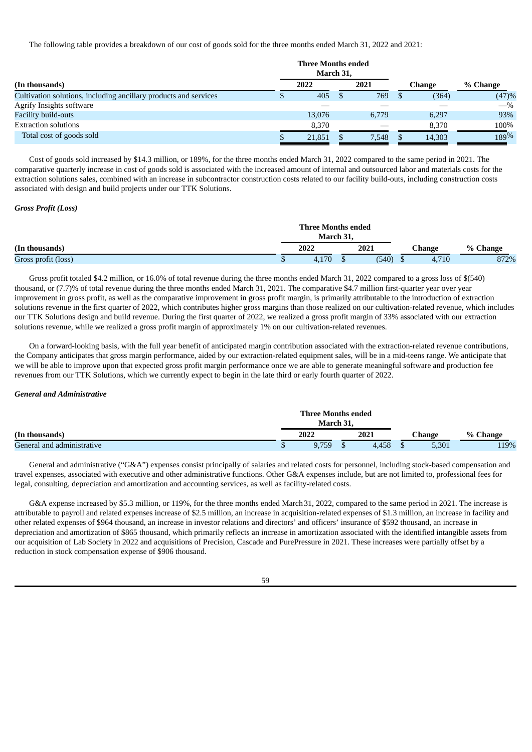The following table provides a breakdown of our cost of goods sold for the three months ended March 31, 2022 and 2021:

|                                                                  | <b>Three Months ended</b><br>March 31, |       |        |          |
|------------------------------------------------------------------|----------------------------------------|-------|--------|----------|
| (In thousands)                                                   | 2022                                   | 2021  | Change | % Change |
| Cultivation solutions, including ancillary products and services | 405                                    | 769   | (364)  | (47)%    |
| Agrify Insights software                                         |                                        |       |        | $-$ %    |
| <b>Facility build-outs</b>                                       | 13,076                                 | 6.779 | 6.297  | 93%      |
| <b>Extraction solutions</b>                                      | 8.370                                  |       | 8.370  | 100%     |
| Total cost of goods sold                                         | 21,851                                 | 7,548 | 14,303 | 189%     |

Cost of goods sold increased by \$14.3 million, or 189%, for the three months ended March 31, 2022 compared to the same period in 2021. The comparative quarterly increase in cost of goods sold is associated with the increased amount of internal and outsourced labor and materials costs for the extraction solutions sales, combined with an increase in subcontractor construction costs related to our facility build-outs, including construction costs associated with design and build projects under our TTK Solutions.

## *Gross Profit (Loss)*

|                     | <b>Three Months ended</b> |  |       |        |      |          |  |  |
|---------------------|---------------------------|--|-------|--------|------|----------|--|--|
|                     | March 31.                 |  |       |        |      |          |  |  |
| (In thousands)      | 2021<br>2022              |  |       | Change |      | % Change |  |  |
| Gross profit (loss) | 4.170<br>(540)            |  | 4.710 |        | 872% |          |  |  |

Gross profit totaled \$4.2 million, or 16.0% of total revenue during the three months ended March 31, 2022 compared to a gross loss of \$(540) thousand, or (7.7)% of total revenue during the three months ended March 31, 2021. The comparative \$4.7 million first-quarter year over year improvement in gross profit, as well as the comparative improvement in gross profit margin, is primarily attributable to the introduction of extraction solutions revenue in the first quarter of 2022, which contributes higher gross margins than those realized on our cultivation-related revenue, which includes our TTK Solutions design and build revenue. During the first quarter of 2022, we realized a gross profit margin of 33% associated with our extraction solutions revenue, while we realized a gross profit margin of approximately 1% on our cultivation-related revenues.

On a forward-looking basis, with the full year benefit of anticipated margin contribution associated with the extraction-related revenue contributions, the Company anticipates that gross margin performance, aided by our extraction-related equipment sales, will be in a mid-teens range. We anticipate that we will be able to improve upon that expected gross profit margin performance once we are able to generate meaningful software and production fee revenues from our TTK Solutions, which we currently expect to begin in the late third or early fourth quarter of 2022.

## *General and Administrative*

|                            | <b>Three Months ended</b> |                |  |  |  |        |          |      |
|----------------------------|---------------------------|----------------|--|--|--|--------|----------|------|
|                            | March 31.                 |                |  |  |  |        |          |      |
| (In thousands)             |                           | 2021<br>2022   |  |  |  | Change | % Change |      |
| General and administrative |                           | 9,759<br>4,458 |  |  |  |        | 5,301    | 119% |

General and administrative ("G&A") expenses consist principally of salaries and related costs for personnel, including stock-based compensation and travel expenses, associated with executive and other administrative functions. Other G&A expenses include, but are not limited to, professional fees for legal, consulting, depreciation and amortization and accounting services, as well as facility-related costs.

G&A expense increased by \$5.3 million, or 119%, for the three months ended March31, 2022, compared to the same period in 2021. The increase is attributable to payroll and related expenses increase of \$2.5 million, an increase in acquisition-related expenses of \$1.3 million, an increase in facility and other related expenses of \$964 thousand, an increase in investor relations and directors' and officers' insurance of \$592 thousand, an increase in depreciation and amortization of \$865 thousand, which primarily reflects an increase in amortization associated with the identified intangible assets from our acquisition of Lab Society in 2022 and acquisitions of Precision, Cascade and PurePressure in 2021. These increases were partially offset by a reduction in stock compensation expense of \$906 thousand.

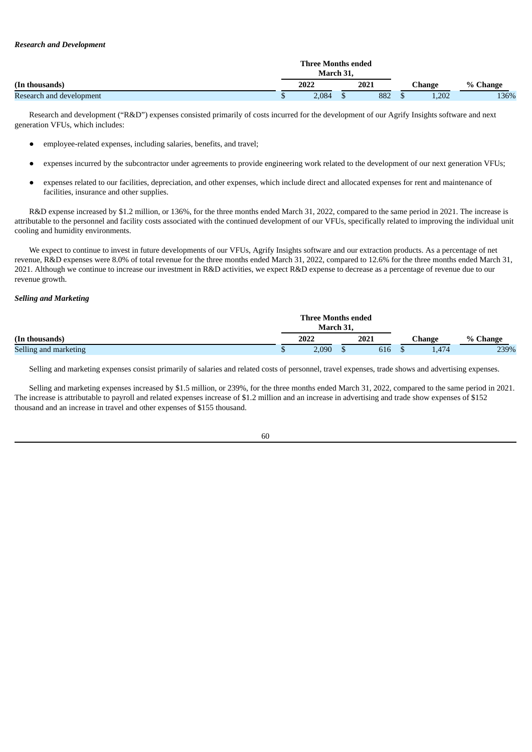## *Research and Development*

|                          | Three Months ended |       |  |     |  |        |          |
|--------------------------|--------------------|-------|--|-----|--|--------|----------|
|                          | March 31.          |       |  |     |  |        |          |
| (In thousands)           | 2021<br>2022       |       |  |     |  | Change | % Change |
| Research and development |                    | 2,084 |  | 882 |  | 1,202  | 136%     |

Research and development ("R&D") expenses consisted primarily of costs incurred for the development of our Agrify Insights software and next generation VFUs, which includes:

- employee-related expenses, including salaries, benefits, and travel;
- expenses incurred by the subcontractor under agreements to provide engineering work related to the development of our next generation VFUs;
- expenses related to our facilities, depreciation, and other expenses, which include direct and allocated expenses for rent and maintenance of facilities, insurance and other supplies.

R&D expense increased by \$1.2 million, or 136%, for the three months ended March 31, 2022, compared to the same period in 2021. The increase is attributable to the personnel and facility costs associated with the continued development of our VFUs, specifically related to improving the individual unit cooling and humidity environments.

We expect to continue to invest in future developments of our VFUs, Agrify Insights software and our extraction products. As a percentage of net revenue, R&D expenses were 8.0% of total revenue for the three months ended March 31, 2022, compared to 12.6% for the three months ended March 31, 2021. Although we continue to increase our investment in R&D activities, we expect R&D expense to decrease as a percentage of revenue due to our revenue growth.

## *Selling and Marketing*

|                       | <b>Three Months ended</b> |              |  |     |  |        |          |  |  |
|-----------------------|---------------------------|--------------|--|-----|--|--------|----------|--|--|
|                       | March 31,                 |              |  |     |  |        |          |  |  |
| (In thousands)        |                           | 2021<br>2022 |  |     |  | Change | % Change |  |  |
| Selling and marketing |                           | 2,090        |  | 616 |  | 1.474  | 239%     |  |  |

Selling and marketing expenses consist primarily of salaries and related costs of personnel, travel expenses, trade shows and advertising expenses.

Selling and marketing expenses increased by \$1.5 million, or 239%, for the three months ended March 31, 2022, compared to the same period in 2021. The increase is attributable to payroll and related expenses increase of \$1.2 million and an increase in advertising and trade show expenses of \$152 thousand and an increase in travel and other expenses of \$155 thousand.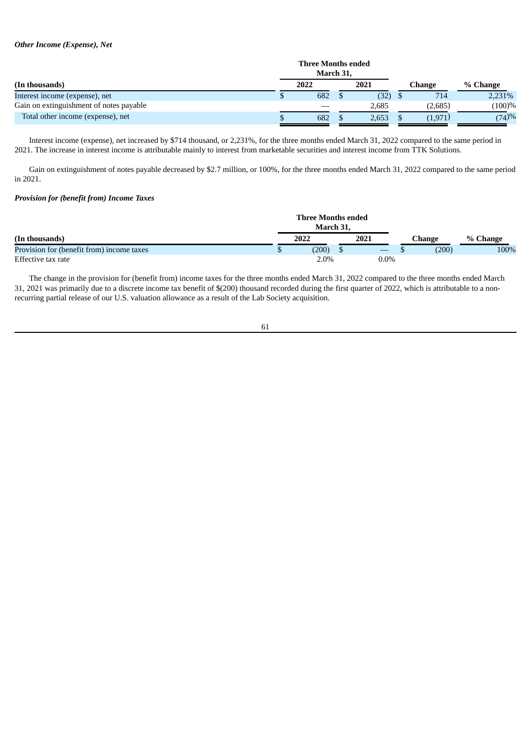## *Other Income (Expense), Net*

|                                         | <b>Three Months ended</b><br>March 31. |  |       |        |         |          |  |
|-----------------------------------------|----------------------------------------|--|-------|--------|---------|----------|--|
| (In thousands)                          | 2022<br>2021                           |  |       | Change |         | % Change |  |
| Interest income (expense), net          | 682                                    |  | (32)  |        | 714     | 2,231%   |  |
| Gain on extinguishment of notes payable |                                        |  | 2.685 |        | (2,685) | (100)%   |  |
| Total other income (expense), net       | 682                                    |  | 2,653 |        | (1,971) | (74)%    |  |

Interest income (expense), net increased by \$714 thousand, or 2,231%, for the three months ended March 31, 2022 compared to the same period in 2021. The increase in interest income is attributable mainly to interest from marketable securities and interest income from TTK Solutions.

Gain on extinguishment of notes payable decreased by \$2.7 million, or 100%, for the three months ended March 31, 2022 compared to the same period in 2021.

### *Provision for (benefit from) Income Taxes*

|                                           | <b>Three Months ended</b><br>March 31. |       |  |         |  |        |          |
|-------------------------------------------|----------------------------------------|-------|--|---------|--|--------|----------|
| (In thousands)                            |                                        | 2022  |  | 2021    |  | Change | % Change |
| Provision for (benefit from) income taxes |                                        | (200) |  |         |  | (200)  | 100%     |
| Effective tax rate                        |                                        | 2.0%  |  | $0.0\%$ |  |        |          |

The change in the provision for (benefit from) income taxes for the three months ended March 31, 2022 compared to the three months ended March 31, 2021 was primarily due to a discrete income tax benefit of \$(200) thousand recorded during the first quarter of 2022, which is attributable to a nonrecurring partial release of our U.S. valuation allowance as a result of the Lab Society acquisition.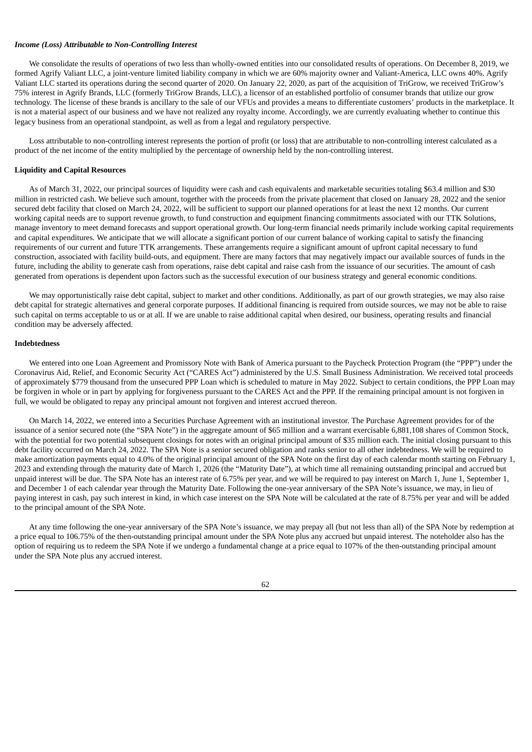## *Income (Loss) Attributable to Non-Controlling Interest*

We consolidate the results of operations of two less than wholly-owned entities into our consolidated results of operations. On December 8, 2019, we formed Agrify Valiant LLC, a joint-venture limited liability company in which we are 60% majority owner and Valiant-America, LLC owns 40%. Agrify Valiant LLC started its operations during the second quarter of 2020. On January 22, 2020, as part of the acquisition of TriGrow, we received TriGrow's 75% interest in Agrify Brands, LLC (formerly TriGrow Brands, LLC), a licensor of an established portfolio of consumer brands that utilize our grow technology. The license of these brands is ancillary to the sale of our VFUs and provides a means to differentiate customers' products in the marketplace. It is not a material aspect of our business and we have not realized any royalty income. Accordingly, we are currently evaluating whether to continue this legacy business from an operational standpoint, as well as from a legal and regulatory perspective.

Loss attributable to non-controlling interest represents the portion of profit (or loss) that are attributable to non-controlling interest calculated as a product of the net income of the entity multiplied by the percentage of ownership held by the non-controlling interest.

### **Liquidity and Capital Resources**

As of March 31, 2022, our principal sources of liquidity were cash and cash equivalents and marketable securities totaling \$63.4 million and \$30 million in restricted cash. We believe such amount, together with the proceeds from the private placement that closed on January 28, 2022 and the senior secured debt facility that closed on March 24, 2022, will be sufficient to support our planned operations for at least the next 12 months. Our current working capital needs are to support revenue growth, to fund construction and equipment financing commitments associated with our TTK Solutions, manage inventory to meet demand forecasts and support operational growth. Our long-term financial needs primarily include working capital requirements and capital expenditures. We anticipate that we will allocate a significant portion of our current balance of working capital to satisfy the financing requirements of our current and future TTK arrangements. These arrangements require a significant amount of upfront capital necessary to fund construction, associated with facility build-outs, and equipment. There are many factors that may negatively impact our available sources of funds in the future, including the ability to generate cash from operations, raise debt capital and raise cash from the issuance of our securities. The amount of cash generated from operations is dependent upon factors such as the successful execution of our business strategy and general economic conditions.

We may opportunistically raise debt capital, subject to market and other conditions. Additionally, as part of our growth strategies, we may also raise debt capital for strategic alternatives and general corporate purposes. If additional financing is required from outside sources, we may not be able to raise such capital on terms acceptable to us or at all. If we are unable to raise additional capital when desired, our business, operating results and financial condition may be adversely affected.

#### **Indebtedness**

We entered into one Loan Agreement and Promissory Note with Bank of America pursuant to the Paycheck Protection Program (the "PPP") under the Coronavirus Aid, Relief, and Economic Security Act ("CARES Act") administered by the U.S. Small Business Administration. We received total proceeds of approximately \$779 thousand from the unsecured PPP Loan which is scheduled to mature in May 2022. Subject to certain conditions, the PPP Loan may be forgiven in whole or in part by applying for forgiveness pursuant to the CARES Act and the PPP. If the remaining principal amount is not forgiven in full, we would be obligated to repay any principal amount not forgiven and interest accrued thereon.

On March 14, 2022, we entered into a Securities Purchase Agreement with an institutional investor. The Purchase Agreement provides for of the issuance of a senior secured note (the "SPA Note") in the aggregate amount of \$65 million and a warrant exercisable 6,881,108 shares of Common Stock, with the potential for two potential subsequent closings for notes with an original principal amount of \$35 million each. The initial closing pursuant to this debt facility occurred on March 24, 2022. The SPA Note is a senior secured obligation and ranks senior to all other indebtedness. We will be required to make amortization payments equal to 4.0% of the original principal amount of the SPA Note on the first day of each calendar month starting on February 1, 2023 and extending through the maturity date of March 1, 2026 (the "Maturity Date"), at which time all remaining outstanding principal and accrued but unpaid interest will be due. The SPA Note has an interest rate of 6.75% per year, and we will be required to pay interest on March 1, June 1, September 1, and December 1 of each calendar year through the Maturity Date. Following the one-year anniversary of the SPA Note's issuance, we may, in lieu of paying interest in cash, pay such interest in kind, in which case interest on the SPA Note will be calculated at the rate of 8.75% per year and will be added to the principal amount of the SPA Note.

At any time following the one-year anniversary of the SPA Note's issuance, we may prepay all (but not less than all) of the SPA Note by redemption at a price equal to 106.75% of the then-outstanding principal amount under the SPA Note plus any accrued but unpaid interest. The noteholder also has the option of requiring us to redeem the SPA Note if we undergo a fundamental change at a price equal to 107% of the then-outstanding principal amount under the SPA Note plus any accrued interest.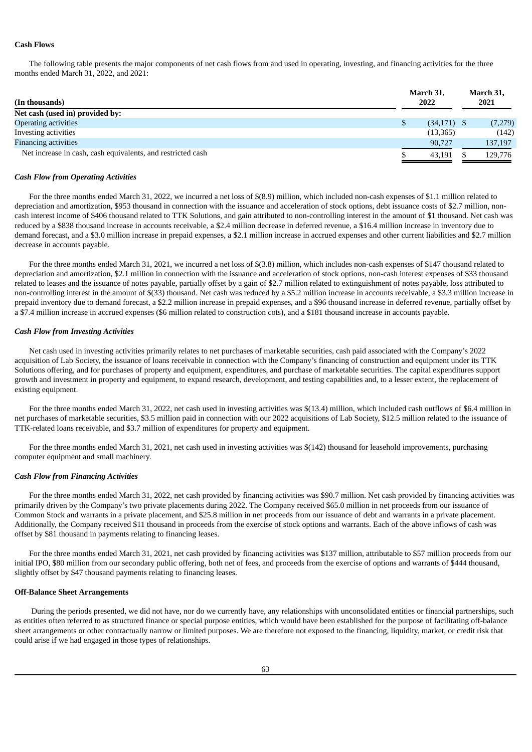## **Cash Flows**

The following table presents the major components of net cash flows from and used in operating, investing, and financing activities for the three months ended March 31, 2022, and 2021:

| (In thousands)                                              | March 31,<br>2022   | March 31,<br>2021 |         |
|-------------------------------------------------------------|---------------------|-------------------|---------|
| Net cash (used in) provided by:                             |                     |                   |         |
| <b>Operating activities</b>                                 | \$<br>$(34,171)$ \$ |                   | (7,279) |
| Investing activities                                        | (13, 365)           |                   | (142)   |
| <b>Financing activities</b>                                 | 90,727              |                   | 137,197 |
| Net increase in cash, cash equivalents, and restricted cash | 43,191              |                   | 129,776 |

### *Cash Flow from Operating Activities*

For the three months ended March 31, 2022, we incurred a net loss of \$(8.9) million, which included non-cash expenses of \$1.1 million related to depreciation and amortization, \$953 thousand in connection with the issuance and acceleration of stock options, debt issuance costs of \$2.7 million, noncash interest income of \$406 thousand related to TTK Solutions, and gain attributed to non-controlling interest in the amount of \$1 thousand. Net cash was reduced by a \$838 thousand increase in accounts receivable, a \$2.4 million decrease in deferred revenue, a \$16.4 million increase in inventory due to demand forecast, and a \$3.0 million increase in prepaid expenses, a \$2.1 million increase in accrued expenses and other current liabilities and \$2.7 million decrease in accounts payable.

For the three months ended March 31, 2021, we incurred a net loss of \$(3.8) million, which includes non-cash expenses of \$147 thousand related to depreciation and amortization, \$2.1 million in connection with the issuance and acceleration of stock options, non-cash interest expenses of \$33 thousand related to leases and the issuance of notes payable, partially offset by a gain of \$2.7 million related to extinguishment of notes payable, loss attributed to non-controlling interest in the amount of \$(33) thousand. Net cash was reduced by a \$5.2 million increase in accounts receivable, a \$3.3 million increase in prepaid inventory due to demand forecast, a \$2.2 million increase in prepaid expenses, and a \$96 thousand increase in deferred revenue, partially offset by a \$7.4 million increase in accrued expenses (\$6 million related to construction cots), and a \$181 thousand increase in accounts payable.

## *Cash Flow from Investing Activities*

Net cash used in investing activities primarily relates to net purchases of marketable securities, cash paid associated with the Company's 2022 acquisition of Lab Society, the issuance of loans receivable in connection with the Company's financing of construction and equipment under its TTK Solutions offering, and for purchases of property and equipment, expenditures, and purchase of marketable securities. The capital expenditures support growth and investment in property and equipment, to expand research, development, and testing capabilities and, to a lesser extent, the replacement of existing equipment.

For the three months ended March 31, 2022, net cash used in investing activities was \$(13.4) million, which included cash outflows of \$6.4 million in net purchases of marketable securities, \$3.5 million paid in connection with our 2022 acquisitions of Lab Society, \$12.5 million related to the issuance of TTK-related loans receivable, and \$3.7 million of expenditures for property and equipment.

For the three months ended March 31, 2021, net cash used in investing activities was \$(142) thousand for leasehold improvements, purchasing computer equipment and small machinery.

## *Cash Flow from Financing Activities*

For the three months ended March 31, 2022, net cash provided by financing activities was \$90.7 million. Net cash provided by financing activities was primarily driven by the Company's two private placements during 2022. The Company received \$65.0 million in net proceeds from our issuance of Common Stock and warrants in a private placement, and \$25.8 million in net proceeds from our issuance of debt and warrants in a private placement. Additionally, the Company received \$11 thousand in proceeds from the exercise of stock options and warrants. Each of the above inflows of cash was offset by \$81 thousand in payments relating to financing leases.

For the three months ended March 31, 2021, net cash provided by financing activities was \$137 million, attributable to \$57 million proceeds from our initial IPO, \$80 million from our secondary public offering, both net of fees, and proceeds from the exercise of options and warrants of \$444 thousand, slightly offset by \$47 thousand payments relating to financing leases.

### **Off-Balance Sheet Arrangements**

During the periods presented, we did not have, nor do we currently have, any relationships with unconsolidated entities or financial partnerships, such as entities often referred to as structured finance or special purpose entities, which would have been established for the purpose of facilitating off-balance sheet arrangements or other contractually narrow or limited purposes. We are therefore not exposed to the financing, liquidity, market, or credit risk that could arise if we had engaged in those types of relationships.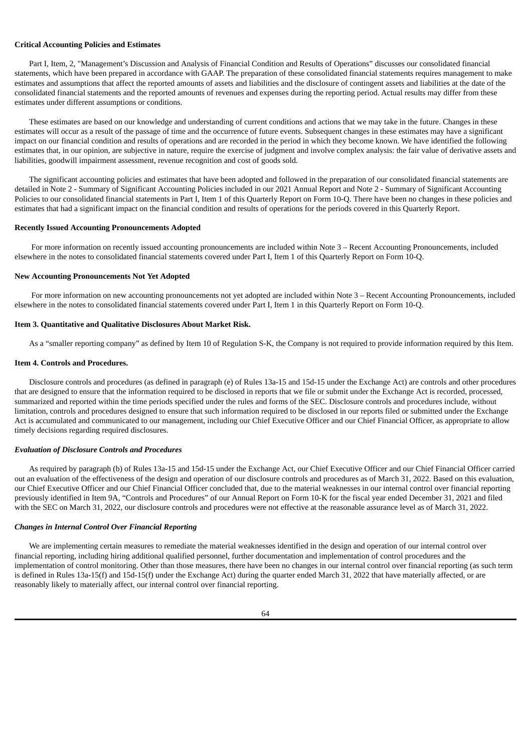## **Critical Accounting Policies and Estimates**

Part I, Item, 2, "Management's Discussion and Analysis of Financial Condition and Results of Operations" discusses our consolidated financial statements, which have been prepared in accordance with GAAP. The preparation of these consolidated financial statements requires management to make estimates and assumptions that affect the reported amounts of assets and liabilities and the disclosure of contingent assets and liabilities at the date of the consolidated financial statements and the reported amounts of revenues and expenses during the reporting period. Actual results may differ from these estimates under different assumptions or conditions.

These estimates are based on our knowledge and understanding of current conditions and actions that we may take in the future. Changes in these estimates will occur as a result of the passage of time and the occurrence of future events. Subsequent changes in these estimates may have a significant impact on our financial condition and results of operations and are recorded in the period in which they become known. We have identified the following estimates that, in our opinion, are subjective in nature, require the exercise of judgment and involve complex analysis: the fair value of derivative assets and liabilities, goodwill impairment assessment, revenue recognition and cost of goods sold.

The significant accounting policies and estimates that have been adopted and followed in the preparation of our consolidated financial statements are detailed in Note 2 - Summary of Significant Accounting Policies included in our 2021 Annual Report and Note 2 - Summary of Significant Accounting Policies to our consolidated financial statements in Part I, Item 1 of this Quarterly Report on Form 10-Q. There have been no changes in these policies and estimates that had a significant impact on the financial condition and results of operations for the periods covered in this Quarterly Report.

#### **Recently Issued Accounting Pronouncements Adopted**

For more information on recently issued accounting pronouncements are included within Note 3 – Recent Accounting Pronouncements, included elsewhere in the notes to consolidated financial statements covered under Part I, Item 1 of this Quarterly Report on Form 10-Q.

#### **New Accounting Pronouncements Not Yet Adopted**

For more information on new accounting pronouncements not yet adopted are included within Note 3 – Recent Accounting Pronouncements, included elsewhere in the notes to consolidated financial statements covered under Part I, Item 1 in this Quarterly Report on Form 10-Q.

### <span id="page-64-0"></span>**Item 3. Quantitative and Qualitative Disclosures About Market Risk.**

As a "smaller reporting company" as defined by Item 10 of Regulation S-K, the Company is not required to provide information required by this Item.

### <span id="page-64-1"></span>**Item 4. Controls and Procedures.**

Disclosure controls and procedures (as defined in paragraph (e) of Rules 13a-15 and 15d-15 under the Exchange Act) are controls and other procedures that are designed to ensure that the information required to be disclosed in reports that we file or submit under the Exchange Act is recorded, processed, summarized and reported within the time periods specified under the rules and forms of the SEC. Disclosure controls and procedures include, without limitation, controls and procedures designed to ensure that such information required to be disclosed in our reports filed or submitted under the Exchange Act is accumulated and communicated to our management, including our Chief Executive Officer and our Chief Financial Officer, as appropriate to allow timely decisions regarding required disclosures.

#### *Evaluation of Disclosure Controls and Procedures*

As required by paragraph (b) of Rules 13a-15 and 15d-15 under the Exchange Act, our Chief Executive Officer and our Chief Financial Officer carried out an evaluation of the effectiveness of the design and operation of our disclosure controls and procedures as of March 31, 2022. Based on this evaluation, our Chief Executive Officer and our Chief Financial Officer concluded that, due to the material weaknesses in our internal control over financial reporting previously identified in Item 9A, "Controls and Procedures" of our Annual Report on Form 10-K for the fiscal year ended December 31, 2021 and filed with the SEC on March 31, 2022, our disclosure controls and procedures were not effective at the reasonable assurance level as of March 31, 2022.

## *Changes in Internal Control Over Financial Reporting*

We are implementing certain measures to remediate the material weaknesses identified in the design and operation of our internal control over financial reporting, including hiring additional qualified personnel, further documentation and implementation of control procedures and the implementation of control monitoring. Other than those measures, there have been no changes in our internal control over financial reporting (as such term is defined in Rules 13a-15(f) and 15d-15(f) under the Exchange Act) during the quarter ended March 31, 2022 that have materially affected, or are reasonably likely to materially affect, our internal control over financial reporting.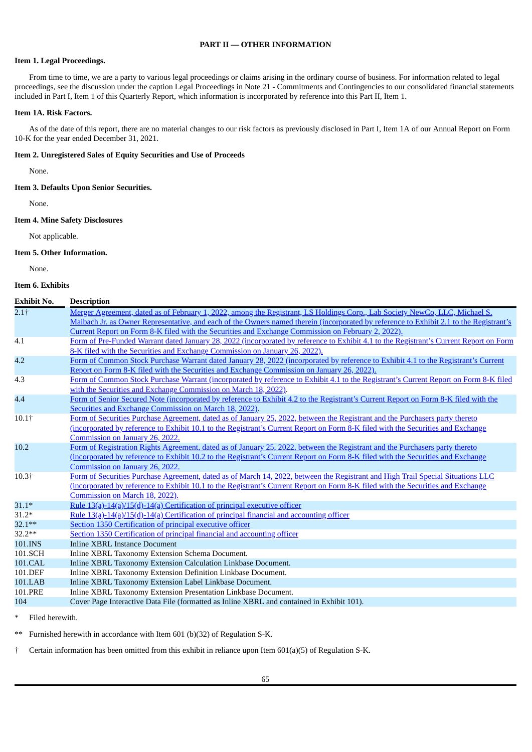# **PART II — OTHER INFORMATION**

## <span id="page-65-1"></span><span id="page-65-0"></span>**Item 1. Legal Proceedings.**

From time to time, we are a party to various legal proceedings or claims arising in the ordinary course of business. For information related to legal proceedings, see the discussion under the caption Legal Proceedings in Note 21 - Commitments and Contingencies to our consolidated financial statements included in Part I, Item 1 of this Quarterly Report, which information is incorporated by reference into this Part II, Item 1.

## <span id="page-65-2"></span>**Item 1A. Risk Factors.**

As of the date of this report, there are no material changes to our risk factors as previously disclosed in Part I, Item 1A of our Annual Report on Form 10-K for the year ended December 31, 2021.

## <span id="page-65-3"></span>**Item 2. Unregistered Sales of Equity Securities and Use of Proceeds**

None.

<span id="page-65-4"></span>**Item 3. Defaults Upon Senior Securities.**

None.

## <span id="page-65-5"></span>**Item 4. Mine Safety Disclosures**

Not applicable.

### <span id="page-65-6"></span>**Item 5. Other Information.**

None.

## <span id="page-65-7"></span>**Item 6. Exhibits**

| <b>Exhibit No.</b> | <b>Description</b>                                                                                                                      |
|--------------------|-----------------------------------------------------------------------------------------------------------------------------------------|
| $2.1+$             | Merger Agreement, dated as of February 1, 2022, among the Registrant, LS Holdings Corp., Lab Society NewCo, LLC, Michael S.             |
|                    | Maibach Jr. as Owner Representative, and each of the Owners named therein (incorporated by reference to Exhibit 2.1 to the Registrant's |
|                    | Current Report on Form 8-K filed with the Securities and Exchange Commission on February 2, 2022).                                      |
| 4.1                | Form of Pre-Funded Warrant dated January 28, 2022 (incorporated by reference to Exhibit 4.1 to the Registrant's Current Report on Form  |
|                    | 8-K filed with the Securities and Exchange Commission on January 26, 2022).                                                             |
| 4.2                | Form of Common Stock Purchase Warrant dated January 28, 2022 (incorporated by reference to Exhibit 4.1 to the Registrant's Current      |
|                    | Report on Form 8-K filed with the Securities and Exchange Commission on January 26, 2022).                                              |
| 4.3                | Form of Common Stock Purchase Warrant (incorporated by reference to Exhibit 4.1 to the Registrant's Current Report on Form 8-K filed    |
|                    | with the Securities and Exchange Commission on March 18, 2022).                                                                         |
| 4.4                | Form of Senior Secured Note (incorporated by reference to Exhibit 4.2 to the Registrant's Current Report on Form 8-K filed with the     |
|                    | Securities and Exchange Commission on March 18, 2022).                                                                                  |
| $10.1+$            | Form of Securities Purchase Agreement, dated as of January 25, 2022, between the Registrant and the Purchasers party thereto            |
|                    | (incorporated by reference to Exhibit 10.1 to the Registrant's Current Report on Form 8-K filed with the Securities and Exchange        |
|                    | Commission on January 26, 2022.                                                                                                         |
| 10.2               | Form of Registration Rights Agreement, dated as of January 25, 2022, between the Registrant and the Purchasers party thereto            |
|                    | (incorporated by reference to Exhibit 10.2 to the Registrant's Current Report on Form 8-K filed with the Securities and Exchange        |
|                    | Commission on January 26, 2022.                                                                                                         |
| 10.3+              | Form of Securities Purchase Agreement, dated as of March 14, 2022, between the Registrant and High Trail Special Situations LLC         |
|                    | (incorporated by reference to Exhibit 10.1 to the Registrant's Current Report on Form 8-K filed with the Securities and Exchange        |
|                    | Commission on March 18, 2022).                                                                                                          |
| $31.1*$            | Rule 13(a)-14(a)/15(d)-14(a) Certification of principal executive officer                                                               |
| $31.2*$            | Rule $13(a)-14(a)/15(d)-14(a)$ Certification of principal financial and accounting officer                                              |
| $32.1***$          | Section 1350 Certification of principal executive officer                                                                               |
| $32.2**$           | Section 1350 Certification of principal financial and accounting officer                                                                |
| 101.INS            | <b>Inline XBRL Instance Document</b>                                                                                                    |
| 101.SCH            | Inline XBRL Taxonomy Extension Schema Document.                                                                                         |
| 101.CAL            | Inline XBRL Taxonomy Extension Calculation Linkbase Document.                                                                           |
| 101.DEF            | Inline XBRL Taxonomy Extension Definition Linkbase Document.                                                                            |
| 101.LAB            | Inline XBRL Taxonomy Extension Label Linkbase Document.                                                                                 |
| 101.PRE            | Inline XBRL Taxonomy Extension Presentation Linkbase Document.                                                                          |
| 104                | Cover Page Interactive Data File (formatted as Inline XBRL and contained in Exhibit 101).                                               |

Filed herewith.

\*\* Furnished herewith in accordance with Item 601 (b)(32) of Regulation S-K.

† Certain information has been omitted from this exhibit in reliance upon Item 601(a)(5) of Regulation S-K.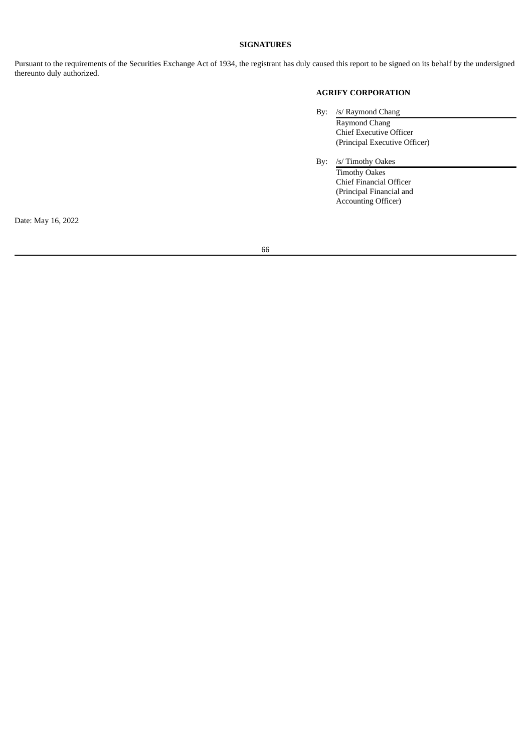## **SIGNATURES**

<span id="page-66-0"></span>Pursuant to the requirements of the Securities Exchange Act of 1934, the registrant has duly caused this report to be signed on its behalf by the undersigned thereunto duly authorized.

# **AGRIFY CORPORATION**

- By: /s/ Raymond Chang
	- Raymond Chang Chief Executive Officer (Principal Executive Officer)
- By: /s/ Timothy Oakes Timothy Oakes Chief Financial Officer (Principal Financial and Accounting Officer)

Date: May 16, 2022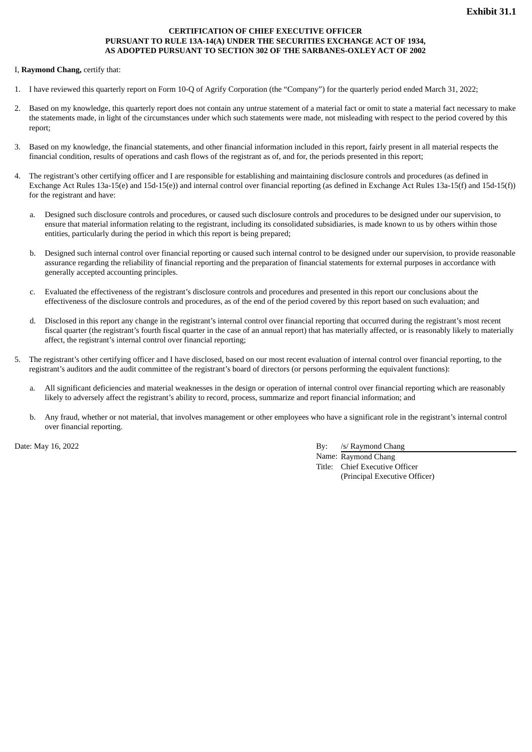## **CERTIFICATION OF CHIEF EXECUTIVE OFFICER PURSUANT TO RULE 13A-14(A) UNDER THE SECURITIES EXCHANGE ACT OF 1934, AS ADOPTED PURSUANT TO SECTION 302 OF THE SARBANES-OXLEY ACT OF 2002**

## <span id="page-67-0"></span>I, **Raymond Chang,** certify that:

- 1. I have reviewed this quarterly report on Form 10-Q of Agrify Corporation (the "Company") for the quarterly period ended March 31, 2022;
- 2. Based on my knowledge, this quarterly report does not contain any untrue statement of a material fact or omit to state a material fact necessary to make the statements made, in light of the circumstances under which such statements were made, not misleading with respect to the period covered by this report;
- 3. Based on my knowledge, the financial statements, and other financial information included in this report, fairly present in all material respects the financial condition, results of operations and cash flows of the registrant as of, and for, the periods presented in this report;
- 4. The registrant's other certifying officer and I are responsible for establishing and maintaining disclosure controls and procedures (as defined in Exchange Act Rules 13a-15(e) and 15d-15(e)) and internal control over financial reporting (as defined in Exchange Act Rules 13a-15(f) and 15d-15(f)) for the registrant and have:
	- a. Designed such disclosure controls and procedures, or caused such disclosure controls and procedures to be designed under our supervision, to ensure that material information relating to the registrant, including its consolidated subsidiaries, is made known to us by others within those entities, particularly during the period in which this report is being prepared;
	- b. Designed such internal control over financial reporting or caused such internal control to be designed under our supervision, to provide reasonable assurance regarding the reliability of financial reporting and the preparation of financial statements for external purposes in accordance with generally accepted accounting principles.
	- c. Evaluated the effectiveness of the registrant's disclosure controls and procedures and presented in this report our conclusions about the effectiveness of the disclosure controls and procedures, as of the end of the period covered by this report based on such evaluation; and
	- d. Disclosed in this report any change in the registrant's internal control over financial reporting that occurred during the registrant's most recent fiscal quarter (the registrant's fourth fiscal quarter in the case of an annual report) that has materially affected, or is reasonably likely to materially affect, the registrant's internal control over financial reporting;
- 5. The registrant's other certifying officer and I have disclosed, based on our most recent evaluation of internal control over financial reporting, to the registrant's auditors and the audit committee of the registrant's board of directors (or persons performing the equivalent functions):
	- a. All significant deficiencies and material weaknesses in the design or operation of internal control over financial reporting which are reasonably likely to adversely affect the registrant's ability to record, process, summarize and report financial information; and
	- b. Any fraud, whether or not material, that involves management or other employees who have a significant role in the registrant's internal control over financial reporting.

Date: May 16, 2022 By: /s/ Raymond Chang

Name: Raymond Chang Title: Chief Executive Officer (Principal Executive Officer)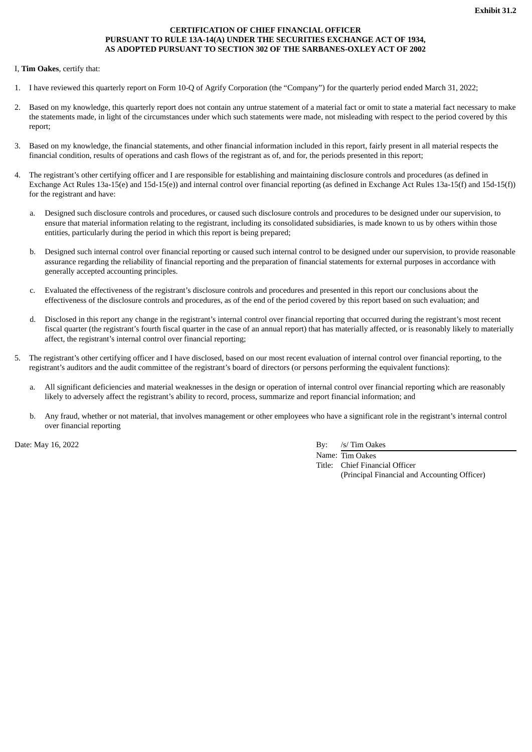## **CERTIFICATION OF CHIEF FINANCIAL OFFICER PURSUANT TO RULE 13A-14(A) UNDER THE SECURITIES EXCHANGE ACT OF 1934, AS ADOPTED PURSUANT TO SECTION 302 OF THE SARBANES-OXLEY ACT OF 2002**

## <span id="page-68-0"></span>I, **Tim Oakes**, certify that:

- 1. I have reviewed this quarterly report on Form 10-Q of Agrify Corporation (the "Company") for the quarterly period ended March 31, 2022;
- 2. Based on my knowledge, this quarterly report does not contain any untrue statement of a material fact or omit to state a material fact necessary to make the statements made, in light of the circumstances under which such statements were made, not misleading with respect to the period covered by this report;
- 3. Based on my knowledge, the financial statements, and other financial information included in this report, fairly present in all material respects the financial condition, results of operations and cash flows of the registrant as of, and for, the periods presented in this report;
- 4. The registrant's other certifying officer and I are responsible for establishing and maintaining disclosure controls and procedures (as defined in Exchange Act Rules 13a-15(e) and 15d-15(e)) and internal control over financial reporting (as defined in Exchange Act Rules 13a-15(f) and 15d-15(f)) for the registrant and have:
	- a. Designed such disclosure controls and procedures, or caused such disclosure controls and procedures to be designed under our supervision, to ensure that material information relating to the registrant, including its consolidated subsidiaries, is made known to us by others within those entities, particularly during the period in which this report is being prepared;
	- b. Designed such internal control over financial reporting or caused such internal control to be designed under our supervision, to provide reasonable assurance regarding the reliability of financial reporting and the preparation of financial statements for external purposes in accordance with generally accepted accounting principles.
	- c. Evaluated the effectiveness of the registrant's disclosure controls and procedures and presented in this report our conclusions about the effectiveness of the disclosure controls and procedures, as of the end of the period covered by this report based on such evaluation; and
	- d. Disclosed in this report any change in the registrant's internal control over financial reporting that occurred during the registrant's most recent fiscal quarter (the registrant's fourth fiscal quarter in the case of an annual report) that has materially affected, or is reasonably likely to materially affect, the registrant's internal control over financial reporting;
- 5. The registrant's other certifying officer and I have disclosed, based on our most recent evaluation of internal control over financial reporting, to the registrant's auditors and the audit committee of the registrant's board of directors (or persons performing the equivalent functions):
	- a. All significant deficiencies and material weaknesses in the design or operation of internal control over financial reporting which are reasonably likely to adversely affect the registrant's ability to record, process, summarize and report financial information; and
	- b. Any fraud, whether or not material, that involves management or other employees who have a significant role in the registrant's internal control over financial reporting

Date: May 16, 2022 By: /s/ Tim Oakes

Name: Tim Oakes Title: Chief Financial Officer (Principal Financial and Accounting Officer)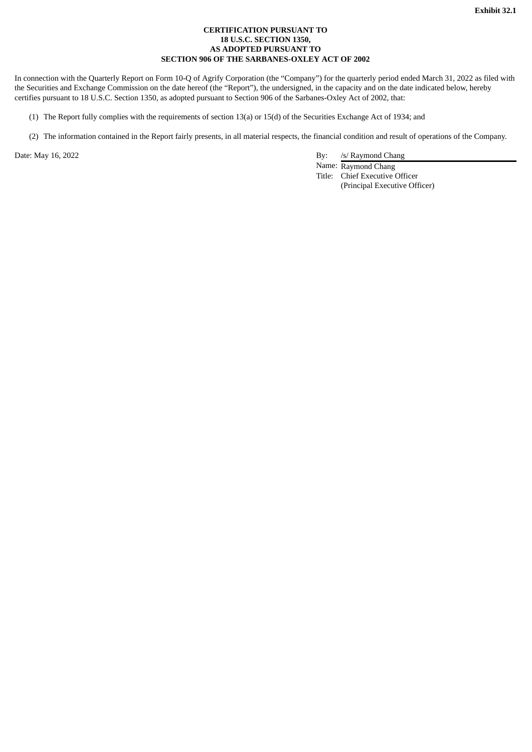## **CERTIFICATION PURSUANT TO 18 U.S.C. SECTION 1350, AS ADOPTED PURSUANT TO SECTION 906 OF THE SARBANES-OXLEY ACT OF 2002**

<span id="page-69-0"></span>In connection with the Quarterly Report on Form 10-Q of Agrify Corporation (the "Company") for the quarterly period ended March 31, 2022 as filed with the Securities and Exchange Commission on the date hereof (the "Report"), the undersigned, in the capacity and on the date indicated below, hereby certifies pursuant to 18 U.S.C. Section 1350, as adopted pursuant to Section 906 of the Sarbanes-Oxley Act of 2002, that:

- (1) The Report fully complies with the requirements of section 13(a) or 15(d) of the Securities Exchange Act of 1934; and
- (2) The information contained in the Report fairly presents, in all material respects, the financial condition and result of operations of the Company.

Date: May 16, 2022 By: /s/ Raymond Chang

Name: Raymond Chang Title: Chief Executive Officer (Principal Executive Officer)